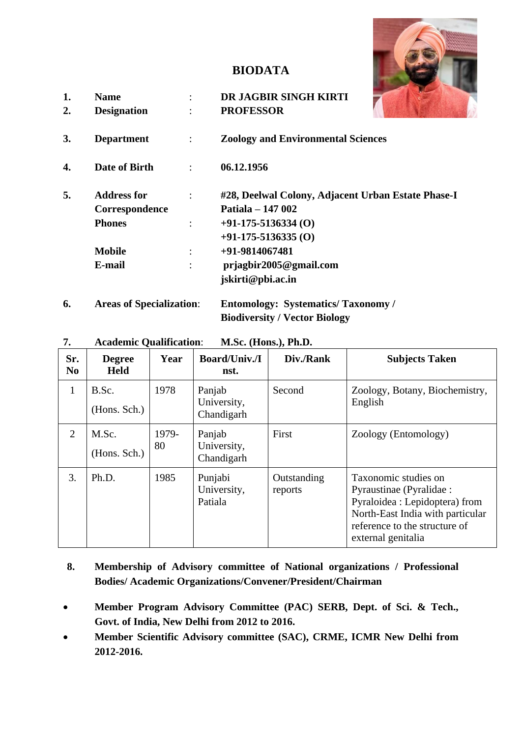# **BIODATA**



- **1. Name** : **DR JAGBIR SINGH KIRTI 2. Designation** : **PROFESSOR**
- **3. Department** : **Zoology and Environmental Sciences**
- **4. Date of Birth** : **06.12.1956**

| 5. | <b>Address for</b> | #28, Deelwal Colony, Adjacent Urban Estate Phase-I |
|----|--------------------|----------------------------------------------------|
|    | Correspondence     | Patiala – 147 002                                  |
|    | <b>Phones</b>      | $+91-175-5136334(0)$                               |
|    |                    | $+91-175-5136335(0)$                               |
|    | <b>Mobile</b>      | +91-9814067481                                     |
|    | E-mail             | $p$ rjagbir2005@gmail.com                          |
|    |                    | jskirti@pbi.ac.in                                  |
|    |                    |                                                    |

**6. Areas of Specialization**: **Entomology: Systematics/ Taxonomy / Biodiversity / Vector Biology**

| <b>Academic Qualification:</b> |  | M.Sc. (Hons.), Ph.D. |
|--------------------------------|--|----------------------|
|                                |  |                      |

| Sr.<br>N <sub>0</sub> | <b>Degree</b><br><b>Held</b> | Year        | <b>Board/Univ./I</b><br>nst.        | Div./Rank              | <b>Subjects Taken</b>                                                                                                                                                         |
|-----------------------|------------------------------|-------------|-------------------------------------|------------------------|-------------------------------------------------------------------------------------------------------------------------------------------------------------------------------|
| $\mathbf{1}$          | B.Sc.<br>(Hons. Sch.)        | 1978        | Panjab<br>University,<br>Chandigarh | Second                 | Zoology, Botany, Biochemistry,<br>English                                                                                                                                     |
| 2                     | M.Sc.<br>(Hons. Sch.)        | 1979-<br>80 | Panjab<br>University,<br>Chandigarh | First                  | Zoology (Entomology)                                                                                                                                                          |
| 3.                    | Ph.D.                        | 1985        | Punjabi<br>University,<br>Patiala   | Outstanding<br>reports | Taxonomic studies on<br>Pyraustinae (Pyralidae :<br>Pyraloidea : Lepidoptera) from<br>North-East India with particular<br>reference to the structure of<br>external genitalia |

- **8. Membership of Advisory committee of National organizations / Professional Bodies/ Academic Organizations/Convener/President/Chairman**
- **Member Program Advisory Committee (PAC) SERB, Dept. of Sci. & Tech., Govt. of India, New Delhi from 2012 to 2016.**
- **Member Scientific Advisory committee (SAC), CRME, ICMR New Delhi from 2012-2016.**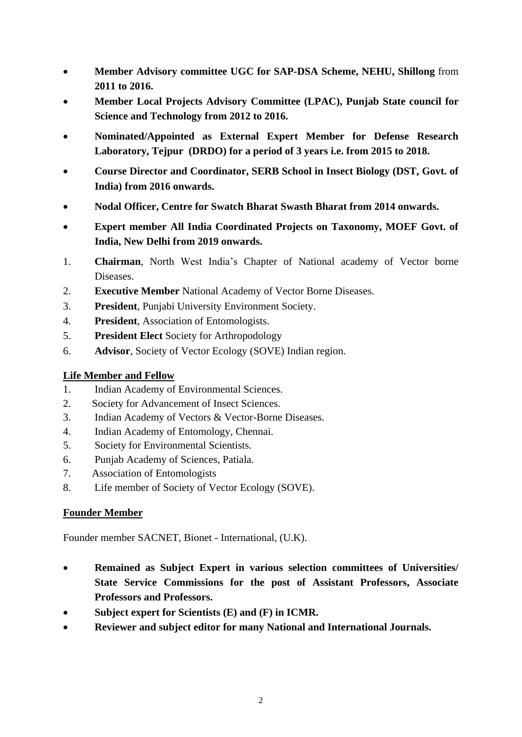- **Member Advisory committee UGC for SAP-DSA Scheme, NEHU, Shillong** from **2011 to 2016.**
- **Member Local Projects Advisory Committee (LPAC), Punjab State council for Science and Technology from 2012 to 2016.**
- **Nominated/Appointed as External Expert Member for Defense Research Laboratory, Tejpur (DRDO) for a period of 3 years i.e. from 2015 to 2018.**
- **Course Director and Coordinator, SERB School in Insect Biology (DST, Govt. of India) from 2016 onwards.**
- **Nodal Officer, Centre for Swatch Bharat Swasth Bharat from 2014 onwards.**
- **Expert member All India Coordinated Projects on Taxonomy, MOEF Govt. of India, New Delhi from 2019 onwards.**
- 1. **Chairman**, North West India's Chapter of National academy of Vector borne Diseases.
- 2. **Executive Member** National Academy of Vector Borne Diseases.
- 3. **President**, Punjabi University Environment Society.
- 4. **President**, Association of Entomologists.
- 5. **President Elect** Society for Arthropodology
- 6. **Advisor**, Society of Vector Ecology (SOVE) Indian region.

# **Life Member and Fellow**

- 1. Indian Academy of Environmental Sciences.
- 2. Society for Advancement of Insect Sciences.
- 3. Indian Academy of Vectors & Vector-Borne Diseases.
- 4. Indian Academy of Entomology, Chennai.
- 5. Society for Environmental Scientists.
- 6. Punjab Academy of Sciences, Patiala.
- 7. Association of Entomologists
- 8. Life member of Society of Vector Ecology (SOVE).

# **Founder Member**

Founder member SACNET, Bionet - International, (U.K).

- **Remained as Subject Expert in various selection committees of Universities/ State Service Commissions for the post of Assistant Professors, Associate Professors and Professors.**
- **Subject expert for Scientists (E) and (F) in ICMR.**
- **Reviewer and subject editor for many National and International Journals.**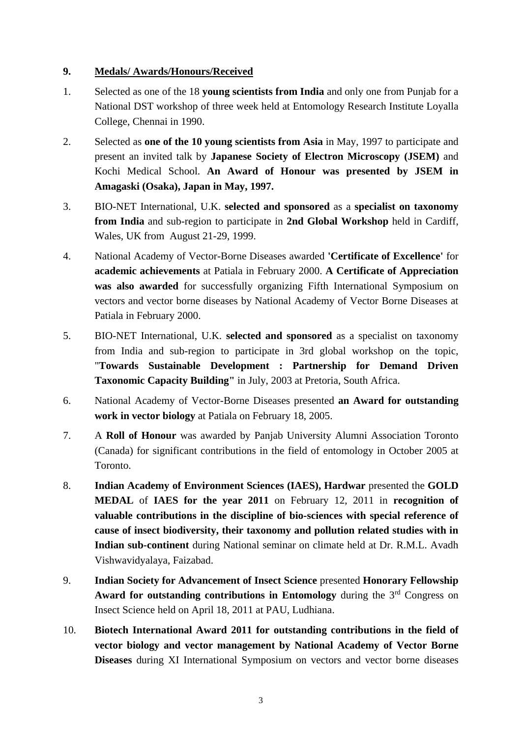# **9. Medals/ Awards/Honours/Received**

- 1. Selected as one of the 18 **young scientists from India** and only one from Punjab for a National DST workshop of three week held at Entomology Research Institute Loyalla College, Chennai in 1990.
- 2. Selected as **one of the 10 young scientists from Asia** in May, 1997 to participate and present an invited talk by **Japanese Society of Electron Microscopy (JSEM)** and Kochi Medical School. **An Award of Honour was presented by JSEM in Amagaski (Osaka), Japan in May, 1997.**
- 3. BIO-NET International, U.K. **selected and sponsored** as a **specialist on taxonomy from India** and sub-region to participate in **2nd Global Workshop** held in Cardiff, Wales, UK from August 21-29, 1999.
- 4. National Academy of Vector-Borne Diseases awarded **'Certificate of Excellence'** for **academic achievements** at Patiala in February 2000. **A Certificate of Appreciation was also awarded** for successfully organizing Fifth International Symposium on vectors and vector borne diseases by National Academy of Vector Borne Diseases at Patiala in February 2000.
- 5. BIO-NET International, U.K. **selected and sponsored** as a specialist on taxonomy from India and sub-region to participate in 3rd global workshop on the topic, "**Towards Sustainable Development : Partnership for Demand Driven Taxonomic Capacity Building"** in July, 2003 at Pretoria, South Africa.
- 6. National Academy of Vector-Borne Diseases presented **an Award for outstanding work in vector biology** at Patiala on February 18, 2005.
- 7. A **Roll of Honour** was awarded by Panjab University Alumni Association Toronto (Canada) for significant contributions in the field of entomology in October 2005 at Toronto.
- 8. **Indian Academy of Environment Sciences (IAES), Hardwar** presented the **GOLD MEDAL** of **IAES for the year 2011** on February 12, 2011 in **recognition of valuable contributions in the discipline of bio-sciences with special reference of cause of insect biodiversity, their taxonomy and pollution related studies with in Indian sub-continent** during National seminar on climate held at Dr. R.M.L. Avadh Vishwavidyalaya, Faizabad.
- 9. **Indian Society for Advancement of Insect Science** presented **Honorary Fellowship**  Award for outstanding contributions in Entomology during the 3<sup>rd</sup> Congress on Insect Science held on April 18, 2011 at PAU, Ludhiana.
- 10. **Biotech International Award 2011 for outstanding contributions in the field of vector biology and vector management by National Academy of Vector Borne Diseases** during XI International Symposium on vectors and vector borne diseases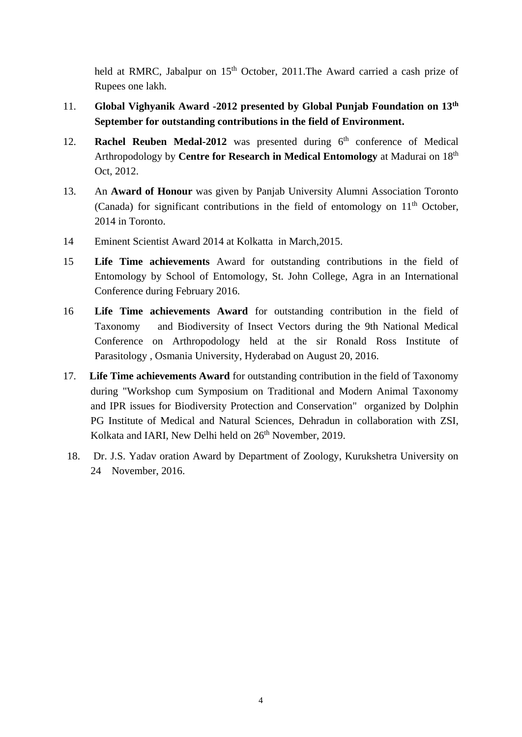held at RMRC, Jabalpur on 15<sup>th</sup> October, 2011. The Award carried a cash prize of Rupees one lakh.

- 11. **Global Vighyanik Award -2012 presented by Global Punjab Foundation on 13th September for outstanding contributions in the field of Environment.**
- 12. **Rachel Reuben Medal-2012** was presented during 6<sup>th</sup> conference of Medical Arthropodology by **Centre for Research in Medical Entomology** at Madurai on 18th Oct, 2012.
- 13. An **Award of Honour** was given by Panjab University Alumni Association Toronto (Canada) for significant contributions in the field of entomology on  $11<sup>th</sup>$  October, 2014 in Toronto.
- 14 Eminent Scientist Award 2014 at Kolkatta in March,2015.
- 15 **Life Time achievements** Award for outstanding contributions in the field of Entomology by School of Entomology, St. John College, Agra in an International Conference during February 2016.
- 16 **Life Time achievements Award** for outstanding contribution in the field of Taxonomy and Biodiversity of Insect Vectors during the 9th National Medical Conference on Arthropodology held at the sir Ronald Ross Institute of Parasitology , Osmania University, Hyderabad on August 20, 2016.
- 17. **Life Time achievements Award** for outstanding contribution in the field of Taxonomy during "Workshop cum Symposium on Traditional and Modern Animal Taxonomy and IPR issues for Biodiversity Protection and Conservation" organized by Dolphin PG Institute of Medical and Natural Sciences, Dehradun in collaboration with ZSI, Kolkata and IARI, New Delhi held on  $26<sup>th</sup>$  November, 2019.
- 18. Dr. J.S. Yadav oration Award by Department of Zoology, Kurukshetra University on 24 November, 2016.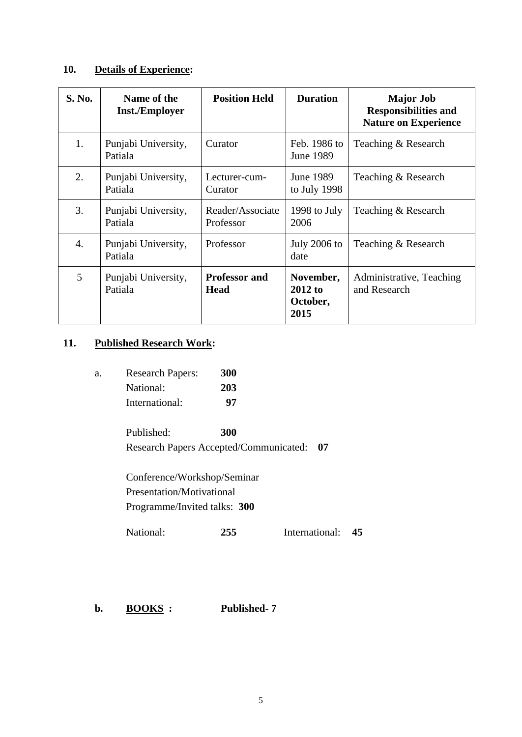# **10. Details of Experience:**

| <b>S. No.</b> | Name of the<br><b>Inst./Employer</b> | <b>Position Held</b>                | <b>Duration</b>                            | <b>Major Job</b><br><b>Responsibilities and</b><br><b>Nature on Experience</b> |
|---------------|--------------------------------------|-------------------------------------|--------------------------------------------|--------------------------------------------------------------------------------|
| 1.            | Punjabi University,<br>Patiala       | Curator                             | Feb. 1986 to<br>June 1989                  | Teaching & Research                                                            |
| 2.            | Punjabi University,<br>Patiala       | Lecturer-cum-<br>Curator            | June 1989<br>to July 1998                  | Teaching & Research                                                            |
| 3.            | Punjabi University,<br>Patiala       | Reader/Associate<br>Professor       | 1998 to July<br>2006                       | Teaching & Research                                                            |
| 4.            | Punjabi University,<br>Patiala       | Professor                           | <b>July 2006 to</b><br>date                | Teaching & Research                                                            |
| 5             | Punjabi University,<br>Patiala       | <b>Professor and</b><br><b>Head</b> | November,<br>$2012$ to<br>October,<br>2015 | Administrative, Teaching<br>and Research                                       |

# **11. Published Research Work:**

| а. | <b>Research Papers:</b> | <b>300</b> |
|----|-------------------------|------------|
|    | National:               | 203        |
|    | International:          | 97         |

Published: **300** Research Papers Accepted/Communicated: **07**

Conference/Workshop/Seminar Presentation/Motivational Programme/Invited talks: **300**

National: **255** International: **45**

**b. BOOKS : Published- 7**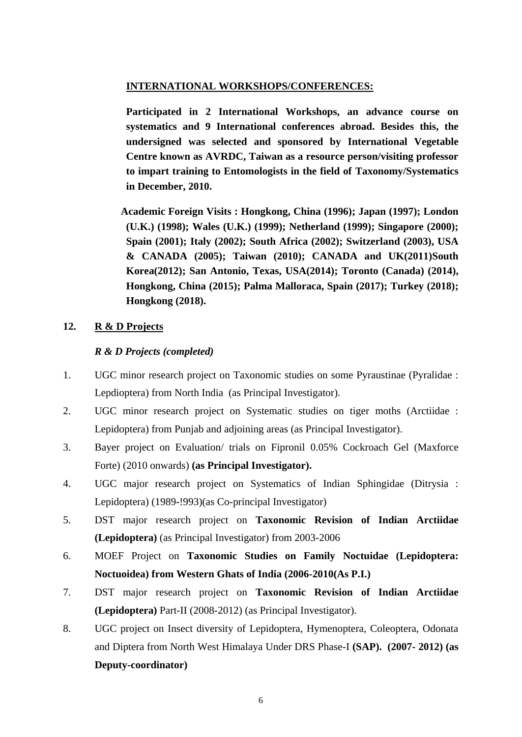### **INTERNATIONAL WORKSHOPS/CONFERENCES:**

**Participated in 2 International Workshops, an advance course on systematics and 9 International conferences abroad. Besides this, the undersigned was selected and sponsored by International Vegetable Centre known as AVRDC, Taiwan as a resource person/visiting professor to impart training to Entomologists in the field of Taxonomy/Systematics in December, 2010.**

 **Academic Foreign Visits : Hongkong, China (1996); Japan (1997); London (U.K.) (1998); Wales (U.K.) (1999); Netherland (1999); Singapore (2000); Spain (2001); Italy (2002); South Africa (2002); Switzerland (2003), USA & CANADA (2005); Taiwan (2010); CANADA and UK(2011)South Korea(2012); San Antonio, Texas, USA(2014); Toronto (Canada) (2014), Hongkong, China (2015); Palma Malloraca, Spain (2017); Turkey (2018); Hongkong (2018).**

# **12. R & D Projects**

### *R & D Projects (completed)*

- 1. UGC minor research project on Taxonomic studies on some Pyraustinae (Pyralidae : Lepdioptera) from North India (as Principal Investigator).
- 2. UGC minor research project on Systematic studies on tiger moths (Arctiidae : Lepidoptera) from Punjab and adjoining areas (as Principal Investigator).
- 3. Bayer project on Evaluation/ trials on Fipronil 0.05% Cockroach Gel (Maxforce Forte) (2010 onwards) **(as Principal Investigator).**
- 4. UGC major research project on Systematics of Indian Sphingidae (Ditrysia : Lepidoptera) (1989-!993)(as Co-principal Investigator)
- 5. DST major research project on **Taxonomic Revision of Indian Arctiidae (Lepidoptera)** (as Principal Investigator) from 2003-2006
- 6. MOEF Project on **Taxonomic Studies on Family Noctuidae (Lepidoptera: Noctuoidea) from Western Ghats of India (2006-2010(As P.I.)**
- 7. DST major research project on **Taxonomic Revision of Indian Arctiidae (Lepidoptera)** Part-II (2008-2012) (as Principal Investigator).
- 8. UGC project on Insect diversity of Lepidoptera, Hymenoptera, Coleoptera, Odonata and Diptera from North West Himalaya Under DRS Phase-I **(SAP). (2007- 2012) (as Deputy-coordinator)**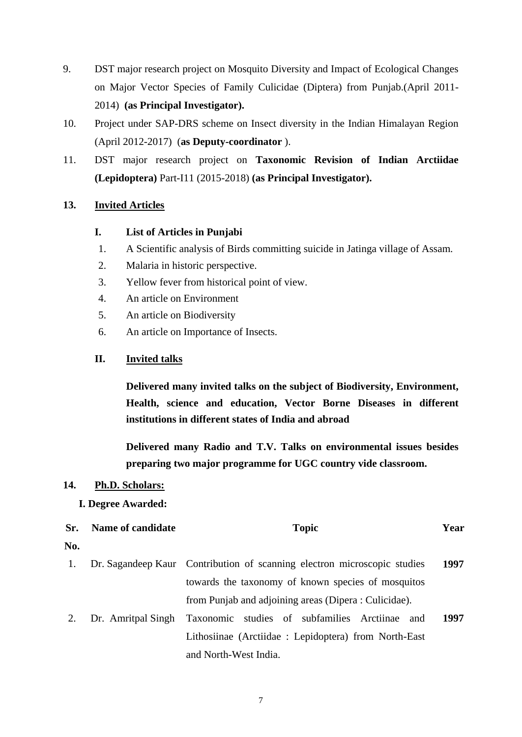- 9. DST major research project on Mosquito Diversity and Impact of Ecological Changes on Major Vector Species of Family Culicidae (Diptera) from Punjab.(April 2011- 2014) **(as Principal Investigator).**
- 10. Project under SAP-DRS scheme on Insect diversity in the Indian Himalayan Region (April 2012-2017) (**as Deputy-coordinator** ).
- 11. DST major research project on **Taxonomic Revision of Indian Arctiidae (Lepidoptera)** Part-I11 (2015-2018) **(as Principal Investigator).**

# **13. Invited Articles**

### **I. List of Articles in Punjabi**

- 1. A Scientific analysis of Birds committing suicide in Jatinga village of Assam.
- 2. Malaria in historic perspective.
- 3. Yellow fever from historical point of view.
- 4. An article on Environment
- 5. An article on Biodiversity
- 6. An article on Importance of Insects.

### **II. Invited talks**

**Delivered many invited talks on the subject of Biodiversity, Environment, Health, science and education, Vector Borne Diseases in different institutions in different states of India and abroad**

**Delivered many Radio and T.V. Talks on environmental issues besides preparing two major programme for UGC country vide classroom.**

### **14. Ph.D. Scholars:**

#### **I. Degree Awarded:**

**Sr. No. Name of candidate Topic Topic Year** 1. Dr. Sagandeep Kaur Contribution of scanning electron microscopic studies towards the taxonomy of known species of mosquitos from Punjab and adjoining areas (Dipera : Culicidae). **1997** 2. Dr. Amritpal Singh Taxonomic studies of subfamilies Arctiinae and **1997**

Lithosiinae (Arctiidae : Lepidoptera) from North-East and North-West India.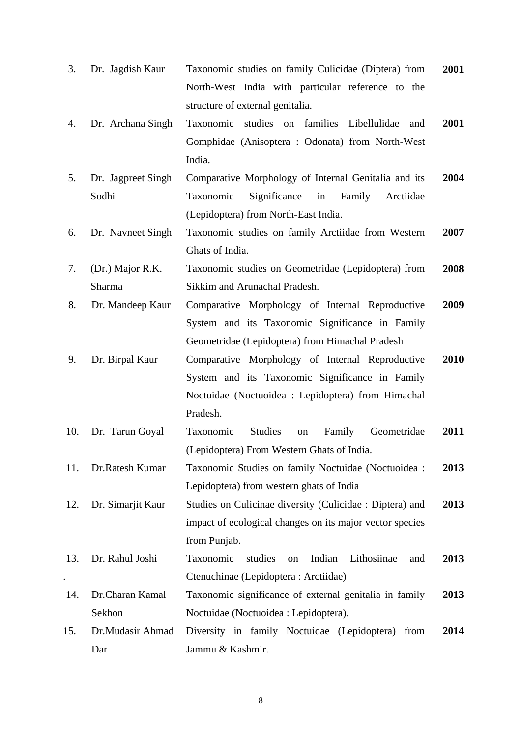| 3.  | Dr. Jagdish Kaur   | Taxonomic studies on family Culicidae (Diptera) from       | 2001 |
|-----|--------------------|------------------------------------------------------------|------|
|     |                    | North-West India with particular reference to the          |      |
|     |                    | structure of external genitalia.                           |      |
| 4.  | Dr. Archana Singh  | families Libellulidae<br>Taxonomic<br>studies on<br>and    | 2001 |
|     |                    | Gomphidae (Anisoptera: Odonata) from North-West            |      |
|     |                    | India.                                                     |      |
| 5.  | Dr. Jagpreet Singh | Comparative Morphology of Internal Genitalia and its       | 2004 |
|     | Sodhi              | Family<br>Taxonomic<br>Significance<br>in<br>Arctiidae     |      |
|     |                    | (Lepidoptera) from North-East India.                       |      |
| 6.  | Dr. Navneet Singh  | Taxonomic studies on family Arctiidae from Western         | 2007 |
|     |                    | Ghats of India.                                            |      |
| 7.  | (Dr.) Major R.K.   | Taxonomic studies on Geometridae (Lepidoptera) from        | 2008 |
|     | Sharma             | Sikkim and Arunachal Pradesh.                              |      |
| 8.  | Dr. Mandeep Kaur   | Comparative Morphology of Internal Reproductive            | 2009 |
|     |                    | System and its Taxonomic Significance in Family            |      |
|     |                    | Geometridae (Lepidoptera) from Himachal Pradesh            |      |
| 9.  | Dr. Birpal Kaur    | Comparative Morphology of Internal Reproductive            | 2010 |
|     |                    | System and its Taxonomic Significance in Family            |      |
|     |                    | Noctuidae (Noctuoidea : Lepidoptera) from Himachal         |      |
|     |                    | Pradesh.                                                   |      |
| 10. | Dr. Tarun Goyal    | <b>Studies</b><br>Geometridae<br>Taxonomic<br>Family<br>on | 2011 |
|     |                    | (Lepidoptera) From Western Ghats of India.                 |      |
| 11. | Dr.Ratesh Kumar    | Taxonomic Studies on family Noctuidae (Noctuoidea :        | 2013 |
|     |                    | Lepidoptera) from western ghats of India                   |      |
| 12. | Dr. Simarjit Kaur  | Studies on Culicinae diversity (Culicidae : Diptera) and   | 2013 |
|     |                    | impact of ecological changes on its major vector species   |      |
|     |                    | from Punjab.                                               |      |
| 13. | Dr. Rahul Joshi    | Taxonomic<br>studies<br>Indian<br>Lithosiinae<br>on<br>and | 2013 |
|     |                    | Ctenuchinae (Lepidoptera : Arctiidae)                      |      |
| 14. | Dr.Charan Kamal    | Taxonomic significance of external genitalia in family     | 2013 |
|     | Sekhon             | Noctuidae (Noctuoidea : Lepidoptera).                      |      |
| 15. | Dr.Mudasir Ahmad   | Diversity in family Noctuidae (Lepidoptera) from           | 2014 |
|     | Dar                | Jammu & Kashmir.                                           |      |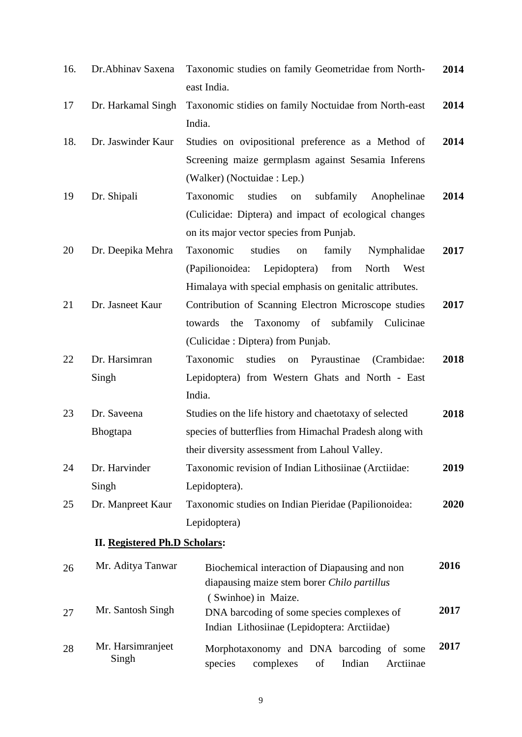| 16. | Dr.Abhinav Saxena                    | Taxonomic studies on family Geometridae from North-                                                              | 2014 |
|-----|--------------------------------------|------------------------------------------------------------------------------------------------------------------|------|
| 17  | Dr. Harkamal Singh                   | east India.<br>Taxonomic stidies on family Noctuidae from North-east                                             | 2014 |
|     |                                      | India.                                                                                                           |      |
| 18. | Dr. Jaswinder Kaur                   | Studies on ovipositional preference as a Method of<br>Screening maize germplasm against Sesamia Inferens         | 2014 |
|     |                                      | (Walker) (Noctuidae : Lep.)                                                                                      |      |
| 19  | Dr. Shipali                          | Taxonomic<br>studies<br>subfamily<br>Anophelinae<br>on                                                           | 2014 |
|     |                                      | (Culicidae: Diptera) and impact of ecological changes                                                            |      |
|     |                                      | on its major vector species from Punjab.                                                                         |      |
| 20  | Dr. Deepika Mehra                    | Taxonomic<br>studies<br>family<br>Nymphalidae<br>on                                                              | 2017 |
|     |                                      | (Papilionoidea:<br>Lepidoptera)<br>from<br>North<br>West                                                         |      |
|     |                                      | Himalaya with special emphasis on genitalic attributes.                                                          |      |
| 21  | Dr. Jasneet Kaur                     | Contribution of Scanning Electron Microscope studies                                                             | 2017 |
|     |                                      | Taxonomy of subfamily Culicinae<br>towards<br>the                                                                |      |
|     |                                      | (Culicidae: Diptera) from Punjab.                                                                                |      |
| 22  | Dr. Harsimran                        | Taxonomic<br>studies<br>Pyraustinae<br>(Crambidae:<br>${\rm on}$                                                 | 2018 |
|     | Singh                                | Lepidoptera) from Western Ghats and North - East                                                                 |      |
|     |                                      | India.                                                                                                           |      |
| 23  | Dr. Saveena                          | Studies on the life history and chaetotaxy of selected                                                           | 2018 |
|     | Bhogtapa                             | species of butterflies from Himachal Pradesh along with                                                          |      |
|     |                                      | their diversity assessment from Lahoul Valley.                                                                   |      |
| 24  | Dr. Harvinder                        | Taxonomic revision of Indian Lithosiinae (Arctiidae:                                                             | 2019 |
|     | Singh                                | Lepidoptera).                                                                                                    |      |
| 25  | Dr. Manpreet Kaur                    | Taxonomic studies on Indian Pieridae (Papilionoidea:                                                             | 2020 |
|     |                                      | Lepidoptera)                                                                                                     |      |
|     | <b>II. Registered Ph.D Scholars:</b> |                                                                                                                  |      |
| 26  | Mr. Aditya Tanwar                    | Biochemical interaction of Diapausing and non<br>diapausing maize stem borer Chilo partillus                     | 2016 |
| 27  | Mr. Santosh Singh                    | (Swinhoe) in Maize.<br>DNA barcoding of some species complexes of<br>Indian Lithosiinae (Lepidoptera: Arctiidae) | 2017 |
| 28  | Mr. Harsimranjeet<br>Singh           | Morphotaxonomy and DNA barcoding of some<br>species<br>complexes<br>of<br>Indian<br>Arctiinae                    | 2017 |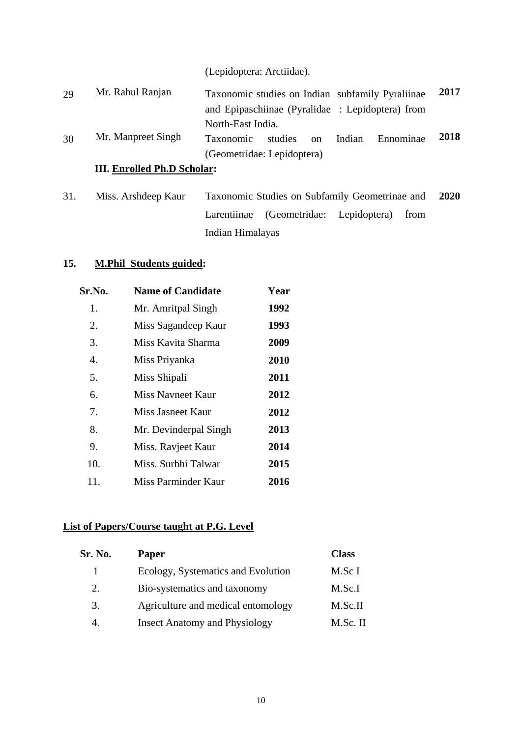(Lepidoptera: Arctiidae).

| 29 | Mr. Rahul Ranjan                   | Taxonomic studies on Indian subfamily Pyraliinae               | 2017 |
|----|------------------------------------|----------------------------------------------------------------|------|
|    |                                    | and Epipaschiinae (Pyralidae : Lepidoptera) from               |      |
|    |                                    | North-East India.                                              |      |
| 30 | Mr. Manpreet Singh                 | Ennominae<br>Indian<br>studies<br><b>Taxonomic</b><br>$\alpha$ | 2018 |
|    |                                    | (Geometridae: Lepidoptera)                                     |      |
|    | <b>III. Enrolled Ph.D Scholar:</b> |                                                                |      |
|    |                                    |                                                                |      |

31. Miss. Arshdeep Kaur Taxonomic Studies on Subfamily Geometrinae and Larentiinae (Geometridae: Lepidoptera) from Indian Himalayas **2020**

# **15. M.Phil Students guided:**

| Sr.No. | <b>Name of Candidate</b> | Year |
|--------|--------------------------|------|
| 1.     | Mr. Amritpal Singh       | 1992 |
| 2.     | Miss Sagandeep Kaur      | 1993 |
| 3.     | Miss Kavita Sharma       | 2009 |
| 4.     | Miss Priyanka            | 2010 |
| 5.     | Miss Shipali             | 2011 |
| 6.     | Miss Navneet Kaur        | 2012 |
| 7.     | Miss Jasneet Kaur        | 2012 |
| 8.     | Mr. Devinderpal Singh    | 2013 |
| 9.     | Miss. Ravjeet Kaur       | 2014 |
| 10.    | Miss. Surbhi Talwar      | 2015 |
| 11.    | Miss Parminder Kaur      | 2016 |

# **List of Papers/Course taught at P.G. Level**

| Sr. No. | <b>Paper</b>                         | <b>Class</b> |
|---------|--------------------------------------|--------------|
|         | Ecology, Systematics and Evolution   | M.Sc I       |
| 2.      | Bio-systematics and taxonomy         | M.Sc.I       |
| 3.      | Agriculture and medical entomology   | M.Sc.II      |
|         | <b>Insect Anatomy and Physiology</b> | M.Sc. II     |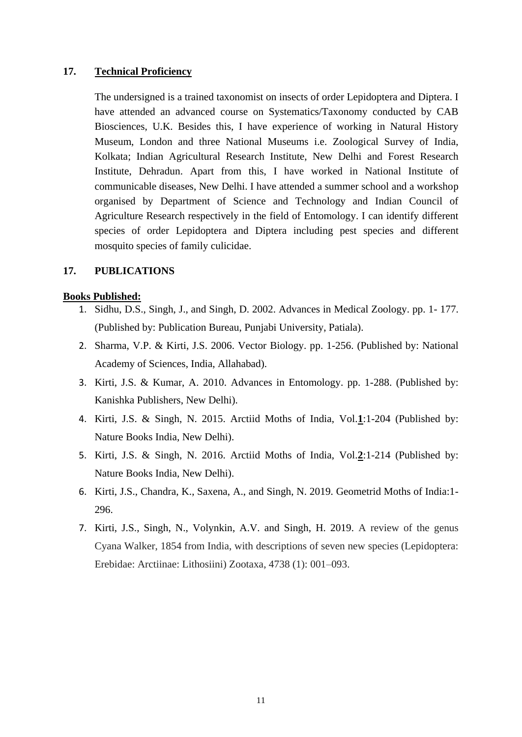#### **17. Technical Proficiency**

The undersigned is a trained taxonomist on insects of order Lepidoptera and Diptera. I have attended an advanced course on Systematics/Taxonomy conducted by CAB Biosciences, U.K. Besides this, I have experience of working in Natural History Museum, London and three National Museums i.e. Zoological Survey of India, Kolkata; Indian Agricultural Research Institute, New Delhi and Forest Research Institute, Dehradun. Apart from this, I have worked in National Institute of communicable diseases, New Delhi. I have attended a summer school and a workshop organised by Department of Science and Technology and Indian Council of Agriculture Research respectively in the field of Entomology. I can identify different species of order Lepidoptera and Diptera including pest species and different mosquito species of family culicidae.

#### **17. PUBLICATIONS**

#### **Books Published:**

- 1. Sidhu, D.S., Singh, J., and Singh, D. 2002. Advances in Medical Zoology. pp. 1- 177. (Published by: Publication Bureau, Punjabi University, Patiala).
- 2. Sharma, V.P. & Kirti, J.S. 2006. Vector Biology. pp. 1-256. (Published by: National Academy of Sciences, India, Allahabad).
- 3. Kirti, J.S. & Kumar, A. 2010. Advances in Entomology. pp. 1-288. (Published by: Kanishka Publishers, New Delhi).
- 4. Kirti, J.S. & Singh, N. 2015. Arctiid Moths of India, Vol.**1**:1-204 (Published by: Nature Books India, New Delhi).
- 5. Kirti, J.S. & Singh, N. 2016. Arctiid Moths of India, Vol.**2**:1-214 (Published by: Nature Books India, New Delhi).
- 6. Kirti, J.S., Chandra, K., Saxena, A., and Singh, N. 2019. Geometrid Moths of India:1- 296.
- 7. Kirti, J.S., Singh, N., Volynkin, A.V. and Singh, H. 2019. A review of the genus Cyana Walker, 1854 from India, with descriptions of seven new species (Lepidoptera: Erebidae: Arctiinae: Lithosiini) Zootaxa, 4738 (1): 001–093.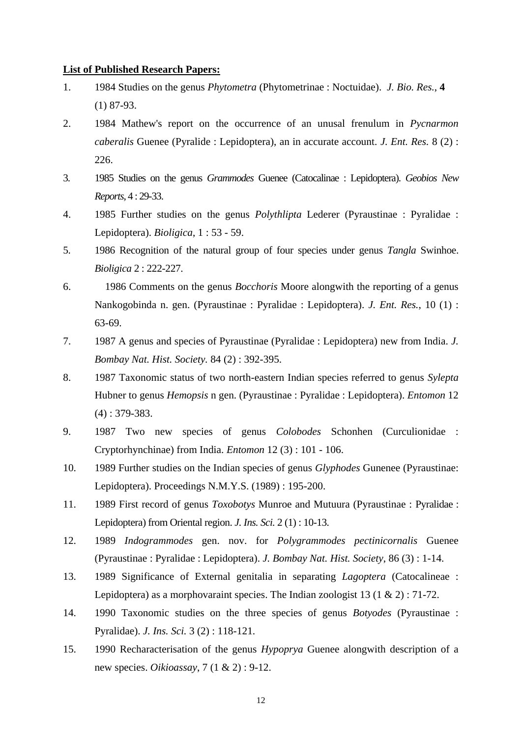#### **List of Published Research Papers:**

- 1. 1984 Studies on the genus *Phytometra* (Phytometrinae : Noctuidae). *J. Bio. Res.*, **4** (1) 87-93.
- 2. 1984 Mathew's report on the occurrence of an unusal frenulum in *Pycnarmon caberalis* Guenee (Pyralide : Lepidoptera), an in accurate account. *J. Ent. Res.* 8 (2) : 226.
- 3. 1985 Studies on the genus *Grammodes* Guenee (Catocalinae : Lepidoptera). *Geobios New Reports*, 4 : 29-33.
- 4. 1985 Further studies on the genus *Polythlipta* Lederer (Pyraustinae : Pyralidae : Lepidoptera). *Bioligica*, 1 : 53 - 59.
- 5. 1986 Recognition of the natural group of four species under genus *Tangla* Swinhoe. *Bioligica* 2 : 222-227.
- 6. 1986 Comments on the genus *Bocchoris* Moore alongwith the reporting of a genus Nankogobinda n. gen. (Pyraustinae : Pyralidae : Lepidoptera). *J. Ent. Res.*, 10 (1) : 63-69.
- 7. 1987 A genus and species of Pyraustinae (Pyralidae : Lepidoptera) new from India. *J. Bombay Nat. Hist. Society.* 84 (2) : 392-395.
- 8. 1987 Taxonomic status of two north-eastern Indian species referred to genus *Sylepta* Hubner to genus *Hemopsis* n gen. (Pyraustinae : Pyralidae : Lepidoptera). *Entomon* 12 (4) : 379-383.
- 9. 1987 Two new species of genus *Colobodes* Schonhen (Curculionidae : Cryptorhynchinae) from India. *Entomon* 12 (3) : 101 - 106.
- 10. 1989 Further studies on the Indian species of genus *Glyphodes* Gunenee (Pyraustinae: Lepidoptera). Proceedings N.M.Y.S. (1989) : 195-200.
- 11. 1989 First record of genus *Toxobotys* Munroe and Mutuura (Pyraustinae : Pyralidae : Lepidoptera) from Oriental region. *J. Ins. Sci.* 2 (1) : 10-13.
- 12. 1989 *Indogrammodes* gen. nov. for *Polygrammodes pectinicornalis* Guenee (Pyraustinae : Pyralidae : Lepidoptera). *J. Bombay Nat. Hist. Society*, 86 (3) : 1-14.
- 13. 1989 Significance of External genitalia in separating *Lagoptera* (Catocalineae : Lepidoptera) as a morphovaraint species. The Indian zoologist 13 (1 & 2) : 71-72.
- 14. 1990 Taxonomic studies on the three species of genus *Botyodes* (Pyraustinae : Pyralidae). *J. Ins. Sci.* 3 (2) : 118-121.
- 15. 1990 Recharacterisation of the genus *Hypoprya* Guenee alongwith description of a new species. *Oikioassay*, 7 (1 & 2) : 9-12.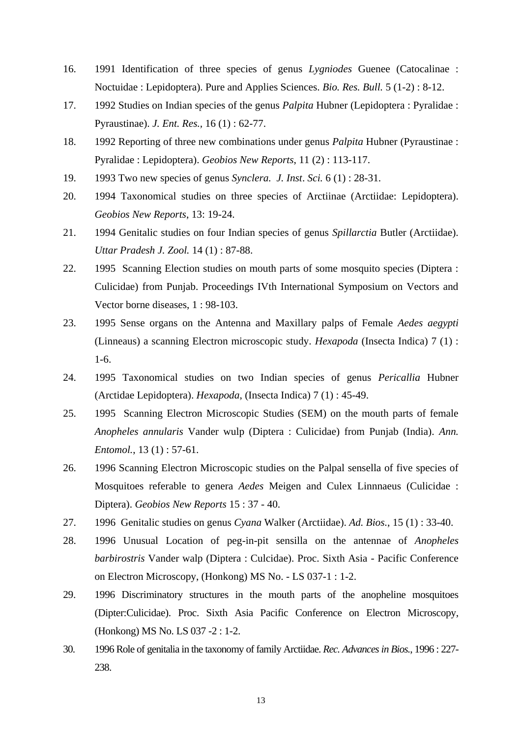- 16. 1991 Identification of three species of genus *Lygniodes* Guenee (Catocalinae : Noctuidae : Lepidoptera). Pure and Applies Sciences. *Bio. Res. Bull.* 5 (1-2) : 8-12.
- 17. 1992 Studies on Indian species of the genus *Palpita* Hubner (Lepidoptera : Pyralidae : Pyraustinae). *J. Ent. Res.,* 16 (1) : 62-77.
- 18. 1992 Reporting of three new combinations under genus *Palpita* Hubner (Pyraustinae : Pyralidae : Lepidoptera). *Geobios New Reports*, 11 (2) : 113-117.
- 19. 1993 Two new species of genus *Synclera. J. Inst*. *Sci.* 6 (1) : 28-31.
- 20. 1994 Taxonomical studies on three species of Arctiinae (Arctiidae: Lepidoptera). *Geobios New Reports*, 13: 19-24.
- 21. 1994 Genitalic studies on four Indian species of genus *Spillarctia* Butler (Arctiidae). *Uttar Pradesh J. Zool.* 14 (1) : 87-88.
- 22. 1995 Scanning Election studies on mouth parts of some mosquito species (Diptera : Culicidae) from Punjab. Proceedings IVth International Symposium on Vectors and Vector borne diseases, 1 : 98-103.
- 23. 1995 Sense organs on the Antenna and Maxillary palps of Female *Aedes aegypti* (Linneaus) a scanning Electron microscopic study. *Hexapoda* (Insecta Indica) 7 (1) : 1-6.
- 24. 1995 Taxonomical studies on two Indian species of genus *Pericallia* Hubner (Arctidae Lepidoptera). *Hexapoda*, (Insecta Indica) 7 (1) : 45-49.
- 25. 1995 Scanning Electron Microscopic Studies (SEM) on the mouth parts of female *Anopheles annularis* Vander wulp (Diptera : Culicidae) from Punjab (India). *Ann. Entomol.*, 13 (1) : 57-61.
- 26. 1996 Scanning Electron Microscopic studies on the Palpal sensella of five species of Mosquitoes referable to genera *Aedes* Meigen and Culex Linnnaeus (Culicidae : Diptera). *Geobios New Reports* 15 : 37 - 40.
- 27. 1996 Genitalic studies on genus *Cyana* Walker (Arctiidae). *Ad. Bios.*, 15 (1) : 33-40.
- 28. 1996 Unusual Location of peg-in-pit sensilla on the antennae of *Anopheles barbirostris* Vander walp (Diptera : Culcidae). Proc. Sixth Asia - Pacific Conference on Electron Microscopy, (Honkong) MS No. - LS 037-1 : 1-2.
- 29. 1996 Discriminatory structures in the mouth parts of the anopheline mosquitoes (Dipter:Culicidae). Proc. Sixth Asia Pacific Conference on Electron Microscopy, (Honkong) MS No. LS 037 -2 : 1-2.
- 30. 1996 Role of genitalia in the taxonomy of family Arctiidae. *Rec. Advances in Bios.*, 1996 : 227- 238.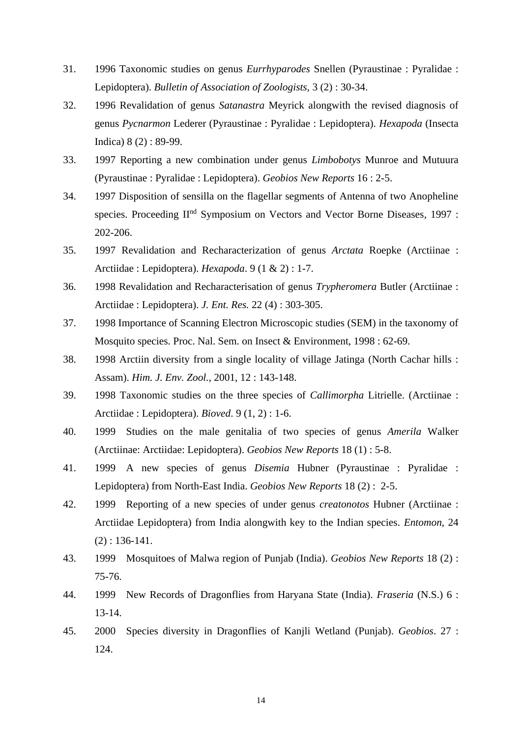- 31. 1996 Taxonomic studies on genus *Eurrhyparodes* Snellen (Pyraustinae : Pyralidae : Lepidoptera). *Bulletin of Association of Zoologists,* 3 (2) : 30-34.
- 32. 1996 Revalidation of genus *Satanastra* Meyrick alongwith the revised diagnosis of genus *Pycnarmon* Lederer (Pyraustinae : Pyralidae : Lepidoptera). *Hexapoda* (Insecta Indica) 8 (2) : 89-99.
- 33. 1997 Reporting a new combination under genus *Limbobotys* Munroe and Mutuura (Pyraustinae : Pyralidae : Lepidoptera). *Geobios New Reports* 16 : 2-5.
- 34. 1997 Disposition of sensilla on the flagellar segments of Antenna of two Anopheline species. Proceeding II<sup>nd</sup> Symposium on Vectors and Vector Borne Diseases, 1997 : 202-206.
- 35. 1997 Revalidation and Recharacterization of genus *Arctata* Roepke (Arctiinae : Arctiidae : Lepidoptera). *Hexapoda*. 9 (1 & 2) : 1-7.
- 36. 1998 Revalidation and Recharacterisation of genus *Trypheromera* Butler (Arctiinae : Arctiidae : Lepidoptera). *J. Ent. Res.* 22 (4) : 303-305.
- 37. 1998 Importance of Scanning Electron Microscopic studies (SEM) in the taxonomy of Mosquito species. Proc. Nal. Sem. on Insect & Environment, 1998 : 62-69.
- 38. 1998 Arctiin diversity from a single locality of village Jatinga (North Cachar hills : Assam). *Him. J. Env. Zool.,* 2001, 12 : 143-148.
- 39. 1998 Taxonomic studies on the three species of *Callimorpha* Litrielle. (Arctiinae : Arctiidae : Lepidoptera). *Bioved*. 9 (1, 2) : 1-6.
- 40. 1999 Studies on the male genitalia of two species of genus *Amerila* Walker (Arctiinae: Arctiidae: Lepidoptera). *Geobios New Reports* 18 (1) : 5-8.
- 41. 1999 A new species of genus *Disemia* Hubner (Pyraustinae : Pyralidae : Lepidoptera) from North-East India. *Geobios New Reports* 18 (2) : 2-5.
- 42. 1999 Reporting of a new species of under genus *creatonotos* Hubner (Arctiinae : Arctiidae Lepidoptera) from India alongwith key to the Indian species. *Entomon*, 24 (2) : 136-141.
- 43. 1999 Mosquitoes of Malwa region of Punjab (India). *Geobios New Reports* 18 (2) : 75-76.
- 44. 1999 New Records of Dragonflies from Haryana State (India). *Fraseria* (N.S.) 6 : 13-14.
- 45. 2000 Species diversity in Dragonflies of Kanjli Wetland (Punjab). *Geobios*. 27 : 124.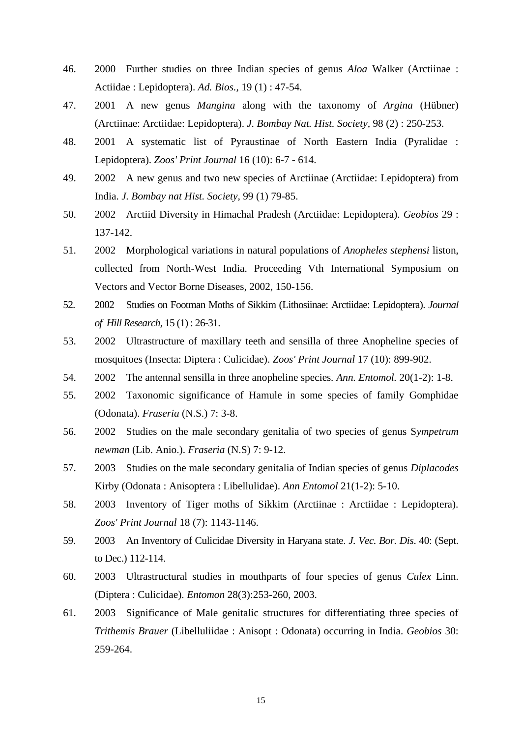- 46. 2000 Further studies on three Indian species of genus *Aloa* Walker (Arctiinae : Actiidae : Lepidoptera). *Ad. Bios.,* 19 (1) : 47-54.
- 47. 2001 A new genus *Mangina* along with the taxonomy of *Argina* (Hübner) (Arctiinae: Arctiidae: Lepidoptera). *J. Bombay Nat. Hist. Society,* 98 (2) : 250-253.
- 48. 2001 A systematic list of Pyraustinae of North Eastern India (Pyralidae : Lepidoptera). *Zoos' Print Journal* 16 (10): 6-7 - 614.
- 49. 2002 A new genus and two new species of Arctiinae (Arctiidae: Lepidoptera) from India. *J. Bombay nat Hist. Society,* 99 (1) 79-85.
- 50. 2002 Arctiid Diversity in Himachal Pradesh (Arctiidae: Lepidoptera). *Geobios* 29 : 137-142.
- 51. 2002 Morphological variations in natural populations of *Anopheles stephensi* liston, collected from North-West India. Proceeding Vth International Symposium on Vectors and Vector Borne Diseases, 2002, 150-156.
- 52. 2002 Studies on Footman Moths of Sikkim (Lithosiinae: Arctiidae: Lepidoptera). *Journal of Hill Research,* 15 (1) : 26-31.
- 53. 2002 Ultrastructure of maxillary teeth and sensilla of three Anopheline species of mosquitoes (Insecta: Diptera : Culicidae). *Zoos' Print Journal* 17 (10): 899-902.
- 54. 2002 The antennal sensilla in three anopheline species*. Ann. Entomol.* 20(1-2): 1-8.
- 55. 2002 Taxonomic significance of Hamule in some species of family Gomphidae (Odonata). *Fraseria* (N.S.) 7: 3-8.
- 56. 2002 Studies on the male secondary genitalia of two species of genus S*ympetrum newman* (Lib. Anio.). *Fraseria* (N.S) 7: 9-12.
- 57. 2003 Studies on the male secondary genitalia of Indian species of genus *Diplacodes*  Kirby (Odonata : Anisoptera : Libellulidae). *Ann Entomol* 21(1-2): 5-10.
- 58. 2003 Inventory of Tiger moths of Sikkim (Arctiinae : Arctiidae : Lepidoptera). *Zoos' Print Journal* 18 (7): 1143-1146.
- 59. 2003 An Inventory of Culicidae Diversity in Haryana state. *J. Vec. Bor. Dis*. 40: (Sept. to Dec.) 112-114.
- 60. 2003 Ultrastructural studies in mouthparts of four species of genus *Culex* Linn. (Diptera : Culicidae). *Entomon* 28(3):253-260, 2003.
- 61. 2003 Significance of Male genitalic structures for differentiating three species of *Trithemis Brauer* (Libelluliidae : Anisopt : Odonata) occurring in India. *Geobios* 30: 259-264.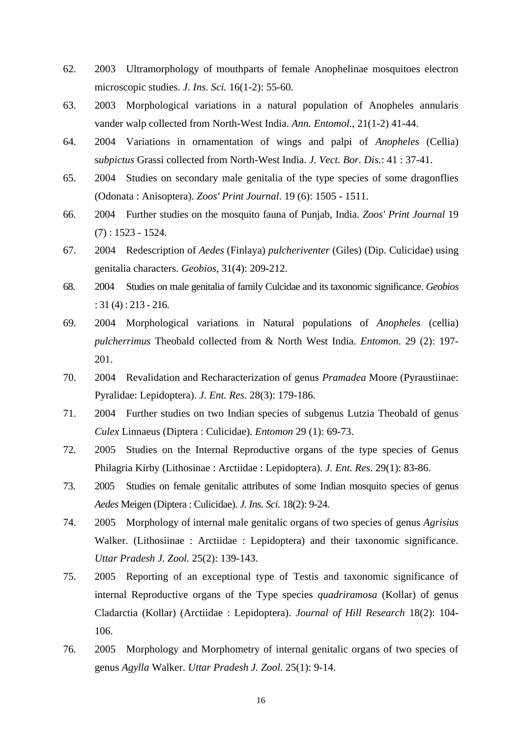- 62. 2003 Ultramorphology of mouthparts of female Anophelinae mosquitoes electron microscopic studies. *J. Ins. Sci.* 16(1-2): 55-60.
- 63. 2003 Morphological variations in a natural population of Anopheles annularis vander walp collected from North-West India. *Ann. Entomol.,* 21(1-2) 41-44.
- 64. 2004 Variations in ornamentation of wings and palpi of *Anopheles* (Cellia) s*ubpictus* Grassi collected from North-West India. *J. Vect. Bor. Dis.*: 41 : 37-41.
- 65. 2004 Studies on secondary male genitalia of the type species of some dragonflies (Odonata : Anisoptera). *Zoos' Print Journal*. 19 (6): 1505 - 1511.
- 66. 2004 Further studies on the mosquito fauna of Punjab, India*. Zoos' Print Journal* 19  $(7)$ : 1523 - 1524.
- 67. 2004 Redescription of *Aedes* (Finlaya) *pulcheriventer* (Giles) (Dip. Culicidae) using genitalia characters. *Geobios*, 31(4): 209-212.
- 68. 2004 Studies on male genitalia of family Culcidae and its taxonomic significance. *Geobios*  : 31 (4) : 213 - 216.
- 69. 2004 Morphological variations in Natural populations of *Anopheles* (cellia) *pulcherrimus* Theobald collected from & North West India. *Entomon*. 29 (2): 197- 201.
- 70. 2004 Revalidation and Recharacterization of genus *Pramadea* Moore (Pyraustiinae: Pyralidae: Lepidoptera). *J. Ent. Res*. 28(3): 179-186.
- 71. 2004 Further studies on two Indian species of subgenus Lutzia Theobald of genus *Culex* Linnaeus (Diptera : Culicidae). *Entomon* 29 (1): 69-73.
- 72. 2005 Studies on the Internal Reproductive organs of the type species of Genus Philagria Kirby (Lithosinae : Arctiidae : Lepidoptera). *J. Ent. Res*. 29(1): 83-86.
- 73. 2005 Studies on female genitalic attributes of some Indian mosquito species of genus *Aedes* Meigen (Diptera : Culicidae). *J. Ins. Sci.* 18(2): 9-24.
- 74. 2005 Morphology of internal male genitalic organs of two species of genus *Agrisius* Walker. (Lithosiinae : Arctiidae : Lepidoptera) and their taxonomic significance. *Uttar Pradesh J. Zool.* 25(2): 139-143.
- 75. 2005 Reporting of an exceptional type of Testis and taxonomic significance of internal Reproductive organs of the Type species *quadriramosa* (Kollar) of genus Cladarctia (Kollar) (Arctiidae : Lepidoptera). *Journal of Hill Research* 18(2): 104- 106.
- 76. 2005 Morphology and Morphometry of internal genitalic organs of two species of genus *Agylla* Walker. *Uttar Pradesh J. Zool.* 25(1): 9-14.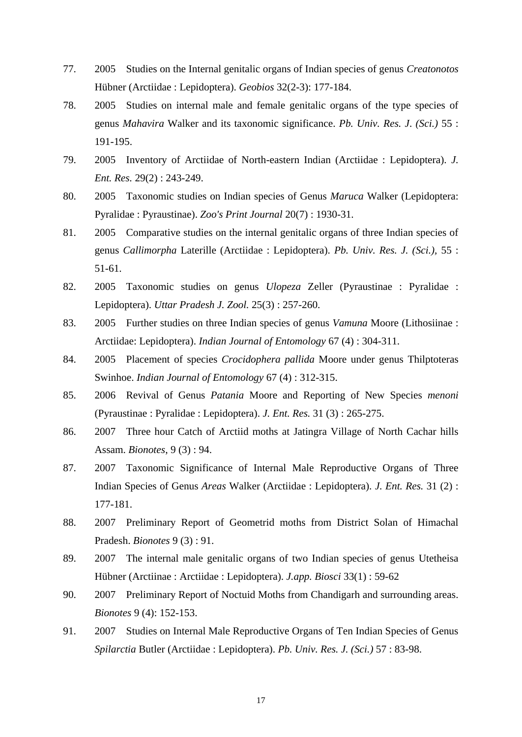- 77. 2005 Studies on the Internal genitalic organs of Indian species of genus *Creatonotos*  Hübner (Arctiidae : Lepidoptera). *Geobios* 32(2-3): 177-184.
- 78. 2005 Studies on internal male and female genitalic organs of the type species of genus *Mahavira* Walker and its taxonomic significance. *Pb. Univ. Res. J*. *(Sci.)* 55 : 191-195.
- 79. 2005 Inventory of Arctiidae of North-eastern Indian (Arctiidae : Lepidoptera). *J. Ent. Res.* 29(2) : 243-249.
- 80. 2005 Taxonomic studies on Indian species of Genus *Maruca* Walker (Lepidoptera: Pyralidae : Pyraustinae). *Zoo's Print Journal* 20(7) : 1930-31.
- 81. 2005 Comparative studies on the internal genitalic organs of three Indian species of genus *Callimorpha* Laterille (Arctiidae : Lepidoptera). *Pb. Univ. Res. J. (Sci.),* 55 : 51-61.
- 82. 2005 Taxonomic studies on genus *Ulopeza* Zeller (Pyraustinae : Pyralidae : Lepidoptera). *Uttar Pradesh J. Zool.* 25(3) : 257-260.
- 83. 2005 Further studies on three Indian species of genus *Vamuna* Moore (Lithosiinae : Arctiidae: Lepidoptera). *Indian Journal of Entomology* 67 (4) : 304-311.
- 84. 2005 Placement of species *Crocidophera pallida* Moore under genus Thilptoteras Swinhoe. *Indian Journal of Entomology* 67 (4) : 312-315.
- 85. 2006 Revival of Genus *Patania* Moore and Reporting of New Species *menoni*  (Pyraustinae : Pyralidae : Lepidoptera). *J. Ent. Res.* 31 (3) : 265-275.
- 86. 2007 Three hour Catch of Arctiid moths at Jatingra Village of North Cachar hills Assam. *Bionotes*, 9 (3) : 94.
- 87. 2007 Taxonomic Significance of Internal Male Reproductive Organs of Three Indian Species of Genus *Areas* Walker (Arctiidae : Lepidoptera). *J. Ent. Res.* 31 (2) : 177-181.
- 88. 2007 Preliminary Report of Geometrid moths from District Solan of Himachal Pradesh. *Bionotes* 9 (3) : 91.
- 89. 2007 The internal male genitalic organs of two Indian species of genus Utetheisa Hübner (Arctiinae : Arctiidae : Lepidoptera). *J.app. Biosci* 33(1) : 59-62
- 90. 2007 Preliminary Report of Noctuid Moths from Chandigarh and surrounding areas. *Bionotes* 9 (4): 152-153.
- 91. 2007 Studies on Internal Male Reproductive Organs of Ten Indian Species of Genus *Spilarctia* Butler (Arctiidae : Lepidoptera). *Pb. Univ. Res. J. (Sci.)* 57 : 83-98.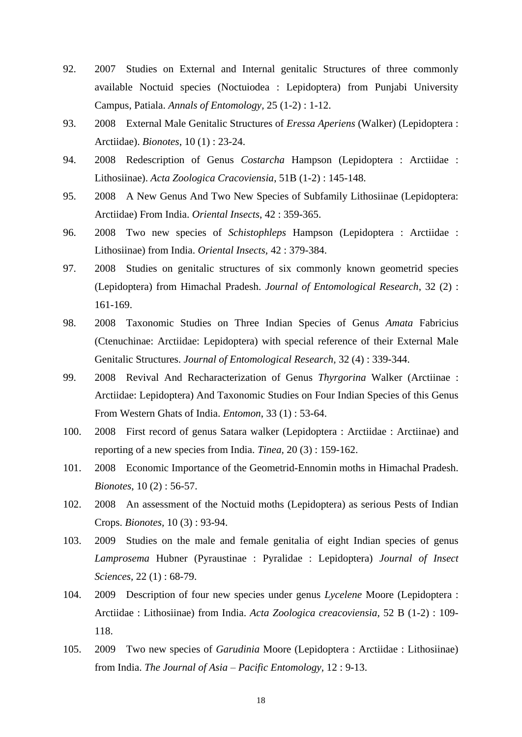- 92. 2007 Studies on External and Internal genitalic Structures of three commonly available Noctuid species (Noctuiodea : Lepidoptera) from Punjabi University Campus, Patiala. *Annals of Entomology,* 25 (1-2) : 1-12.
- 93. 2008 External Male Genitalic Structures of *Eressa Aperiens* (Walker) (Lepidoptera : Arctiidae). *Bionotes*, 10 (1) : 23-24.
- 94. 2008 Redescription of Genus *Costarcha* Hampson (Lepidoptera : Arctiidae : Lithosiinae). *Acta Zoologica Cracoviensia*, 51B (1-2) : 145-148.
- 95. 2008 A New Genus And Two New Species of Subfamily Lithosiinae (Lepidoptera: Arctiidae) From India. *Oriental Insects*, 42 : 359-365.
- 96. 2008 Two new species of *Schistophleps* Hampson (Lepidoptera : Arctiidae : Lithosiinae) from India. *Oriental Insects,* 42 : 379-384.
- 97. 2008 Studies on genitalic structures of six commonly known geometrid species (Lepidoptera) from Himachal Pradesh. *Journal of Entomological Research*, 32 (2) : 161-169.
- 98. 2008 Taxonomic Studies on Three Indian Species of Genus *Amata* Fabricius (Ctenuchinae: Arctiidae: Lepidoptera) with special reference of their External Male Genitalic Structures. *Journal of Entomological Research,* 32 (4) : 339-344.
- 99. 2008 Revival And Recharacterization of Genus *Thyrgorina* Walker (Arctiinae : Arctiidae: Lepidoptera) And Taxonomic Studies on Four Indian Species of this Genus From Western Ghats of India. *Entomon*, 33 (1) : 53-64.
- 100. 2008 First record of genus Satara walker (Lepidoptera : Arctiidae : Arctiinae) and reporting of a new species from India. *Tinea,* 20 (3) : 159-162.
- 101. 2008 Economic Importance of the Geometrid-Ennomin moths in Himachal Pradesh. *Bionotes*, 10 (2) : 56-57.
- 102. 2008 An assessment of the Noctuid moths (Lepidoptera) as serious Pests of Indian Crops. *Bionotes,* 10 (3) : 93-94.
- 103. 2009 Studies on the male and female genitalia of eight Indian species of genus *Lamprosema* Hubner (Pyraustinae : Pyralidae : Lepidoptera) *Journal of Insect Sciences,* 22 (1) : 68-79.
- 104. 2009 Description of four new species under genus *Lycelene* Moore (Lepidoptera : Arctiidae : Lithosiinae) from India. *Acta Zoologica creacoviensia,* 52 B (1-2) : 109- 118.
- 105. 2009 Two new species of *Garudinia* Moore (Lepidoptera : Arctiidae : Lithosiinae) from India. *The Journal of Asia – Pacific Entomology,* 12 : 9-13.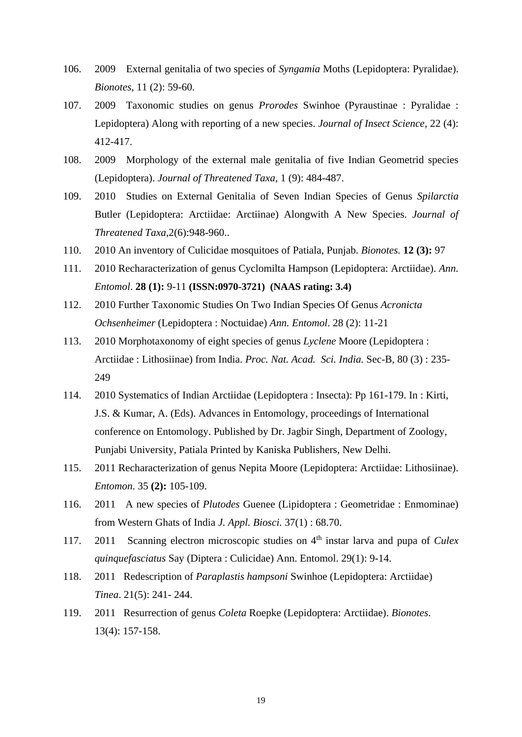- 106. 2009 External genitalia of two species of *Syngamia* Moths (Lepidoptera: Pyralidae). *Bionotes*, 11 (2): 59-60.
- 107. 2009 Taxonomic studies on genus *Prorodes* Swinhoe (Pyraustinae : Pyralidae : Lepidoptera) Along with reporting of a new species. *Journal of Insect Science*, 22 (4): 412-417.
- 108. 2009 Morphology of the external male genitalia of five Indian Geometrid species (Lepidoptera). *Journal of Threatened Taxa,* 1 (9): 484-487.
- 109. 2010 Studies on External Genitalia of Seven Indian Species of Genus *Spilarctia* Butler (Lepidoptera: Arctiidae: Arctiinae) Alongwith A New Species. *Journal of Threatened Taxa*,2(6):948-960..
- 110. 2010 An inventory of Culicidae mosquitoes of Patiala, Punjab. *Bionotes.* **12 (3):** 97
- 111. 2010 Recharacterization of genus Cyclomilta Hampson (Lepidoptera: Arctiidae). *Ann. Entomol*. **28 (1):** 9-11 **(ISSN:0970-3721) (NAAS rating: 3.4)**
- 112. 2010 Further Taxonomic Studies On Two Indian Species Of Genus *Acronicta Ochsenheimer* (Lepidoptera : Noctuidae) *Ann. Entomol*. 28 (2): 11-21
- 113. 2010 Morphotaxonomy of eight species of genus *Lyclene* Moore (Lepidoptera : Arctiidae : Lithosiinae) from India. *Proc. Nat. Acad. Sci. India.* Sec-B, 80 (3) : 235- 249
- 114. 2010 Systematics of Indian Arctiidae (Lepidoptera : Insecta): Pp 161-179. In : Kirti, J.S. & Kumar, A. (Eds). Advances in Entomology, proceedings of International conference on Entomology. Published by Dr. Jagbir Singh, Department of Zoology, Punjabi University, Patiala Printed by Kaniska Publishers, New Delhi.
- 115. 2011 Recharacterization of genus Nepita Moore (Lepidoptera: Arctiidae: Lithosiinae). *Entomon*. 35 **(2):** 105-109.
- 116. 2011 A new species of *Plutodes* Guenee (Lipidoptera : Geometridae : Enmominae) from Western Ghats of India *J. Appl. Biosci.* 37(1) : 68.70.
- 117. 2011 Scanning electron microscopic studies on 4th instar larva and pupa of *Culex quinquefasciatus* Say (Diptera : Culicidae) Ann. Entomol. 29(1): 9-14.
- 118. 2011 Redescription of *Paraplastis hampsoni* Swinhoe (Lepidoptera: Arctiidae) *Tinea*. 21(5): 241- 244.
- 119. 2011 Resurrection of genus *Coleta* Roepke (Lepidoptera: Arctiidae). *Bionotes*. 13(4): 157-158.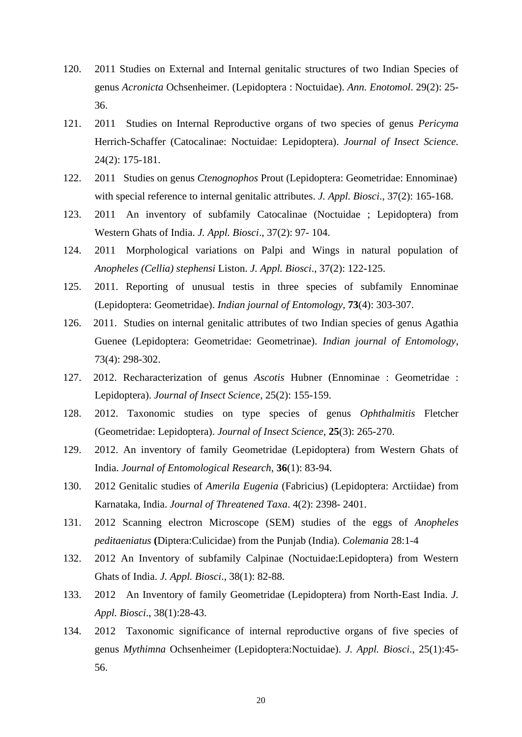- 120. 2011 Studies on External and Internal genitalic structures of two Indian Species of genus *Acronicta* Ochsenheimer. (Lepidoptera : Noctuidae). *Ann. Enotomol*. 29(2): 25- 36.
- 121. 2011 Studies on Internal Reproductive organs of two species of genus *Pericyma* Herrich-Schaffer (Catocalinae: Noctuidae: Lepidoptera). *Journal of Insect Science.* 24(2): 175-181.
- 122. 2011 Studies on genus *Ctenognophos* Prout (Lepidoptera: Geometridae: Ennominae) with special reference to internal genitalic attributes. *J. Appl. Biosci*., 37(2): 165-168.
- 123. 2011 An inventory of subfamily Catocalinae (Noctuidae ; Lepidoptera) from Western Ghats of India. *J. Appl. Biosci*., 37(2): 97- 104.
- 124. 2011 Morphological variations on Palpi and Wings in natural population of *Anopheles (Cellia) stephensi* Liston. *J. Appl. Biosci*., 37(2): 122-125.
- 125. 2011. Reporting of unusual testis in three species of subfamily Ennominae (Lepidoptera: Geometridae). *Indian journal of Entomology*, **73**(4): 303-307.
- 126. 2011. Studies on internal genitalic attributes of two Indian species of genus Agathia Guenee (Lepidoptera: Geometridae: Geometrinae). *Indian journal of Entomology*, 73(4): 298-302.
- 127. 2012. Recharacterization of genus *Ascotis* Hubner (Ennominae : Geometridae : Lepidoptera). *Journal of Insect Science*, 25(2): 155-159.
- 128. 2012. Taxonomic studies on type species of genus *Ophthalmitis* Fletcher (Geometridae: Lepidoptera). *Journal of Insect Science*, **25**(3): 265-270.
- 129. 2012. An inventory of family Geometridae (Lepidoptera) from Western Ghats of India. *Journal of Entomological Research*, **36**(1): 83-94.
- 130. 2012 Genitalic studies of *Amerila Eugenia* (Fabricius) (Lepidoptera: Arctiidae) from Karnataka, India. *Journal of Threatened Taxa*. 4(2): 2398- 2401.
- 131. 2012 Scanning electron Microscope (SEM) studies of the eggs of *Anopheles peditaeniatus* **(**Diptera:Culicidae) from the Punjab (India). *Colemania* 28:1-4
- 132. 2012 An Inventory of subfamily Calpinae (Noctuidae:Lepidoptera) from Western Ghats of India. *J. Appl. Biosci*., 38(1): 82-88.
- 133. 2012 An Inventory of family Geometridae (Lepidoptera) from North-East India. *J. Appl. Biosci*., 38(1):28-43.
- 134. 2012 Taxonomic significance of internal reproductive organs of five species of genus *Mythimna* Ochsenheimer (Lepidoptera:Noctuidae). *J. Appl. Biosci*., 25(1):45- 56.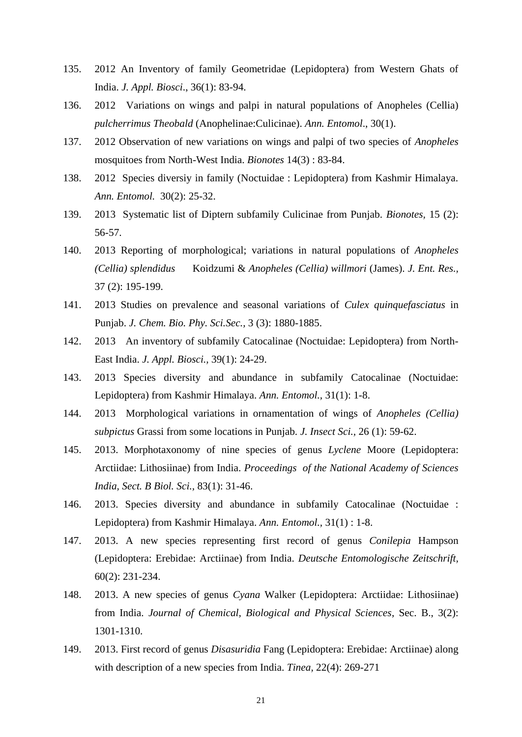- 135. 2012 An Inventory of family Geometridae (Lepidoptera) from Western Ghats of India. *J. Appl. Biosci*., 36(1): 83-94.
- 136. 2012 Variations on wings and palpi in natural populations of Anopheles (Cellia) *pulcherrimus Theobald* (Anophelinae:Culicinae). *Ann. Entomol*., 30(1).
- 137. 2012 Observation of new variations on wings and palpi of two species of *Anopheles*  mosquitoes from North-West India. *Bionotes* 14(3) : 83-84.
- 138. 2012 Species diversiy in family (Noctuidae : Lepidoptera) from Kashmir Himalaya. *Ann. Entomol.* 30(2): 25-32.
- 139. 2013 Systematic list of Diptern subfamily Culicinae from Punjab. *Bionotes,* 15 (2): 56-57.
- 140. 2013 Reporting of morphological; variations in natural populations of *Anopheles (Cellia) splendidus* Koidzumi & *Anopheles (Cellia) willmori* (James). *J. Ent. Res.,* 37 (2): 195-199.
- 141. 2013 Studies on prevalence and seasonal variations of *Culex quinquefasciatus* in Punjab. *J. Chem. Bio. Phy. Sci.Sec.,* 3 (3): 1880-1885.
- 142. 2013 An inventory of subfamily Catocalinae (Noctuidae: Lepidoptera) from North-East India. *J. Appl. Biosci.,* 39(1): 24-29.
- 143. 2013 Species diversity and abundance in subfamily Catocalinae (Noctuidae: Lepidoptera) from Kashmir Himalaya. *Ann. Entomol.,* 31(1): 1-8.
- 144. 2013 Morphological variations in ornamentation of wings of *Anopheles (Cellia) subpictus* Grassi from some locations in Punjab. *J. Insect Sci.,* 26 (1): 59-62.
- 145. 2013. Morphotaxonomy of nine species of genus *Lyclene* Moore (Lepidoptera: Arctiidae: Lithosiinae) from India. *Proceedings of the National Academy of Sciences India, Sect. B Biol. Sci.,* 83(1): 31-46.
- 146. 2013. Species diversity and abundance in subfamily Catocalinae (Noctuidae : Lepidoptera) from Kashmir Himalaya. *Ann. Entomol.,* 31(1) : 1-8.
- 147. 2013. A new species representing first record of genus *Conilepia* Hampson (Lepidoptera: Erebidae: Arctiinae) from India. *Deutsche Entomologische Zeitschrift,*  60(2): 231-234.
- 148. 2013. A new species of genus *Cyana* Walker (Lepidoptera: Arctiidae: Lithosiinae) from India. *Journal of Chemical, Biological and Physical Sciences*, Sec. B., 3(2): 1301-1310.
- 149. 2013. First record of genus *Disasuridia* Fang (Lepidoptera: Erebidae: Arctiinae) along with description of a new species from India. *Tinea,* 22(4): 269-271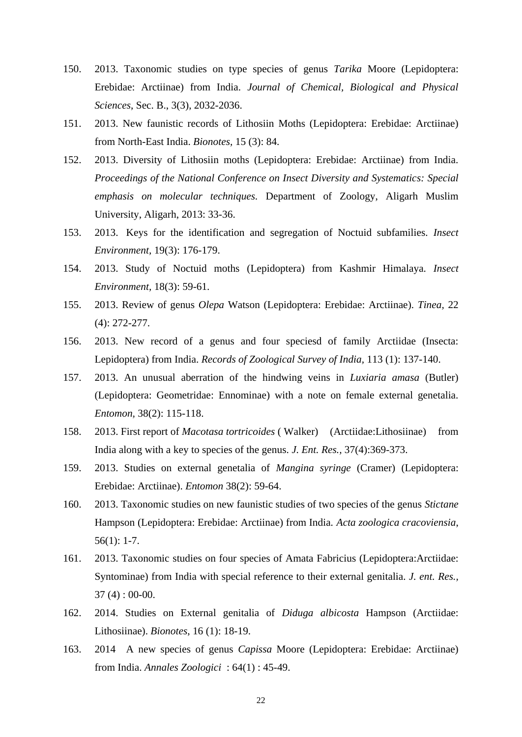- 150. 2013. Taxonomic studies on type species of genus *Tarika* Moore (Lepidoptera: Erebidae: Arctiinae) from India. *Journal of Chemical, Biological and Physical Sciences*, Sec. B., 3(3), 2032-2036.
- 151. 2013. New faunistic records of Lithosiin Moths (Lepidoptera: Erebidae: Arctiinae) from North-East India. *Bionotes,* 15 (3): 84.
- 152. 2013. Diversity of Lithosiin moths (Lepidoptera: Erebidae: Arctiinae) from India. *Proceedings of the National Conference on Insect Diversity and Systematics: Special emphasis on molecular techniques.* Department of Zoology, Aligarh Muslim University, Aligarh, 2013: 33-36.
- 153. 2013. Keys for the identification and segregation of Noctuid subfamilies. *Insect Environment,* 19(3): 176-179.
- 154. 2013. Study of Noctuid moths (Lepidoptera) from Kashmir Himalaya. *Insect Environment,* 18(3): 59-61.
- 155. 2013. Review of genus *Olepa* Watson (Lepidoptera: Erebidae: Arctiinae). *Tinea,* 22 (4): 272-277.
- 156. 2013. New record of a genus and four speciesd of family Arctiidae (Insecta: Lepidoptera) from India. *Records of Zoological Survey of India,* 113 (1): 137-140.
- 157. 2013. An unusual aberration of the hindwing veins in *Luxiaria amasa* (Butler) (Lepidoptera: Geometridae: Ennominae) with a note on female external genetalia. *Entomon,* 38(2): 115-118.
- 158. 2013. First report of *Macotasa tortricoides* ( Walker) (Arctiidae:Lithosiinae) from India along with a key to species of the genus. *J. Ent. Res.,* 37(4):369-373.
- 159. 2013. Studies on external genetalia of *Mangina syringe* (Cramer) (Lepidoptera: Erebidae: Arctiinae). *Entomon* 38(2): 59-64.
- 160. 2013. Taxonomic studies on new faunistic studies of two species of the genus *Stictane*  Hampson (Lepidoptera: Erebidae: Arctiinae) from India*. Acta zoologica cracoviensia*, 56(1): 1-7.
- 161. 2013. Taxonomic studies on four species of Amata Fabricius (Lepidoptera:Arctiidae: Syntominae) from India with special reference to their external genitalia. *J. ent. Res.,* 37 (4) : 00-00.
- 162. 2014. Studies on External genitalia of *Diduga albicosta* Hampson (Arctiidae: Lithosiinae). *Bionotes*, 16 (1): 18-19.
- 163. 2014 A new species of genus *Capissa* Moore (Lepidoptera: Erebidae: Arctiinae) from India. *Annales Zoologici* : 64(1) : 45-49.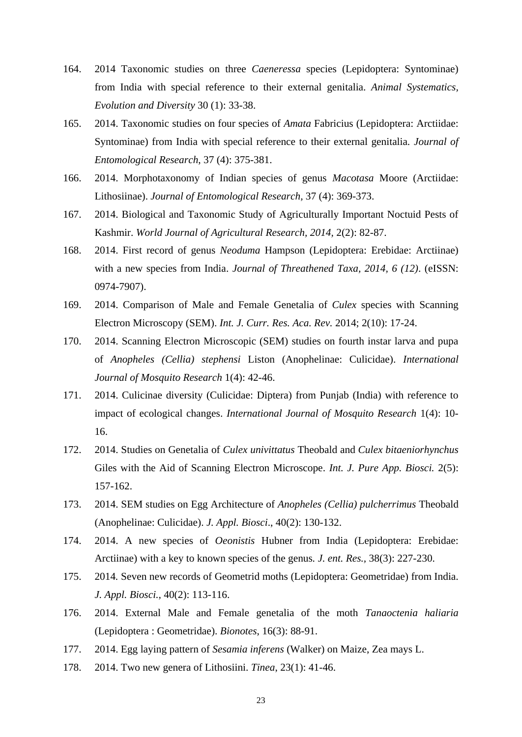- 164. 2014 Taxonomic studies on three *Caeneressa* species (Lepidoptera: Syntominae) from India with special reference to their external genitalia. *Animal Systematics, Evolution and Diversity* 30 (1): 33-38.
- 165. 2014. Taxonomic studies on four species of *Amata* Fabricius (Lepidoptera: Arctiidae: Syntominae) from India with special reference to their external genitalia. *Journal of Entomological Research*, 37 (4): 375-381.
- 166. 2014. Morphotaxonomy of Indian species of genus *Macotasa* Moore (Arctiidae: Lithosiinae). *Journal of Entomological Research,* 37 (4): 369-373.
- 167. 2014. Biological and Taxonomic Study of Agriculturally Important Noctuid Pests of Kashmir. *World Journal of Agricultural Research, 2014,* 2(2): 82-87.
- 168. 2014. First record of genus *Neoduma* Hampson (Lepidoptera: Erebidae: Arctiinae) with a new species from India. *Journal of Threathened Taxa, 2014, 6 (12)*. (eISSN: 0974-7907).
- 169. 2014. Comparison of Male and Female Genetalia of *Culex* species with Scanning Electron Microscopy (SEM). *Int. J. Curr. Res. Aca. Rev.* 2014; 2(10): 17-24.
- 170. 2014. Scanning Electron Microscopic (SEM) studies on fourth instar larva and pupa of *Anopheles (Cellia) stephensi* Liston (Anophelinae: Culicidae). *International Journal of Mosquito Research* 1(4): 42-46.
- 171. 2014. Culicinae diversity (Culicidae: Diptera) from Punjab (India) with reference to impact of ecological changes. *International Journal of Mosquito Research* 1(4): 10- 16.
- 172. 2014. Studies on Genetalia of *Culex univittatus* Theobald and *Culex bitaeniorhynchus* Giles with the Aid of Scanning Electron Microscope. *Int. J. Pure App. Biosci.* 2(5): 157-162.
- 173. 2014. SEM studies on Egg Architecture of *Anopheles (Cellia) pulcherrimus* Theobald (Anophelinae: Culicidae). *J. Appl. Biosci*., 40(2): 130-132.
- 174. 2014. A new species of *Oeonistis* Hubner from India (Lepidoptera: Erebidae: Arctiinae) with a key to known species of the genus*. J. ent. Res.,* 38(3): 227-230.
- 175. 2014*.* Seven new records of Geometrid moths (Lepidoptera: Geometridae) from India. *J. Appl. Biosci.,* 40(2): 113-116.
- 176. 2014. External Male and Female genetalia of the moth *Tanaoctenia haliaria* (Lepidoptera : Geometridae). *Bionotes*, 16(3): 88-91.
- 177. 2014. Egg laying pattern of *Sesamia inferens* (Walker) on Maize, Zea mays L.
- 178. 2014. Two new genera of Lithosiini. *Tinea*, 23(1): 41-46.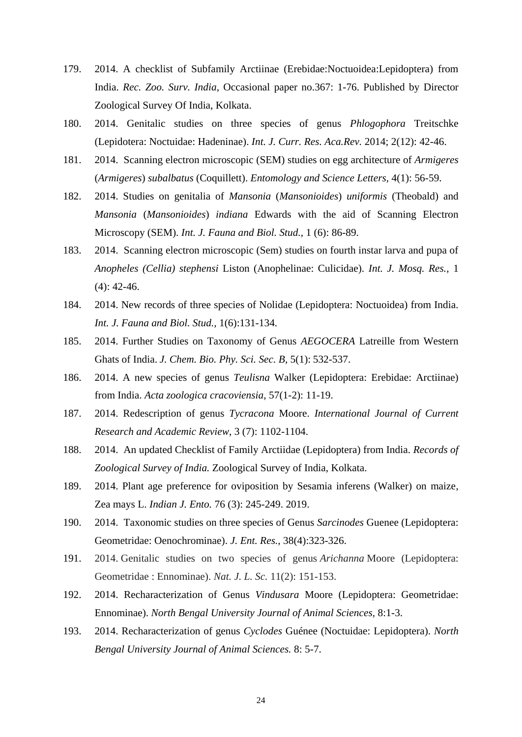- 179. 2014. A checklist of Subfamily Arctiinae (Erebidae:Noctuoidea:Lepidoptera) from India. *Rec. Zoo. Surv. India*, Occasional paper no.367: 1-76. Published by Director Zoological Survey Of India, Kolkata.
- 180. 2014. Genitalic studies on three species of genus *Phlogophora* Treitschke (Lepidotera: Noctuidae: Hadeninae). *Int. J. Curr. Res. Aca.Rev.* 2014; 2(12): 42-46.
- 181. 2014. Scanning electron microscopic (SEM) studies on egg architecture of *Armigeres*  (*Armigeres*) *subalbatus* (Coquillett). *Entomology and Science Letters,* 4(1): 56-59.
- 182. 2014. Studies on genitalia of *Mansonia* (*Mansonioides*) *uniformis* (Theobald) and *Mansonia* (*Mansonioides*) *indiana* Edwards with the aid of Scanning Electron Microscopy (SEM). *Int. J. Fauna and Biol. Stud.,* 1 (6): 86-89.
- 183. 2014. Scanning electron microscopic (Sem) studies on fourth instar larva and pupa of *Anopheles (Cellia) stephensi* Liston (Anophelinae: Culicidae). *Int. J. Mosq. Res.,* 1  $(4)$ : 42-46.
- 184. 2014. New records of three species of Nolidae (Lepidoptera: Noctuoidea) from India. *Int. J. Fauna and Biol. Stud.,* 1(6):131-134.
- 185. 2014. Further Studies on Taxonomy of Genus *AEGOCERA* Latreille from Western Ghats of India. *J. Chem. Bio. Phy. Sci. Sec. B,* 5(1): 532-537.
- 186. 2014. A new species of genus *Teulisna* Walker (Lepidoptera: Erebidae: Arctiinae) from India. *Acta zoologica cracoviensia*, 57(1-2): 11-19.
- 187. 2014. Redescription of genus *Tycracona* Moore. *International Journal of Current Research and Academic Review*, 3 (7): 1102-1104.
- 188. 2014. An updated Checklist of Family Arctiidae (Lepidoptera) from India. *Records of Zoological Survey of India.* Zoological Survey of India, Kolkata.
- 189. 2014. Plant age preference for oviposition by Sesamia inferens (Walker) on maize, Zea mays L. *Indian J. Ento.* 76 (3): 245-249. 2019.
- 190. 2014. Taxonomic studies on three species of Genus *Sarcinodes* Guenee (Lepidoptera: Geometridae: Oenochrominae). *J. Ent. Res.,* 38(4):323-326.
- 191. 2014. Genitalic studies on two species of genus *Arichanna* Moore (Lepidoptera: Geometridae : Ennominae). *Nat. J. L. Sc.* 11(2): 151-153.
- 192. 2014. Recharacterization of Genus *Vindusara* Moore (Lepidoptera: Geometridae: Ennominae). *North Bengal University Journal of Animal Sciences,* 8:1-3.
- 193. 2014. Recharacterization of genus *Cyclodes* Guénee (Noctuidae: Lepidoptera). *North Bengal University Journal of Animal Sciences.* 8: 5-7.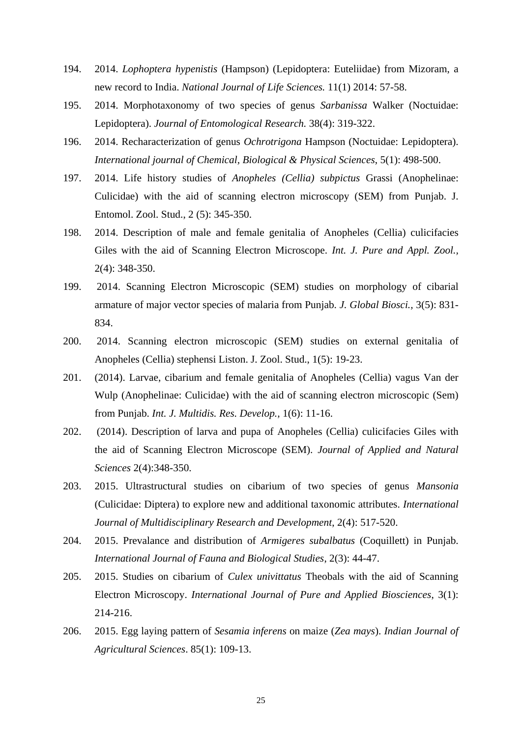- 194. 2014. *Lophoptera hypenistis* (Hampson) (Lepidoptera: Euteliidae) from Mizoram, a new record to India. *National Journal of Life Sciences.* 11(1) 2014: 57-58.
- 195. 2014. Morphotaxonomy of two species of genus *Sarbanissa* Walker (Noctuidae: Lepidoptera). *Journal of Entomological Research.* 38(4): 319-322.
- 196. 2014. Recharacterization of genus *Ochrotrigona* Hampson (Noctuidae: Lepidoptera). *International journal of Chemical, Biological & Physical Sciences*, 5(1): 498-500.
- 197. 2014. Life history studies of *Anopheles (Cellia) subpictus* Grassi (Anophelinae: Culicidae) with the aid of scanning electron microscopy (SEM) from Punjab. J. Entomol. Zool. Stud., 2 (5): 345-350.
- 198. 2014. Description of male and female genitalia of Anopheles (Cellia) culicifacies Giles with the aid of Scanning Electron Microscope. *Int. J. Pure and Appl. Zool.,* 2(4): 348-350.
- 199. 2014. Scanning Electron Microscopic (SEM) studies on morphology of cibarial armature of major vector species of malaria from Punjab. *J. Global Biosci.,* 3(5): 831- 834.
- 200. 2014. Scanning electron microscopic (SEM) studies on external genitalia of Anopheles (Cellia) stephensi Liston. J. Zool. Stud., 1(5): 19-23.
- 201. (2014). Larvae, cibarium and female genitalia of Anopheles (Cellia) vagus Van der Wulp (Anophelinae: Culicidae) with the aid of scanning electron microscopic (Sem) from Punjab. *Int. J. Multidis. Res. Develop.,* 1(6): 11-16.
- 202. (2014). Description of larva and pupa of Anopheles (Cellia) culicifacies Giles with the aid of Scanning Electron Microscope (SEM). *Journal of Applied and Natural Sciences* 2(4):348-350.
- 203. 2015. Ultrastructural studies on cibarium of two species of genus *Mansonia* (Culicidae: Diptera) to explore new and additional taxonomic attributes. *International Journal of Multidisciplinary Research and Development*, 2(4): 517-520.
- 204. 2015. Prevalance and distribution of *Armigeres subalbatus* (Coquillett) in Punjab. *International Journal of Fauna and Biological Studies*, 2(3): 44-47.
- 205. 2015. Studies on cibarium of *Culex univittatus* Theobals with the aid of Scanning Electron Microscopy. *International Journal of Pure and Applied Biosciences*, 3(1): 214-216.
- 206. 2015. Egg laying pattern of *Sesamia inferens* on maize (*Zea mays*). *Indian Journal of Agricultural Sciences*. 85(1): 109-13.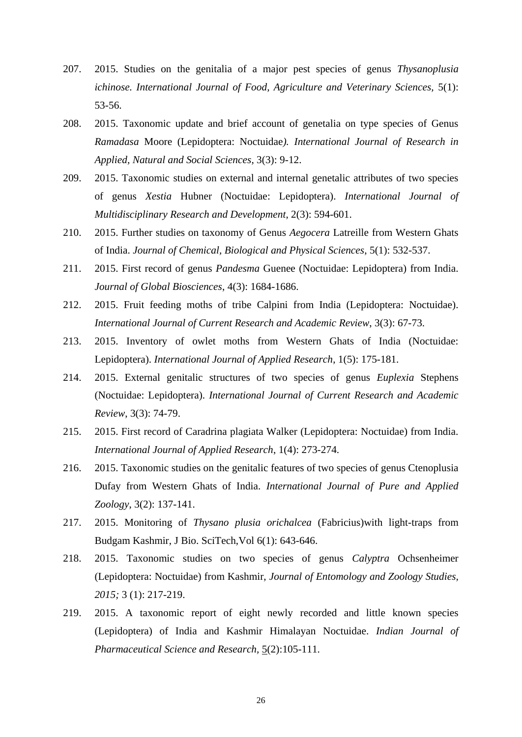- 207. 2015. Studies on the genitalia of a major pest species of genus *Thysanoplusia ichinose. International Journal of Food, Agriculture and Veterinary Sciences,* 5(1): 53-56.
- 208. 2015. Taxonomic update and brief account of genetalia on type species of Genus *Ramadasa* Moore (Lepidoptera: Noctuidae*). International Journal of Research in Applied, Natural and Social Sciences*, 3(3): 9-12.
- 209. 2015. Taxonomic studies on external and internal genetalic attributes of two species of genus *Xestia* Hubner (Noctuidae: Lepidoptera). *International Journal of Multidisciplinary Research and Development*, 2(3): 594-601.
- 210. 2015. Further studies on taxonomy of Genus *Aegocera* Latreille from Western Ghats of India. *Journal of Chemical, Biological and Physical Sciences*, 5(1): 532-537.
- 211. 2015. First record of genus *Pandesma* Guenee (Noctuidae: Lepidoptera) from India. *Journal of Global Biosciences*, 4(3): 1684-1686.
- 212. 2015. Fruit feeding moths of tribe Calpini from India (Lepidoptera: Noctuidae). *International Journal of Current Research and Academic Review*, 3(3): 67-73.
- 213. 2015. Inventory of owlet moths from Western Ghats of India (Noctuidae: Lepidoptera). *International Journal of Applied Research*, 1(5): 175-181.
- 214. 2015. External genitalic structures of two species of genus *Euplexia* Stephens (Noctuidae: Lepidoptera). *International Journal of Current Research and Academic Review*, 3(3): 74-79.
- 215. 2015. First record of Caradrina plagiata Walker (Lepidoptera: Noctuidae) from India. *International Journal of Applied Research*, 1(4): 273-274.
- 216. 2015. Taxonomic studies on the genitalic features of two species of genus Ctenoplusia Dufay from Western Ghats of India. *International Journal of Pure and Applied Zoology*, 3(2): 137-141.
- 217. 2015. Monitoring of *Thysano plusia orichalcea* (Fabricius)with light-traps from Budgam Kashmir, J Bio. SciTech,Vol 6(1): 643-646.
- 218. 2015. Taxonomic studies on two species of genus *Calyptra* Ochsenheimer (Lepidoptera: Noctuidae) from Kashmir, *Journal of Entomology and Zoology Studies, 2015;* 3 (1): 217-219.
- 219. 2015. A taxonomic report of eight newly recorded and little known species (Lepidoptera) of India and Kashmir Himalayan Noctuidae. *Indian Journal of Pharmaceutical Science and Research,* 5(2):105-111.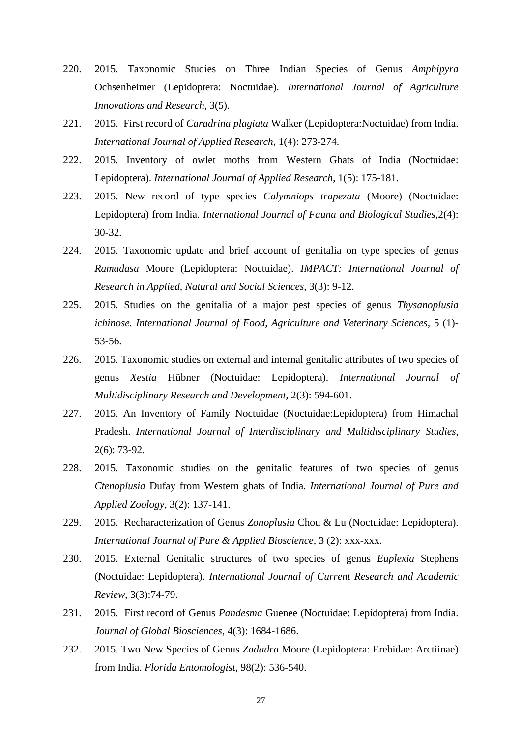- 220. 2015. Taxonomic Studies on Three Indian Species of Genus *Amphipyra*  Ochsenheimer (Lepidoptera: Noctuidae). *International Journal of Agriculture Innovations and Research*, 3(5).
- 221. 2015. First record of *Caradrina plagiata* Walker (Lepidoptera:Noctuidae) from India. *International Journal of Applied Research*, 1(4): 273-274.
- 222. 2015. Inventory of owlet moths from Western Ghats of India (Noctuidae: Lepidoptera). *International Journal of Applied Research*, 1(5): 175-181.
- 223. 2015. New record of type species *Calymniops trapezata* (Moore) (Noctuidae: Lepidoptera) from India. *International Journal of Fauna and Biological Studies*,2(4): 30-32.
- 224. 2015. Taxonomic update and brief account of genitalia on type species of genus *Ramadasa* Moore (Lepidoptera: Noctuidae). *IMPACT: International Journal of Research in Applied, Natural and Social Sciences,* 3(3): 9-12.
- 225. 2015. Studies on the genitalia of a major pest species of genus *Thysanoplusia ichinose. International Journal of Food, Agriculture and Veterinary Sciences,* 5 (1)- 53-56.
- 226. 2015. Taxonomic studies on external and internal genitalic attributes of two species of genus *Xestia* Hübner (Noctuidae: Lepidoptera). *International Journal of Multidisciplinary Research and Development,* 2(3): 594-601.
- 227. 2015. An Inventory of Family Noctuidae (Noctuidae:Lepidoptera) from Himachal Pradesh. *International Journal of Interdisciplinary and Multidisciplinary Studies*, 2(6): 73-92.
- 228. 2015. Taxonomic studies on the genitalic features of two species of genus *Ctenoplusia* Dufay from Western ghats of India. *International Journal of Pure and Applied Zoology,* 3(2): 137-141.
- 229. 2015. Recharacterization of Genus *Zonoplusia* Chou & Lu (Noctuidae: Lepidoptera). *International Journal of Pure & Applied Bioscience,* 3 (2): xxx-xxx.
- 230. 2015. External Genitalic structures of two species of genus *Euplexia* Stephens (Noctuidae: Lepidoptera). *International Journal of Current Research and Academic Review*, 3(3):74-79.
- 231. 2015. First record of Genus *Pandesma* Guenee (Noctuidae: Lepidoptera) from India. *Journal of Global Biosciences*, 4(3): 1684-1686.
- 232. 2015. Two New Species of Genus *Zadadra* Moore (Lepidoptera: Erebidae: Arctiinae) from India. *Florida Entomologist,* 98(2): 536-540.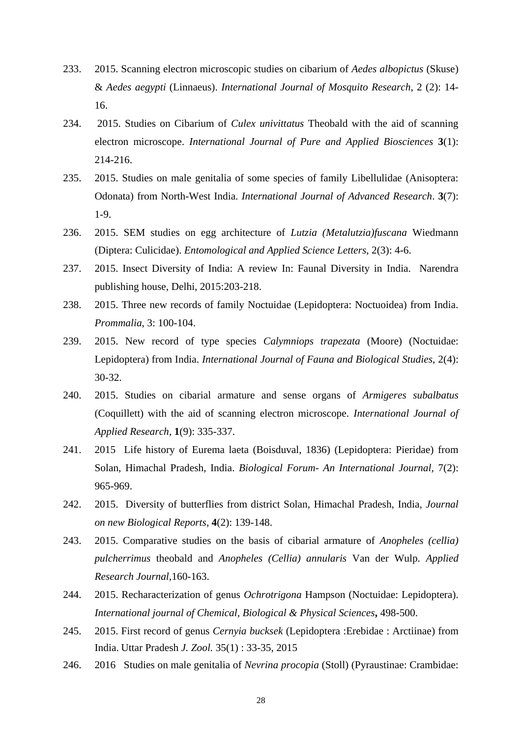- 233. 2015. Scanning electron microscopic studies on cibarium of *Aedes albopictus* (Skuse) & *Aedes aegypti* (Linnaeus). *International Journal of Mosquito Research*, 2 (2): 14- 16.
- 234. 2015. Studies on Cibarium of *Culex univittatus* Theobald with the aid of scanning electron microscope. *International Journal of Pure and Applied Biosciences* **3**(1): 214-216.
- 235. 2015. Studies on male genitalia of some species of family Libellulidae (Anisoptera: Odonata) from North-West India. *International Journal of Advanced Research*. **3**(7): 1-9.
- 236. 2015. SEM studies on egg architecture of *Lutzia (Metalutzia)fuscana* Wiedmann (Diptera: Culicidae). *Entomological and Applied Science Letters*, 2(3): 4-6.
- 237. 2015. Insect Diversity of India: A review In: Faunal Diversity in India. Narendra publishing house, Delhi, 2015:203-218.
- 238. 2015. Three new records of family Noctuidae (Lepidoptera: Noctuoidea) from India. *Prommalia*, 3: 100-104.
- 239. 2015. New record of type species *Calymniops trapezata* (Moore) (Noctuidae: Lepidoptera) from India. *International Journal of Fauna and Biological Studies,* 2(4): 30-32.
- 240. 2015. Studies on cibarial armature and sense organs of *Armigeres subalbatus* (Coquillett) with the aid of scanning electron microscope. *International Journal of Applied Research*, **1**(9): 335-337.
- 241. 2015 Life history of Eurema laeta (Boisduval, 1836) (Lepidoptera: Pieridae) from Solan, Himachal Pradesh, India. *Biological Forum- An International Journal,* 7(2): 965-969.
- 242. 2015. Diversity of butterflies from district Solan, Himachal Pradesh, India, *Journal on new Biological Reports*, **4**(2): 139-148.
- 243. 2015. Comparative studies on the basis of cibarial armature of *Anopheles (cellia) pulcherrimus* theobald and *Anopheles (Cellia) annularis* Van der Wulp. *Applied Research Journal,*160-163.
- 244. 2015. Recharacterization of genus *Ochrotrigona* Hampson (Noctuidae: Lepidoptera). *International journal of Chemical, Biological & Physical Sciences***,** 498-500.
- 245. 2015. First record of genus *Cernyia bucksek* (Lepidoptera :Erebidae : Arctiinae) from India. Uttar Pradesh *J. Zool.* 35(1) : 33-35, 2015
- 246. 2016 Studies on male genitalia of *Nevrina procopia* (Stoll) (Pyraustinae: Crambidae: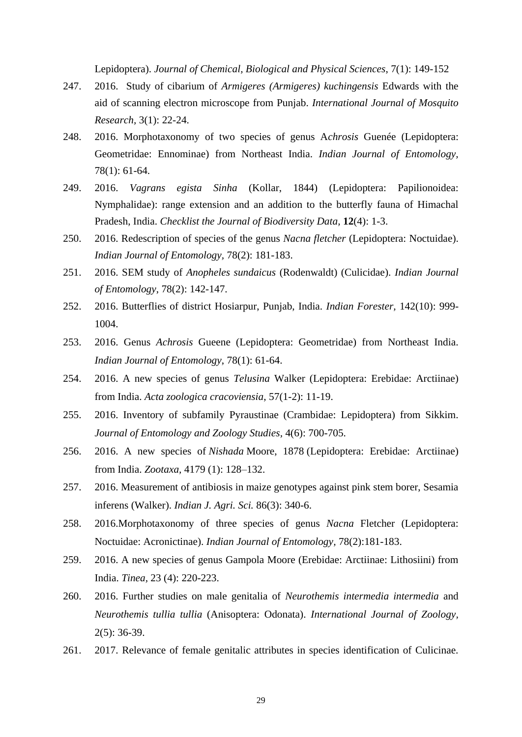Lepidoptera). *Journal of Chemical, Biological and Physical Sciences*, 7(1): 149-152

- 247. 2016. Study of cibarium of *Armigeres (Armigeres) kuchingensis* Edwards with the aid of scanning electron microscope from Punjab. *International Journal of Mosquito Research,* 3(1): 22-24.
- 248. 2016. Morphotaxonomy of two species of genus A*chrosis* Guenée (Lepidoptera: Geometridae: Ennominae) from Northeast India. *Indian Journal of Entomology,*  78(1): 61-64.
- 249. 2016. *Vagrans egista Sinha* (Kollar, 1844) (Lepidoptera: Papilionoidea: Nymphalidae): range extension and an addition to the butterfly fauna of Himachal Pradesh, India. *Checklist the Journal of Biodiversity Data,* **12**(4): 1-3.
- 250. 2016. Redescription of species of the genus *Nacna fletcher* (Lepidoptera: Noctuidae). *Indian Journal of Entomology,* 78(2): 181-183.
- 251. 2016. SEM study of *Anopheles sundaicus* (Rodenwaldt) (Culicidae). *Indian Journal of Entomology*, 78(2): 142-147.
- 252. 2016. Butterflies of district Hosiarpur, Punjab, India. *Indian Forester,* 142(10): 999- 1004.
- 253. 2016. Genus *Achrosis* Gueene (Lepidoptera: Geometridae) from Northeast India. *Indian Journal of Entomology*, 78(1): 61-64.
- 254. 2016. A new species of genus *Telusina* Walker (Lepidoptera: Erebidae: Arctiinae) from India. *Acta zoologica cracoviensia*, 57(1-2): 11-19.
- 255. 2016. Inventory of subfamily Pyraustinae (Crambidae: Lepidoptera) from Sikkim. *Journal of Entomology and Zoology Studies,* 4(6): 700-705.
- 256. 2016. A new species of *Nishada* Moore, 1878 (Lepidoptera: Erebidae: Arctiinae) from India. *Zootaxa,* 4179 (1): 128–132.
- 257. 2016. Measurement of antibiosis in maize genotypes against pink stem borer, Sesamia inferens (Walker). *Indian J. Agri. Sci.* 86(3): 340-6.
- 258. 2016.Morphotaxonomy of three species of genus *Nacna* Fletcher (Lepidoptera: Noctuidae: Acronictinae). *Indian Journal of Entomology,* 78(2):181-183.
- 259. 2016. A new species of genus Gampola Moore (Erebidae: Arctiinae: Lithosiini) from India. *Tinea,* 23 (4): 220-223.
- 260. 2016. Further studies on male genitalia of *Neurothemis intermedia intermedia* and *Neurothemis tullia tullia* (Anisoptera: Odonata). *International Journal of Zoology,* 2(5): 36-39.
- 261. 2017. Relevance of female genitalic attributes in species identification of Culicinae.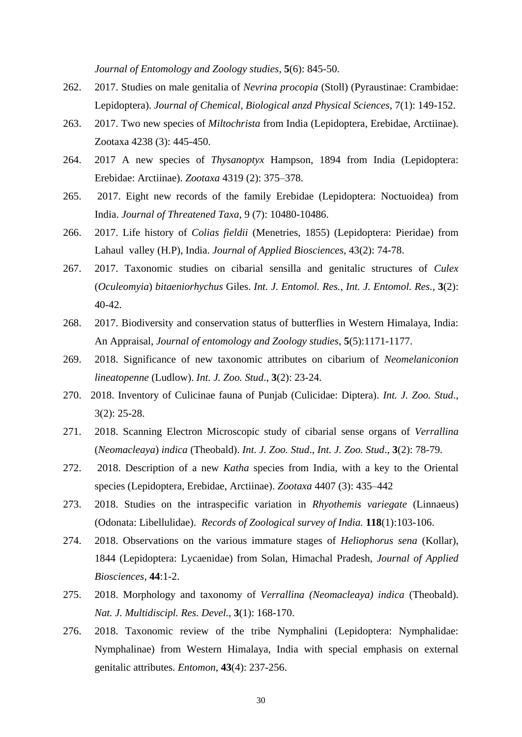*Journal of Entomology and Zoology studies*, **5**(6): 845-50.

- 262. 2017. Studies on male genitalia of *Nevrina procopia* (Stoll) (Pyraustinae: Crambidae: Lepidoptera). *Journal of Chemical, Biological anzd Physical Sciences*, 7(1): 149-152.
- 263. 2017. Two new species of *Miltochrista* from India (Lepidoptera, Erebidae, Arctiinae). Zootaxa 4238 (3): 445-450.
- 264. 2017 A new species of *Thysanoptyx* Hampson, 1894 from India (Lepidoptera: Erebidae: Arctiinae). *Zootaxa* 4319 (2): 375–378.
- 265. 2017. Eight new records of the family Erebidae (Lepidoptera: Noctuoidea) from India. *Journal of Threatened Taxa*, 9 (7): 10480-10486.
- 266. 2017. Life history of *Colias fieldii* (Menetries, 1855) (Lepidoptera: Pieridae) from Lahaul valley (H.P), India. *Journal of Applied Biosciences,* 43(2): 74-78.
- 267. 2017. Taxonomic studies on cibarial sensilla and genitalic structures of *Culex*  (*Oculeomyia*) *bitaeniorhychus* Giles. *Int. J. Entomol. Res.*, *Int. J. Entomol. Res.*, **3**(2): 40-42.
- 268. 2017. Biodiversity and conservation status of butterflies in Western Himalaya, India: An Appraisal, *Journal of entomology and Zoology studies*, **5**(5):1171-1177.
- 269. 2018. Significance of new taxonomic attributes on cibarium of *Neomelaniconion lineatopenne* (Ludlow). *Int. J. Zoo. Stud*., **3**(2): 23-24.
- 270. 2018. Inventory of Culicinae fauna of Punjab (Culicidae: Diptera). *Int. J. Zoo. Stud*., 3(2): 25-28.
- 271. 2018. Scanning Electron Microscopic study of cibarial sense organs of *Verrallina* (*Neomacleaya*) *indica* (Theobald). *Int. J. Zoo. Stud*., *Int. J. Zoo. Stud*., **3**(2): 78-79.
- 272. 2018. Description of a new *Katha* species from India, with a key to the Oriental species (Lepidoptera, Erebidae, Arctiinae). *Zootaxa* 4407 (3): 435–442
- 273. 2018. Studies on the intraspecific variation in *Rhyothemis variegate* (Linnaeus) (Odonata: Libellulidae). *Records of Zoological survey of India.* **118**(1):103-106.
- 274. 2018. Observations on the various immature stages of *Heliophorus sena* (Kollar), 1844 (Lepidoptera: Lycaenidae) from Solan, Himachal Pradesh, *Journal of Applied Biosciences*, **44**:1-2.
- 275. 2018. Morphology and taxonomy of *Verrallina (Neomacleaya) indica* (Theobald). *Nat. J. Multidiscipl. Res. Devel.,* **3**(1): 168-170.
- 276. 2018. Taxonomic review of the tribe Nymphalini (Lepidoptera: Nymphalidae: Nymphalinae) from Western Himalaya, India with special emphasis on external genitalic attributes. *Entomon*, **43**(4): 237-256.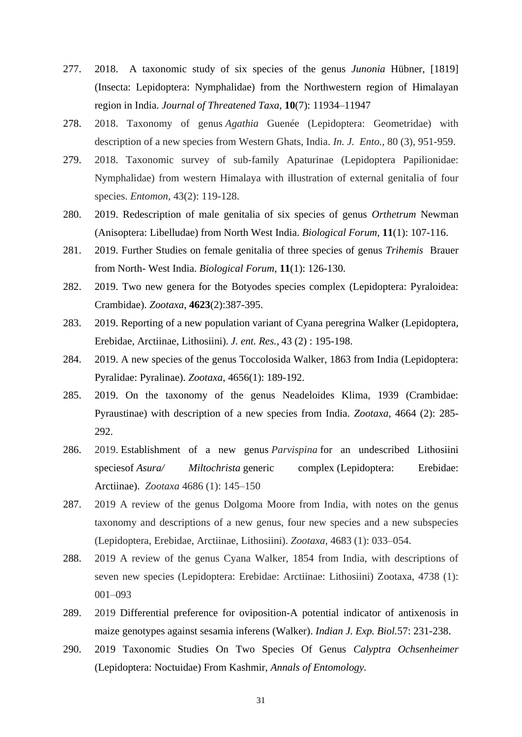- 277. 2018. A taxonomic study of six species of the genus *Junonia* Hübner, [1819] (Insecta: Lepidoptera: Nymphalidae) from the Northwestern region of Himalayan region in India. *Journal of Threatened Taxa*, **10**(7): 11934–11947
- 278. 2018. Taxonomy of genus *Agathia* Guenée (Lepidoptera: Geometridae) with description of a new species from Western Ghats, India. *In. J. Ento.,* 80 (3), 951-959.
- 279. 2018. Taxonomic survey of sub-family Apaturinae (Lepidoptera Papilionidae: Nymphalidae) from western Himalaya with illustration of external genitalia of four species. *Entomon*, 43(2): 119-128.
- 280. 2019. Redescription of male genitalia of six species of genus *Orthetrum* Newman (Anisoptera: Libelludae) from North West India. *Biological Forum,* **11**(1): 107-116.
- 281. 2019. Further Studies on female genitalia of three species of genus *Trihemis* Brauer from North- West India. *Biological Forum*, **11**(1): 126-130.
- 282. 2019. Two new genera for the Botyodes species complex (Lepidoptera: Pyraloidea: Crambidae). *Zootaxa*, **4623**(2):387-395.
- 283. 2019. Reporting of a new population variant of Cyana peregrina Walker (Lepidoptera, Erebidae, Arctiinae, Lithosiini). *J. ent. Res.,* 43 (2) : 195-198.
- 284. 2019. A new species of the genus Toccolosida Walker, 1863 from India (Lepidoptera: Pyralidae: Pyralinae). *Zootaxa*, 4656(1): 189-192.
- 285. 2019. On the taxonomy of the genus Neadeloides Klima, 1939 (Crambidae: Pyraustinae) with description of a new species from India. *Zootaxa*, 4664 (2): 285- 292.
- 286. 2019. Establishment of a new genus *Parvispina* for an undescribed Lithosiini speciesof *Asura/ Miltochrista* generic complex (Lepidoptera: Erebidae: Arctiinae). *Zootaxa* 4686 (1): 145–150
- 287. 2019 A review of the genus Dolgoma Moore from India, with notes on the genus taxonomy and descriptions of a new genus, four new species and a new subspecies (Lepidoptera, Erebidae, Arctiinae, Lithosiini). *Zootaxa,* 4683 (1): 033–054.
- 288. 2019 A review of the genus Cyana Walker, 1854 from India, with descriptions of seven new species (Lepidoptera: Erebidae: Arctiinae: Lithosiini) Zootaxa, 4738 (1): 001–093
- 289. 2019 Differential preference for oviposition-A potential indicator of antixenosis in maize genotypes against sesamia inferens (Walker). *Indian J. Exp. Biol.*57: 231-238.
- 290. 2019 Taxonomic Studies On Two Species Of Genus *Calyptra Ochsenheimer*  (Lepidoptera: Noctuidae) From Kashmir, *Annals of Entomology.*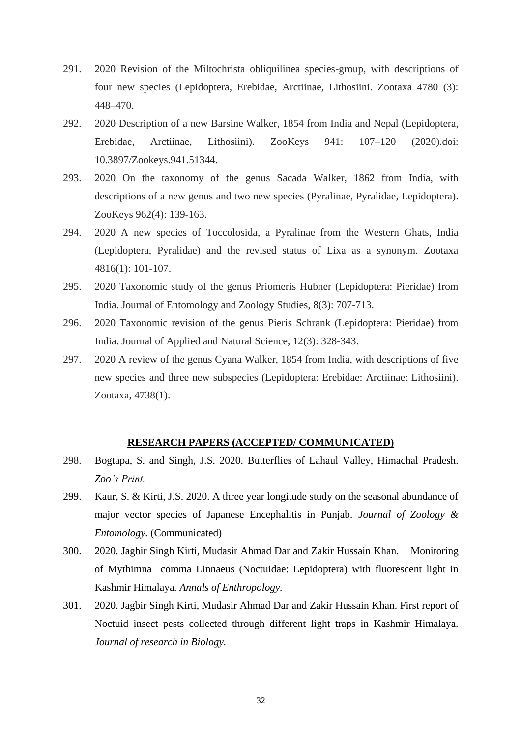- 291. 2020 Revision of the Miltochrista obliquilinea species-group, with descriptions of four new species (Lepidoptera, Erebidae, Arctiinae, Lithosiini. Zootaxa 4780 (3): 448–470.
- 292. 2020 Description of a new Barsine Walker, 1854 from India and Nepal (Lepidoptera, Erebidae, Arctiinae, Lithosiini). ZooKeys 941: 107–120 (2020).doi: 10.3897/Zookeys.941.51344.
- 293. 2020 On the taxonomy of the genus Sacada Walker, 1862 from India, with descriptions of a new genus and two new species (Pyralinae, Pyralidae, Lepidoptera). ZooKeys 962(4): 139-163.
- 294. 2020 A new species of Toccolosida, a Pyralinae from the Western Ghats, India (Lepidoptera, Pyralidae) and the revised status of Lixa as a synonym. Zootaxa 4816(1): 101-107.
- 295. 2020 Taxonomic study of the genus Priomeris Hubner (Lepidoptera: Pieridae) from India. Journal of Entomology and Zoology Studies, 8(3): 707-713.
- 296. 2020 Taxonomic revision of the genus Pieris Schrank (Lepidoptera: Pieridae) from India. Journal of Applied and Natural Science, 12(3): 328-343.
- 297. 2020 A review of the genus Cyana Walker, 1854 from India, with descriptions of five new species and three new subspecies (Lepidoptera: Erebidae: Arctiinae: Lithosiini). Zootaxa, 4738(1).

#### **RESEARCH PAPERS (ACCEPTED/ COMMUNICATED)**

- 298. Bogtapa, S. and Singh, J.S. 2020. Butterflies of Lahaul Valley, Himachal Pradesh. *Zoo's Print.*
- 299. Kaur, S. & Kirti, J.S. 2020. A three year longitude study on the seasonal abundance of major vector species of Japanese Encephalitis in Punjab. *Journal of Zoology & Entomology.* (Communicated)
- 300. 2020. Jagbir Singh Kirti, Mudasir Ahmad Dar and Zakir Hussain Khan. Monitoring of Mythimna comma Linnaeus (Noctuidae: Lepidoptera) with fluorescent light in Kashmir Himalaya*. Annals of Enthropology.*
- 301. 2020. Jagbir Singh Kirti, Mudasir Ahmad Dar and Zakir Hussain Khan. First report of Noctuid insect pests collected through different light traps in Kashmir Himalaya*. Journal of research in Biology.*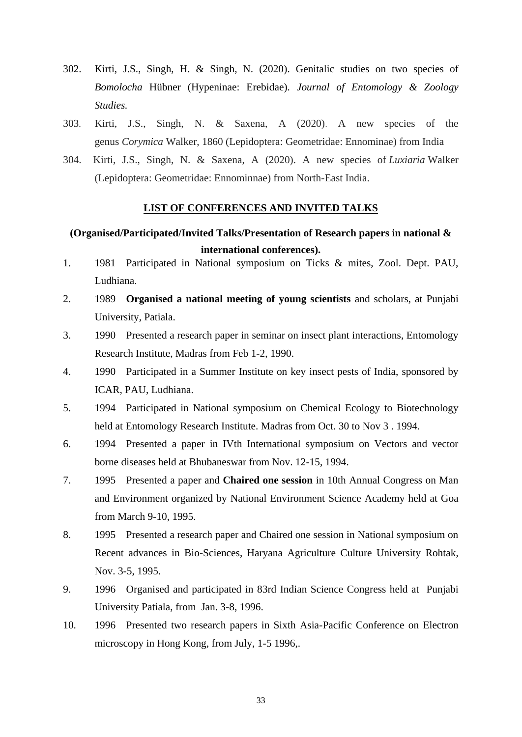- 302. Kirti, J.S., Singh, H. & Singh, N. (2020). Genitalic studies on two species of *Bomolocha* Hübner (Hypeninae: Erebidae). *Journal of Entomology & Zoology Studies.*
- 303. Kirti, J.S., Singh, N. & Saxena, A (2020). A new species of the genus *Corymica* Walker, 1860 (Lepidoptera: Geometridae: Ennominae) from India
- 304. Kirti, J.S., Singh, N. & Saxena, A (2020). A new species of *Luxiaria* Walker (Lepidoptera: Geometridae: Ennominnae) from North-East India.

#### **LIST OF CONFERENCES AND INVITED TALKS**

# **(Organised/Participated/Invited Talks/Presentation of Research papers in national & international conferences).**

- 1. 1981 Participated in National symposium on Ticks & mites, Zool. Dept. PAU, Ludhiana.
- 2. 1989 **Organised a national meeting of young scientists** and scholars, at Punjabi University, Patiala.
- 3. 1990 Presented a research paper in seminar on insect plant interactions, Entomology Research Institute, Madras from Feb 1-2, 1990.
- 4. 1990 Participated in a Summer Institute on key insect pests of India, sponsored by ICAR, PAU, Ludhiana.
- 5. 1994 Participated in National symposium on Chemical Ecology to Biotechnology held at Entomology Research Institute. Madras from Oct. 30 to Nov 3 . 1994.
- 6. 1994 Presented a paper in IVth International symposium on Vectors and vector borne diseases held at Bhubaneswar from Nov. 12-15, 1994.
- 7. 1995 Presented a paper and **Chaired one session** in 10th Annual Congress on Man and Environment organized by National Environment Science Academy held at Goa from March 9-10, 1995.
- 8. 1995 Presented a research paper and Chaired one session in National symposium on Recent advances in Bio-Sciences, Haryana Agriculture Culture University Rohtak, Nov. 3-5, 1995.
- 9. 1996 Organised and participated in 83rd Indian Science Congress held at Punjabi University Patiala, from Jan. 3-8, 1996.
- 10. 1996 Presented two research papers in Sixth Asia-Pacific Conference on Electron microscopy in Hong Kong, from July, 1-5 1996,.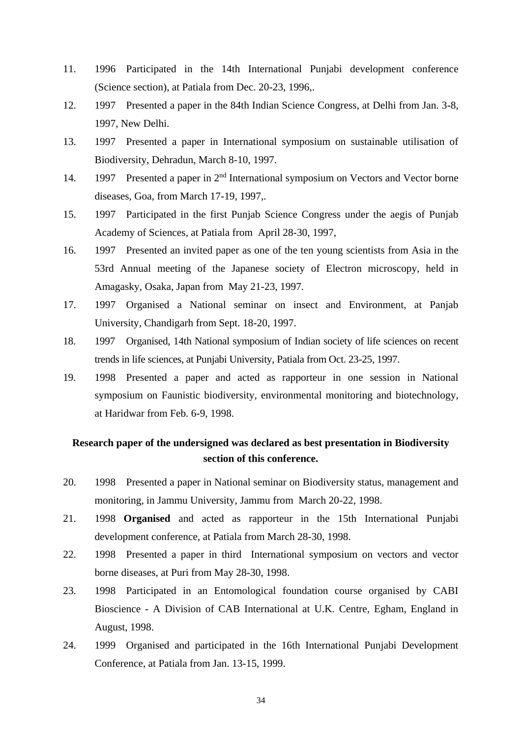- 11. 1996 Participated in the 14th International Punjabi development conference (Science section), at Patiala from Dec. 20-23, 1996,.
- 12. 1997 Presented a paper in the 84th Indian Science Congress, at Delhi from Jan. 3-8, 1997, New Delhi.
- 13. 1997 Presented a paper in International symposium on sustainable utilisation of Biodiversity, Dehradun, March 8-10, 1997.
- 14. 1997 Presented a paper in 2<sup>nd</sup> International symposium on Vectors and Vector borne diseases, Goa, from March 17-19, 1997,.
- 15. 1997 Participated in the first Punjab Science Congress under the aegis of Punjab Academy of Sciences, at Patiala from April 28-30, 1997,
- 16. 1997 Presented an invited paper as one of the ten young scientists from Asia in the 53rd Annual meeting of the Japanese society of Electron microscopy, held in Amagasky, Osaka, Japan from May 21-23, 1997.
- 17. 1997 Organised a National seminar on insect and Environment, at Panjab University, Chandigarh from Sept. 18-20, 1997.
- 18. 1997 Organised, 14th National symposium of Indian society of life sciences on recent trends in life sciences, at Punjabi University, Patiala from Oct. 23-25, 1997.
- 19. 1998 Presented a paper and acted as rapporteur in one session in National symposium on Faunistic biodiversity, environmental monitoring and biotechnology, at Haridwar from Feb. 6-9, 1998.

# **Research paper of the undersigned was declared as best presentation in Biodiversity section of this conference.**

- 20. 1998 Presented a paper in National seminar on Biodiversity status, management and monitoring, in Jammu University, Jammu from March 20-22, 1998.
- 21. 1998 **Organised** and acted as rapporteur in the 15th International Punjabi development conference, at Patiala from March 28-30, 1998.
- 22. 1998 Presented a paper in third International symposium on vectors and vector borne diseases, at Puri from May 28-30, 1998.
- 23. 1998 Participated in an Entomological foundation course organised by CABI Bioscience - A Division of CAB International at U.K. Centre, Egham, England in August, 1998.
- 24. 1999 Organised and participated in the 16th International Punjabi Development Conference, at Patiala from Jan. 13-15, 1999.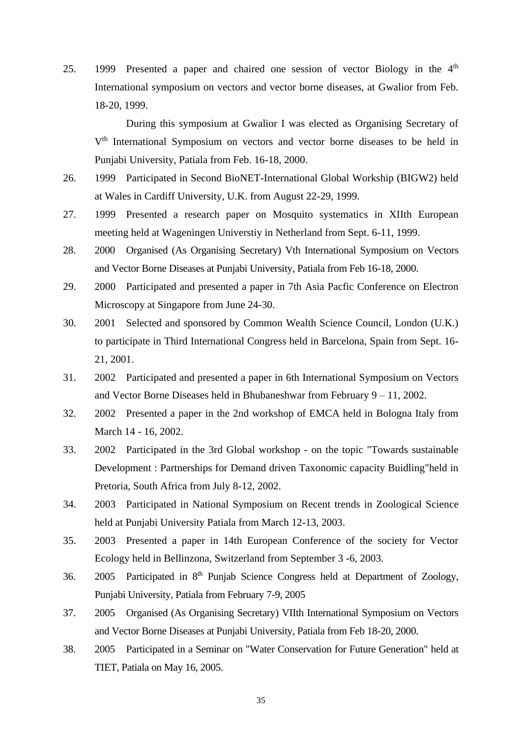25. 1999 Presented a paper and chaired one session of vector Biology in the  $4<sup>th</sup>$ International symposium on vectors and vector borne diseases, at Gwalior from Feb. 18-20, 1999.

During this symposium at Gwalior I was elected as Organising Secretary of V<sup>th</sup> International Symposium on vectors and vector borne diseases to be held in Punjabi University, Patiala from Feb. 16-18, 2000.

- 26. 1999 Participated in Second BioNET-International Global Workship (BIGW2) held at Wales in Cardiff University, U.K. from August 22-29, 1999.
- 27. 1999 Presented a research paper on Mosquito systematics in XIIth European meeting held at Wageningen Universtiy in Netherland from Sept. 6-11, 1999.
- 28. 2000 Organised (As Organising Secretary) Vth International Symposium on Vectors and Vector Borne Diseases at Punjabi University, Patiala from Feb 16-18, 2000.
- 29. 2000 Participated and presented a paper in 7th Asia Pacfic Conference on Electron Microscopy at Singapore from June 24-30.
- 30. 2001 Selected and sponsored by Common Wealth Science Council, London (U.K.) to participate in Third International Congress held in Barcelona, Spain from Sept. 16- 21, 2001.
- 31. 2002 Participated and presented a paper in 6th International Symposium on Vectors and Vector Borne Diseases held in Bhubaneshwar from February 9 – 11, 2002.
- 32. 2002 Presented a paper in the 2nd workshop of EMCA held in Bologna Italy from March 14 - 16, 2002.
- 33. 2002 Participated in the 3rd Global workshop on the topic "Towards sustainable Development : Partnerships for Demand driven Taxonomic capacity Buidling"held in Pretoria, South Africa from July 8-12, 2002.
- 34. 2003 Participated in National Symposium on Recent trends in Zoological Science held at Punjabi University Patiala from March 12-13, 2003.
- 35. 2003 Presented a paper in 14th European Conference of the society for Vector Ecology held in Bellinzona, Switzerland from September 3 -6, 2003.
- 36. 2005 Participated in 8<sup>th</sup> Punjab Science Congress held at Department of Zoology, Punjabi University, Patiala from February 7-9, 2005
- 37. 2005 Organised (As Organising Secretary) VIIth International Symposium on Vectors and Vector Borne Diseases at Punjabi University, Patiala from Feb 18-20, 2000.
- 38. 2005 Participated in a Seminar on "Water Conservation for Future Generation" held at TIET, Patiala on May 16, 2005.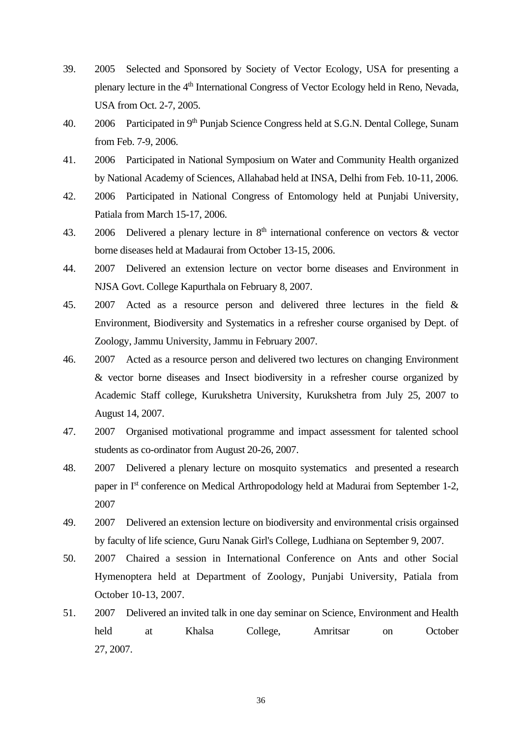- 39. 2005 Selected and Sponsored by Society of Vector Ecology, USA for presenting a plenary lecture in the 4<sup>th</sup> International Congress of Vector Ecology held in Reno, Nevada, USA from Oct. 2-7, 2005.
- 40. 2006 Participated in 9<sup>th</sup> Punjab Science Congress held at S.G.N. Dental College, Sunam from Feb. 7-9, 2006.
- 41. 2006 Participated in National Symposium on Water and Community Health organized by National Academy of Sciences, Allahabad held at INSA, Delhi from Feb. 10-11, 2006.
- 42. 2006 Participated in National Congress of Entomology held at Punjabi University, Patiala from March 15-17, 2006.
- 43. 2006 Delivered a plenary lecture in  $8<sup>th</sup>$  international conference on vectors  $\&$  vector borne diseases held at Madaurai from October 13-15, 2006.
- 44. 2007 Delivered an extension lecture on vector borne diseases and Environment in NJSA Govt. College Kapurthala on February 8, 2007.
- 45. 2007 Acted as a resource person and delivered three lectures in the field & Environment, Biodiversity and Systematics in a refresher course organised by Dept. of Zoology, Jammu University, Jammu in February 2007.
- 46. 2007 Acted as a resource person and delivered two lectures on changing Environment & vector borne diseases and Insect biodiversity in a refresher course organized by Academic Staff college, Kurukshetra University, Kurukshetra from July 25, 2007 to August 14, 2007.
- 47. 2007 Organised motivational programme and impact assessment for talented school students as co-ordinator from August 20-26, 2007.
- 48. 2007 Delivered a plenary lecture on mosquito systematics and presented a research paper in Ist conference on Medical Arthropodology held at Madurai from September 1-2, 2007
- 49. 2007 Delivered an extension lecture on biodiversity and environmental crisis orgainsed by faculty of life science, Guru Nanak Girl's College, Ludhiana on September 9, 2007.
- 50. 2007 Chaired a session in International Conference on Ants and other Social Hymenoptera held at Department of Zoology, Punjabi University, Patiala from October 10-13, 2007.
- 51. 2007 Delivered an invited talk in one day seminar on Science, Environment and Health held at Khalsa College, Amritsar on October 27, 2007.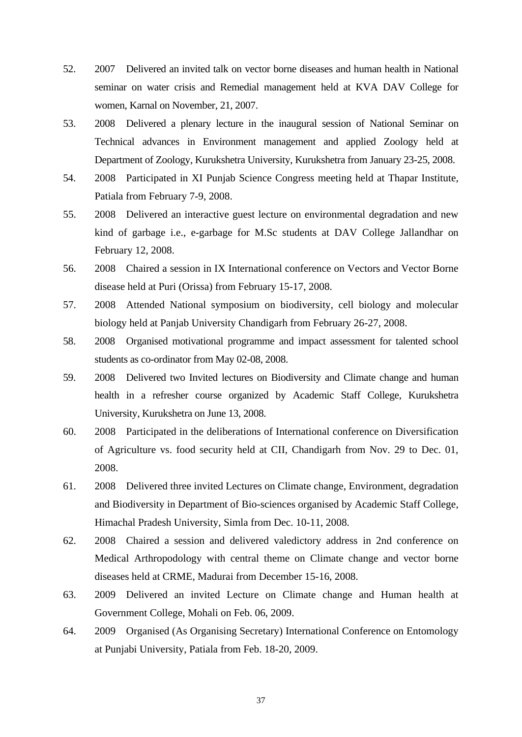- 52. 2007 Delivered an invited talk on vector borne diseases and human health in National seminar on water crisis and Remedial management held at KVA DAV College for women, Karnal on November, 21, 2007.
- 53. 2008 Delivered a plenary lecture in the inaugural session of National Seminar on Technical advances in Environment management and applied Zoology held at Department of Zoology, Kurukshetra University, Kurukshetra from January 23-25, 2008.
- 54. 2008 Participated in XI Punjab Science Congress meeting held at Thapar Institute, Patiala from February 7-9, 2008.
- 55. 2008 Delivered an interactive guest lecture on environmental degradation and new kind of garbage i.e., e-garbage for M.Sc students at DAV College Jallandhar on February 12, 2008.
- 56. 2008 Chaired a session in IX International conference on Vectors and Vector Borne disease held at Puri (Orissa) from February 15-17, 2008.
- 57. 2008 Attended National symposium on biodiversity, cell biology and molecular biology held at Panjab University Chandigarh from February 26-27, 2008.
- 58. 2008 Organised motivational programme and impact assessment for talented school students as co-ordinator from May 02-08, 2008.
- 59. 2008 Delivered two Invited lectures on Biodiversity and Climate change and human health in a refresher course organized by Academic Staff College, Kurukshetra University, Kurukshetra on June 13, 2008.
- 60. 2008 Participated in the deliberations of International conference on Diversification of Agriculture vs. food security held at CII, Chandigarh from Nov. 29 to Dec. 01, 2008.
- 61. 2008 Delivered three invited Lectures on Climate change, Environment, degradation and Biodiversity in Department of Bio-sciences organised by Academic Staff College, Himachal Pradesh University, Simla from Dec. 10-11, 2008.
- 62. 2008 Chaired a session and delivered valedictory address in 2nd conference on Medical Arthropodology with central theme on Climate change and vector borne diseases held at CRME, Madurai from December 15-16, 2008.
- 63. 2009 Delivered an invited Lecture on Climate change and Human health at Government College, Mohali on Feb. 06, 2009.
- 64. 2009 Organised (As Organising Secretary) International Conference on Entomology at Punjabi University, Patiala from Feb. 18-20, 2009.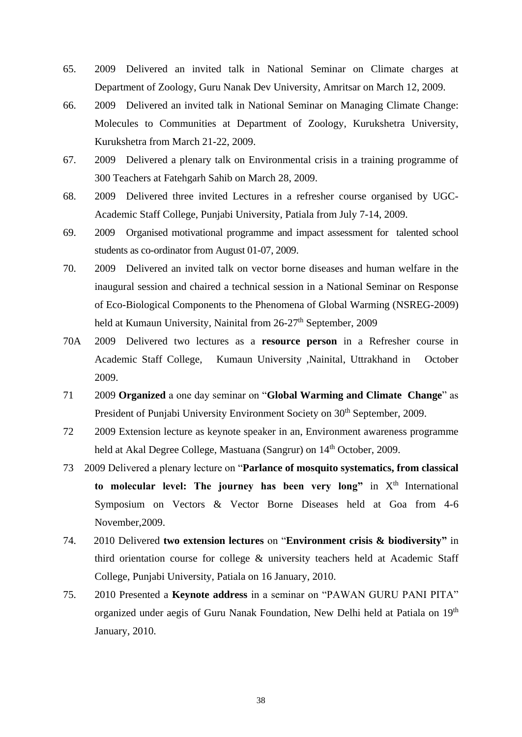- 65. 2009 Delivered an invited talk in National Seminar on Climate charges at Department of Zoology, Guru Nanak Dev University, Amritsar on March 12, 2009.
- 66. 2009 Delivered an invited talk in National Seminar on Managing Climate Change: Molecules to Communities at Department of Zoology, Kurukshetra University, Kurukshetra from March 21-22, 2009.
- 67. 2009 Delivered a plenary talk on Environmental crisis in a training programme of 300 Teachers at Fatehgarh Sahib on March 28, 2009.
- 68. 2009 Delivered three invited Lectures in a refresher course organised by UGC-Academic Staff College, Punjabi University, Patiala from July 7-14, 2009.
- 69. 2009 Organised motivational programme and impact assessment for talented school students as co-ordinator from August 01-07, 2009.
- 70. 2009 Delivered an invited talk on vector borne diseases and human welfare in the inaugural session and chaired a technical session in a National Seminar on Response of Eco-Biological Components to the Phenomena of Global Warming (NSREG-2009) held at Kumaun University, Nainital from 26-27<sup>th</sup> September, 2009
- 70A 2009 Delivered two lectures as a **resource person** in a Refresher course in Academic Staff College, Kumaun University ,Nainital, Uttrakhand in October 2009.
- 71 2009 **Organized** a one day seminar on "**Global Warming and Climate Change**" as President of Punjabi University Environment Society on 30<sup>th</sup> September, 2009.
- 72 2009 Extension lecture as keynote speaker in an, Environment awareness programme held at Akal Degree College, Mastuana (Sangrur) on 14<sup>th</sup> October, 2009.
- 73 2009 Delivered a plenary lecture on "**Parlance of mosquito systematics, from classical**  to molecular level: The journey has been very long" in X<sup>th</sup> International Symposium on Vectors & Vector Borne Diseases held at Goa from 4-6 November,2009.
- 74. 2010 Delivered **two extension lectures** on "**Environment crisis & biodiversity"** in third orientation course for college & university teachers held at Academic Staff College, Punjabi University, Patiala on 16 January, 2010.
- 75. 2010 Presented a **Keynote address** in a seminar on "PAWAN GURU PANI PITA" organized under aegis of Guru Nanak Foundation, New Delhi held at Patiala on 19<sup>th</sup> January, 2010.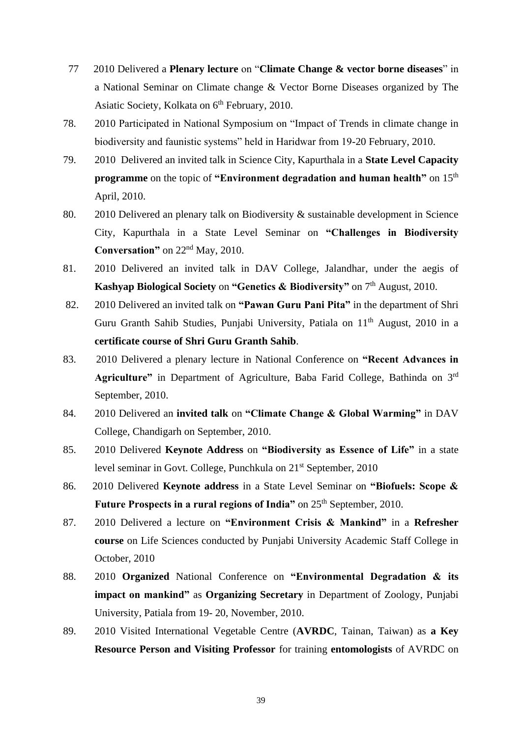- 77 2010 Delivered a **Plenary lecture** on "**Climate Change & vector borne diseases**" in a National Seminar on Climate change & Vector Borne Diseases organized by The Asiatic Society, Kolkata on 6<sup>th</sup> February, 2010.
- 78. 2010 Participated in National Symposium on "Impact of Trends in climate change in biodiversity and faunistic systems" held in Haridwar from 19-20 February, 2010.
- 79. 2010 Delivered an invited talk in Science City, Kapurthala in a **State Level Capacity programme** on the topic of **"Environment degradation and human health"** on 15<sup>th</sup> April, 2010.
- 80. 2010 Delivered an plenary talk on Biodiversity & sustainable development in Science City, Kapurthala in a State Level Seminar on **"Challenges in Biodiversity Conversation"** on 22nd May, 2010.
- 81. 2010 Delivered an invited talk in DAV College, Jalandhar, under the aegis of **Kashyap Biological Society** on "Genetics & Biodiversity" on 7<sup>th</sup> August, 2010.
- 82. 2010 Delivered an invited talk on **"Pawan Guru Pani Pita"** in the department of Shri Guru Granth Sahib Studies, Punjabi University, Patiala on 11<sup>th</sup> August, 2010 in a **certificate course of Shri Guru Granth Sahib**.
- 83. 2010 Delivered a plenary lecture in National Conference on **"Recent Advances in Agriculture"** in Department of Agriculture, Baba Farid College, Bathinda on 3rd September, 2010.
- 84. 2010 Delivered an **invited talk** on **"Climate Change & Global Warming"** in DAV College, Chandigarh on September, 2010.
- 85. 2010 Delivered **Keynote Address** on **"Biodiversity as Essence of Life"** in a state level seminar in Govt. College, Punchkula on 21<sup>st</sup> September, 2010
- 86. 2010 Delivered **Keynote address** in a State Level Seminar on **"Biofuels: Scope &**  Future Prospects in a rural regions of India" on 25<sup>th</sup> September, 2010.
- 87. 2010 Delivered a lecture on **"Environment Crisis & Mankind"** in a **Refresher course** on Life Sciences conducted by Punjabi University Academic Staff College in October, 2010
- 88. 2010 **Organized** National Conference on **"Environmental Degradation & its impact on mankind"** as **Organizing Secretary** in Department of Zoology, Punjabi University, Patiala from 19- 20, November, 2010.
- 89. 2010 Visited International Vegetable Centre (**AVRDC**, Tainan, Taiwan) as **a Key Resource Person and Visiting Professor** for training **entomologists** of AVRDC on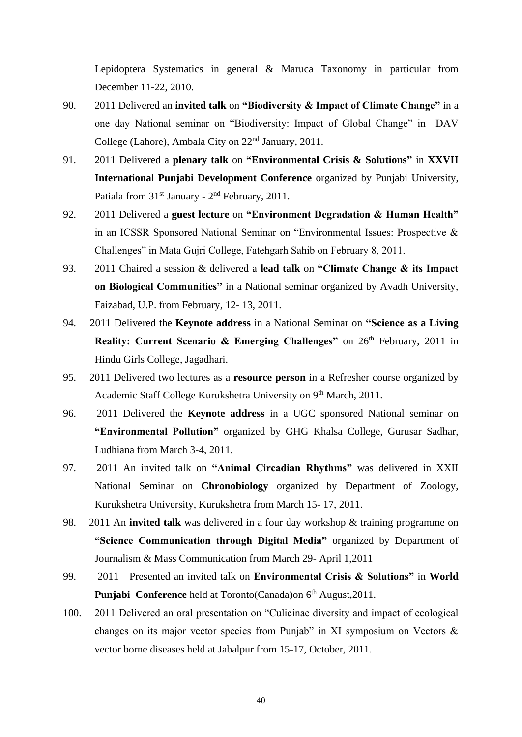Lepidoptera Systematics in general & Maruca Taxonomy in particular from December 11-22, 2010.

- 90. 2011 Delivered an **invited talk** on **"Biodiversity & Impact of Climate Change"** in a one day National seminar on "Biodiversity: Impact of Global Change" in DAV College (Lahore), Ambala City on 22nd January, 2011.
- 91. 2011 Delivered a **plenary talk** on **"Environmental Crisis & Solutions"** in **XXVII International Punjabi Development Conference** organized by Punjabi University, Patiala from 31<sup>st</sup> January - 2<sup>nd</sup> February, 2011.
- 92. 2011 Delivered a **guest lecture** on **"Environment Degradation & Human Health"** in an ICSSR Sponsored National Seminar on "Environmental Issues: Prospective & Challenges" in Mata Gujri College, Fatehgarh Sahib on February 8, 2011.
- 93. 2011 Chaired a session & delivered a **lead talk** on **"Climate Change & its Impact on Biological Communities"** in a National seminar organized by Avadh University, Faizabad, U.P. from February, 12- 13, 2011.
- 94. 2011 Delivered the **Keynote address** in a National Seminar on **"Science as a Living Reality: Current Scenario & Emerging Challenges"** on 26<sup>th</sup> February, 2011 in Hindu Girls College, Jagadhari.
- 95. 2011 Delivered two lectures as a **resource person** in a Refresher course organized by Academic Staff College Kurukshetra University on 9<sup>th</sup> March, 2011.
- 96. 2011 Delivered the **Keynote address** in a UGC sponsored National seminar on **"Environmental Pollution"** organized by GHG Khalsa College, Gurusar Sadhar, Ludhiana from March 3-4, 2011.
- 97. 2011 An invited talk on **"Animal Circadian Rhythms"** was delivered in XXII National Seminar on **Chronobiology** organized by Department of Zoology, Kurukshetra University, Kurukshetra from March 15- 17, 2011.
- 98. 2011 An **invited talk** was delivered in a four day workshop & training programme on **"Science Communication through Digital Media"** organized by Department of Journalism & Mass Communication from March 29- April 1,2011
- 99. 2011 Presented an invited talk on **Environmental Crisis & Solutions"** in **World Punjabi Conference** held at Toronto(Canada)on 6<sup>th</sup> August, 2011.
- 100. 2011 Delivered an oral presentation on "Culicinae diversity and impact of ecological changes on its major vector species from Punjab" in XI symposium on Vectors & vector borne diseases held at Jabalpur from 15-17, October, 2011.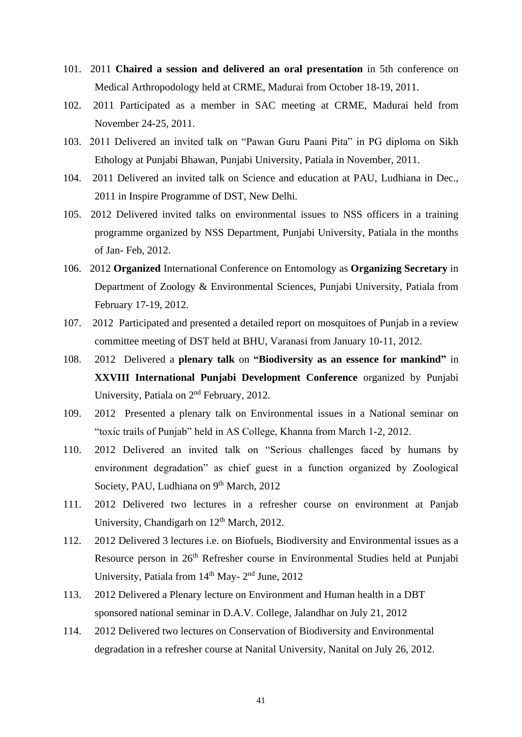- 101. 2011 **Chaired a session and delivered an oral presentation** in 5th conference on Medical Arthropodology held at CRME, Madurai from October 18-19, 2011.
- 102. 2011 Participated as a member in SAC meeting at CRME, Madurai held from November 24-25, 2011.
- 103. 2011 Delivered an invited talk on "Pawan Guru Paani Pita" in PG diploma on Sikh Ethology at Punjabi Bhawan, Punjabi University, Patiala in November, 2011.
- 104. 2011 Delivered an invited talk on Science and education at PAU, Ludhiana in Dec., 2011 in Inspire Programme of DST, New Delhi.
- 105. 2012 Delivered invited talks on environmental issues to NSS officers in a training programme organized by NSS Department, Punjabi University, Patiala in the months of Jan- Feb, 2012.
- 106. 2012 **Organized** International Conference on Entomology as **Organizing Secretary** in Department of Zoology & Environmental Sciences, Punjabi University, Patiala from February 17-19, 2012.
- 107. 2012 Participated and presented a detailed report on mosquitoes of Punjab in a review committee meeting of DST held at BHU, Varanasi from January 10-11, 2012.
- 108. 2012 Delivered a **plenary talk** on **"Biodiversity as an essence for mankind"** in **XXVIII International Punjabi Development Conference** organized by Punjabi University, Patiala on 2<sup>nd</sup> February, 2012.
- 109. 2012 Presented a plenary talk on Environmental issues in a National seminar on "toxic trails of Punjab" held in AS College, Khanna from March 1-2, 2012.
- 110. 2012 Delivered an invited talk on "Serious challenges faced by humans by environment degradation" as chief guest in a function organized by Zoological Society, PAU, Ludhiana on 9<sup>th</sup> March, 2012
- 111. 2012 Delivered two lectures in a refresher course on environment at Panjab University, Chandigarh on 12<sup>th</sup> March, 2012.
- 112. 2012 Delivered 3 lectures i.e. on Biofuels, Biodiversity and Environmental issues as a Resource person in 26<sup>th</sup> Refresher course in Environmental Studies held at Punjabi University, Patiala from 14<sup>th</sup> May- 2<sup>nd</sup> June, 2012
- 113. 2012 Delivered a Plenary lecture on Environment and Human health in a DBT sponsored national seminar in D.A.V. College, Jalandhar on July 21, 2012
- 114. 2012 Delivered two lectures on Conservation of Biodiversity and Environmental degradation in a refresher course at Nanital University, Nanital on July 26, 2012.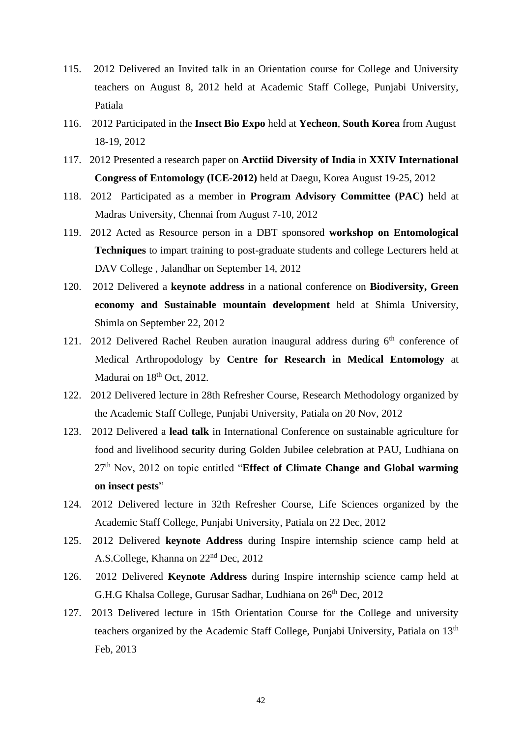- 115. 2012 Delivered an Invited talk in an Orientation course for College and University teachers on August 8, 2012 held at Academic Staff College, Punjabi University, Patiala
- 116. 2012 Participated in the **Insect Bio Expo** held at **Yecheon**, **South Korea** from August 18-19, 2012
- 117. 2012 Presented a research paper on **Arctiid Diversity of India** in **XXIV International Congress of Entomology (ICE-2012)** held at Daegu, Korea August 19-25, 2012
- 118. 2012 Participated as a member in **Program Advisory Committee (PAC)** held at Madras University, Chennai from August 7-10, 2012
- 119. 2012 Acted as Resource person in a DBT sponsored **workshop on Entomological Techniques** to impart training to post-graduate students and college Lecturers held at DAV College , Jalandhar on September 14, 2012
- 120. 2012 Delivered a **keynote address** in a national conference on **Biodiversity, Green economy and Sustainable mountain development** held at Shimla University, Shimla on September 22, 2012
- 121. 2012 Delivered Rachel Reuben auration inaugural address during  $6<sup>th</sup>$  conference of Medical Arthropodology by **Centre for Research in Medical Entomology** at Madurai on  $18<sup>th</sup>$  Oct, 2012.
- 122. 2012 Delivered lecture in 28th Refresher Course, Research Methodology organized by the Academic Staff College, Punjabi University, Patiala on 20 Nov, 2012
- 123. 2012 Delivered a **lead talk** in International Conference on sustainable agriculture for food and livelihood security during Golden Jubilee celebration at PAU, Ludhiana on 27th Nov, 2012 on topic entitled "**Effect of Climate Change and Global warming on insect pests**"
- 124. 2012 Delivered lecture in 32th Refresher Course, Life Sciences organized by the Academic Staff College, Punjabi University, Patiala on 22 Dec, 2012
- 125. 2012 Delivered **keynote Address** during Inspire internship science camp held at A.S.College, Khanna on 22<sup>nd</sup> Dec, 2012
- 126. 2012 Delivered **Keynote Address** during Inspire internship science camp held at G.H.G Khalsa College, Gurusar Sadhar, Ludhiana on 26<sup>th</sup> Dec, 2012
- 127. 2013 Delivered lecture in 15th Orientation Course for the College and university teachers organized by the Academic Staff College, Punjabi University, Patiala on 13<sup>th</sup> Feb, 2013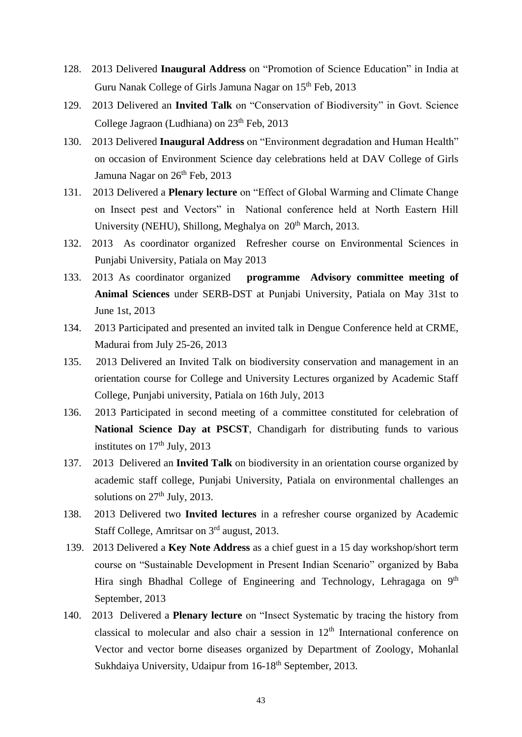- 128. 2013 Delivered **Inaugural Address** on "Promotion of Science Education" in India at Guru Nanak College of Girls Jamuna Nagar on 15th Feb, 2013
- 129. 2013 Delivered an **Invited Talk** on "Conservation of Biodiversity" in Govt. Science College Jagraon (Ludhiana) on  $23<sup>th</sup>$  Feb,  $2013$
- 130. 2013 Delivered **Inaugural Address** on "Environment degradation and Human Health" on occasion of Environment Science day celebrations held at DAV College of Girls Jamuna Nagar on 26<sup>th</sup> Feb, 2013
- 131. 2013 Delivered a **Plenary lecture** on "Effect of Global Warming and Climate Change on Insect pest and Vectors" in National conference held at North Eastern Hill University (NEHU), Shillong, Meghalya on 20<sup>th</sup> March, 2013.
- 132. 2013 As coordinator organized Refresher course on Environmental Sciences in Punjabi University, Patiala on May 2013
- 133. 2013 As coordinator organized **programme Advisory committee meeting of Animal Sciences** under SERB-DST at Punjabi University, Patiala on May 31st to June 1st, 2013
- 134. 2013 Participated and presented an invited talk in Dengue Conference held at CRME, Madurai from July 25-26, 2013
- 135. 2013 Delivered an Invited Talk on biodiversity conservation and management in an orientation course for College and University Lectures organized by Academic Staff College, Punjabi university, Patiala on 16th July, 2013
- 136. 2013 Participated in second meeting of a committee constituted for celebration of **National Science Day at PSCST**, Chandigarh for distributing funds to various institutes on  $17<sup>th</sup>$  July, 2013
- 137. 2013 Delivered an **Invited Talk** on biodiversity in an orientation course organized by academic staff college, Punjabi University, Patiala on environmental challenges an solutions on  $27<sup>th</sup>$  July, 2013.
- 138. 2013 Delivered two **Invited lectures** in a refresher course organized by Academic Staff College, Amritsar on 3rd august, 2013.
- 139. 2013 Delivered a **Key Note Address** as a chief guest in a 15 day workshop/short term course on "Sustainable Development in Present Indian Scenario" organized by Baba Hira singh Bhadhal College of Engineering and Technology, Lehragaga on 9<sup>th</sup> September, 2013
- 140. 2013 Delivered a **Plenary lecture** on "Insect Systematic by tracing the history from classical to molecular and also chair a session in  $12<sup>th</sup>$  International conference on Vector and vector borne diseases organized by Department of Zoology, Mohanlal Sukhdaiya University, Udaipur from 16-18<sup>th</sup> September, 2013.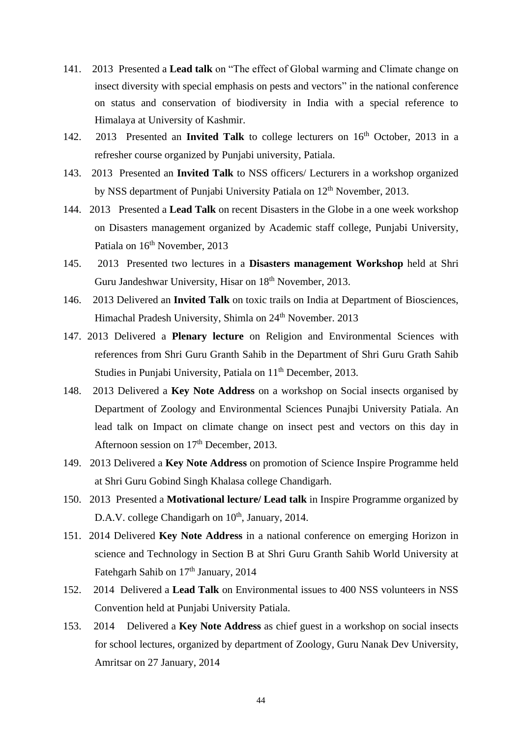- 141. 2013 Presented a **Lead talk** on "The effect of Global warming and Climate change on insect diversity with special emphasis on pests and vectors" in the national conference on status and conservation of biodiversity in India with a special reference to Himalaya at University of Kashmir.
- 142. 2013 Presented an **Invited Talk** to college lecturers on 16<sup>th</sup> October, 2013 in a refresher course organized by Punjabi university, Patiala.
- 143. 2013 Presented an **Invited Talk** to NSS officers/ Lecturers in a workshop organized by NSS department of Punjabi University Patiala on 12<sup>th</sup> November, 2013.
- 144. 2013 Presented a **Lead Talk** on recent Disasters in the Globe in a one week workshop on Disasters management organized by Academic staff college, Punjabi University, Patiala on 16<sup>th</sup> November, 2013
- 145. 2013 Presented two lectures in a **Disasters management Workshop** held at Shri Guru Jandeshwar University, Hisar on 18<sup>th</sup> November, 2013.
- 146. 2013 Delivered an **Invited Talk** on toxic trails on India at Department of Biosciences, Himachal Pradesh University, Shimla on 24<sup>th</sup> November. 2013
- 147. 2013 Delivered a **Plenary lecture** on Religion and Environmental Sciences with references from Shri Guru Granth Sahib in the Department of Shri Guru Grath Sahib Studies in Punjabi University, Patiala on 11<sup>th</sup> December, 2013.
- 148. 2013 Delivered a **Key Note Address** on a workshop on Social insects organised by Department of Zoology and Environmental Sciences Punajbi University Patiala. An lead talk on Impact on climate change on insect pest and vectors on this day in Afternoon session on 17<sup>th</sup> December, 2013.
- 149. 2013 Delivered a **Key Note Address** on promotion of Science Inspire Programme held at Shri Guru Gobind Singh Khalasa college Chandigarh.
- 150. 2013 Presented a **Motivational lecture/ Lead talk** in Inspire Programme organized by D.A.V. college Chandigarh on  $10^{th}$ , January, 2014.
- 151. 2014 Delivered **Key Note Address** in a national conference on emerging Horizon in science and Technology in Section B at Shri Guru Granth Sahib World University at Fatehgarh Sahib on 17<sup>th</sup> January, 2014
- 152. 2014 Delivered a **Lead Talk** on Environmental issues to 400 NSS volunteers in NSS Convention held at Punjabi University Patiala.
- 153. 2014 Delivered a **Key Note Address** as chief guest in a workshop on social insects for school lectures, organized by department of Zoology, Guru Nanak Dev University, Amritsar on 27 January, 2014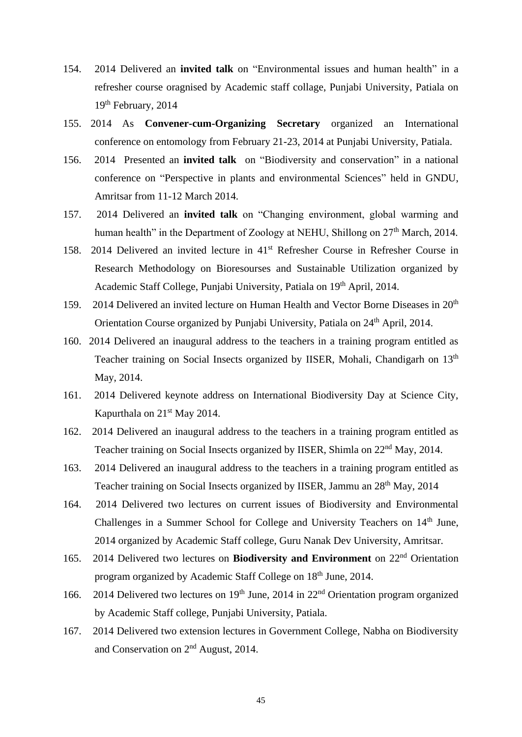- 154. 2014 Delivered an **invited talk** on "Environmental issues and human health" in a refresher course oragnised by Academic staff collage, Punjabi University, Patiala on 19<sup>th</sup> February, 2014
- 155. 2014 As **Convener-cum-Organizing Secretary** organized an International conference on entomology from February 21-23, 2014 at Punjabi University, Patiala.
- 156. 2014 Presented an **invited talk** on "Biodiversity and conservation" in a national conference on "Perspective in plants and environmental Sciences" held in GNDU, Amritsar from 11-12 March 2014.
- 157. 2014 Delivered an **invited talk** on "Changing environment, global warming and human health" in the Department of Zoology at NEHU, Shillong on  $27<sup>th</sup>$  March, 2014.
- 158. 2014 Delivered an invited lecture in 41st Refresher Course in Refresher Course in Research Methodology on Bioresourses and Sustainable Utilization organized by Academic Staff College, Punjabi University, Patiala on 19<sup>th</sup> April, 2014.
- 159. 2014 Delivered an invited lecture on Human Health and Vector Borne Diseases in 20<sup>th</sup> Orientation Course organized by Punjabi University, Patiala on 24<sup>th</sup> April, 2014.
- 160. 2014 Delivered an inaugural address to the teachers in a training program entitled as Teacher training on Social Insects organized by IISER, Mohali, Chandigarh on 13<sup>th</sup> May, 2014.
- 161. 2014 Delivered keynote address on International Biodiversity Day at Science City, Kapurthala on 21st May 2014.
- 162. 2014 Delivered an inaugural address to the teachers in a training program entitled as Teacher training on Social Insects organized by IISER, Shimla on 22nd May, 2014.
- 163. 2014 Delivered an inaugural address to the teachers in a training program entitled as Teacher training on Social Insects organized by IISER, Jammu an 28<sup>th</sup> May, 2014
- 164. 2014 Delivered two lectures on current issues of Biodiversity and Environmental Challenges in a Summer School for College and University Teachers on 14<sup>th</sup> June, 2014 organized by Academic Staff college, Guru Nanak Dev University, Amritsar.
- 165. 2014 Delivered two lectures on **Biodiversity and Environment** on 22nd Orientation program organized by Academic Staff College on 18<sup>th</sup> June, 2014.
- 166. 2014 Delivered two lectures on  $19<sup>th</sup>$  June, 2014 in  $22<sup>nd</sup>$  Orientation program organized by Academic Staff college, Punjabi University, Patiala.
- 167. 2014 Delivered two extension lectures in Government College, Nabha on Biodiversity and Conservation on 2nd August, 2014.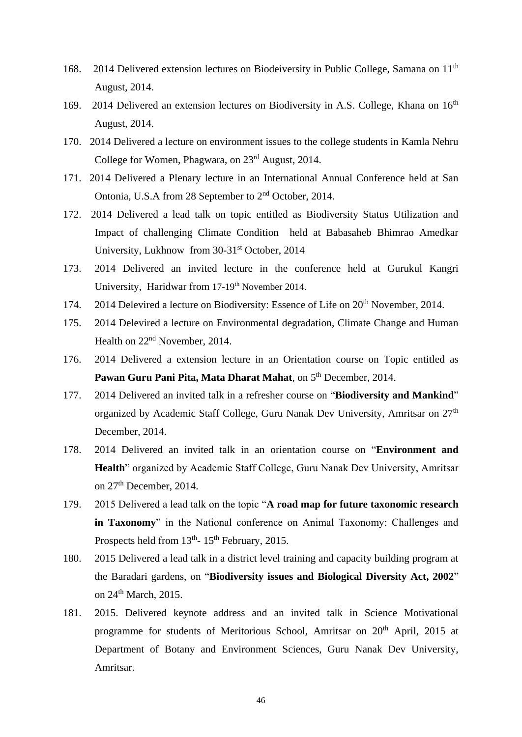- 168. 2014 Delivered extension lectures on Biodeiversity in Public College, Samana on 11<sup>th</sup> August, 2014.
- 169. 2014 Delivered an extension lectures on Biodiversity in A.S. College, Khana on 16<sup>th</sup> August, 2014.
- 170. 2014 Delivered a lecture on environment issues to the college students in Kamla Nehru College for Women, Phagwara, on 23rd August, 2014.
- 171. 2014 Delivered a Plenary lecture in an International Annual Conference held at San Ontonia, U.S.A from 28 September to 2nd October, 2014.
- 172. 2014 Delivered a lead talk on topic entitled as Biodiversity Status Utilization and Impact of challenging Climate Condition held at Babasaheb Bhimrao Amedkar University, Lukhnow from 30-31<sup>st</sup> October, 2014
- 173. 2014 Delivered an invited lecture in the conference held at Gurukul Kangri University, Haridwar from 17-19<sup>th</sup> November 2014.
- 174. 2014 Delevired a lecture on Biodiversity: Essence of Life on 20<sup>th</sup> November, 2014.
- 175. 2014 Delevired a lecture on Environmental degradation, Climate Change and Human Health on 22nd November, 2014.
- 176. 2014 Delivered a extension lecture in an Orientation course on Topic entitled as Pawan Guru Pani Pita, Mata Dharat Mahat, on 5<sup>th</sup> December, 2014.
- 177. 2014 Delivered an invited talk in a refresher course on "**Biodiversity and Mankind**" organized by Academic Staff College, Guru Nanak Dev University, Amritsar on 27<sup>th</sup> December, 2014.
- 178. 2014 Delivered an invited talk in an orientation course on "**Environment and Health**" organized by Academic Staff College, Guru Nanak Dev University, Amritsar on 27th December, 2014.
- 179. 2015 Delivered a lead talk on the topic "**A road map for future taxonomic research in Taxonomy**" in the National conference on Animal Taxonomy: Challenges and Prospects held from  $13<sup>th</sup>$ -  $15<sup>th</sup>$  February, 2015.
- 180. 2015 Delivered a lead talk in a district level training and capacity building program at the Baradari gardens, on "**Biodiversity issues and Biological Diversity Act, 2002**" on 24<sup>th</sup> March, 2015.
- 181. 2015. Delivered keynote address and an invited talk in Science Motivational programme for students of Meritorious School, Amritsar on 20<sup>th</sup> April, 2015 at Department of Botany and Environment Sciences, Guru Nanak Dev University, Amritsar.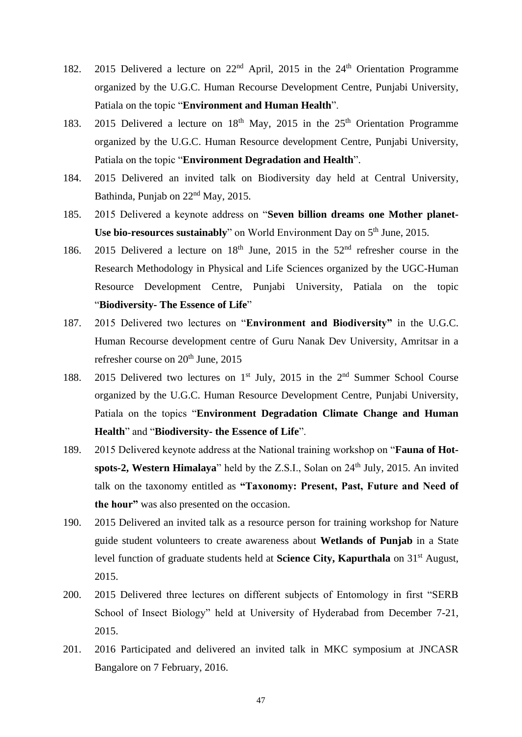- 182. 2015 Delivered a lecture on  $22<sup>nd</sup>$  April, 2015 in the  $24<sup>th</sup>$  Orientation Programme organized by the U.G.C. Human Recourse Development Centre, Punjabi University, Patiala on the topic "**Environment and Human Health**".
- 183. 2015 Delivered a lecture on  $18<sup>th</sup>$  May, 2015 in the  $25<sup>th</sup>$  Orientation Programme organized by the U.G.C. Human Resource development Centre, Punjabi University, Patiala on the topic "**Environment Degradation and Health**".
- 184. 2015 Delivered an invited talk on Biodiversity day held at Central University, Bathinda, Punjab on 22nd May, 2015.
- 185. 2015 Delivered a keynote address on "**Seven billion dreams one Mother planet-Use bio-resources sustainably**" on World Environment Day on 5<sup>th</sup> June, 2015.
- 186. 2015 Delivered a lecture on  $18<sup>th</sup>$  June, 2015 in the  $52<sup>nd</sup>$  refresher course in the Research Methodology in Physical and Life Sciences organized by the UGC-Human Resource Development Centre, Punjabi University, Patiala on the topic "**Biodiversity- The Essence of Life**"
- 187. 2015 Delivered two lectures on "**Environment and Biodiversity"** in the U.G.C. Human Recourse development centre of Guru Nanak Dev University, Amritsar in a refresher course on 20<sup>th</sup> June, 2015
- 188. 2015 Delivered two lectures on 1<sup>st</sup> July, 2015 in the 2<sup>nd</sup> Summer School Course organized by the U.G.C. Human Resource Development Centre, Punjabi University, Patiala on the topics "**Environment Degradation Climate Change and Human Health**" and "**Biodiversity- the Essence of Life**".
- 189. 2015 Delivered keynote address at the National training workshop on "**Fauna of Hot**spots-2, Western Himalaya" held by the Z.S.I., Solan on 24<sup>th</sup> July, 2015. An invited talk on the taxonomy entitled as **"Taxonomy: Present, Past, Future and Need of the hour"** was also presented on the occasion.
- 190. 2015 Delivered an invited talk as a resource person for training workshop for Nature guide student volunteers to create awareness about **Wetlands of Punjab** in a State level function of graduate students held at **Science City, Kapurthala** on 31st August, 2015.
- 200. 2015 Delivered three lectures on different subjects of Entomology in first "SERB School of Insect Biology" held at University of Hyderabad from December 7-21, 2015.
- 201. 2016 Participated and delivered an invited talk in MKC symposium at JNCASR Bangalore on 7 February, 2016.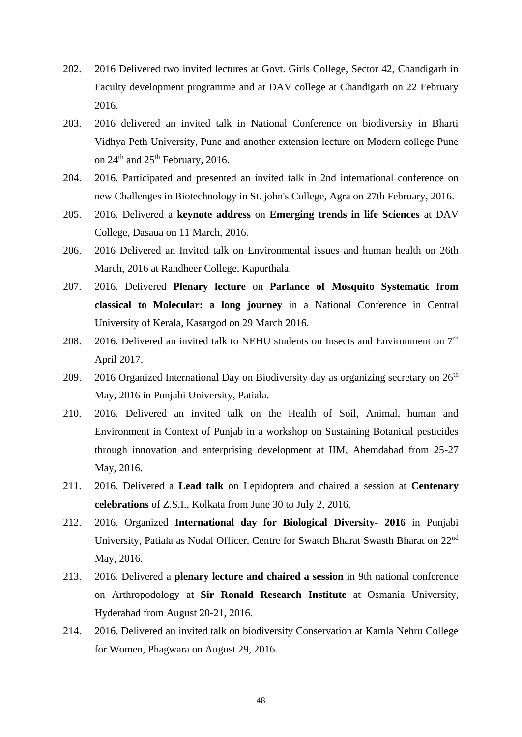- 202. 2016 Delivered two invited lectures at Govt. Girls College, Sector 42, Chandigarh in Faculty development programme and at DAV college at Chandigarh on 22 February 2016.
- 203. 2016 delivered an invited talk in National Conference on biodiversity in Bharti Vidhya Peth University, Pune and another extension lecture on Modern college Pune on  $24<sup>th</sup>$  and  $25<sup>th</sup>$  February, 2016.
- 204. 2016. Participated and presented an invited talk in 2nd international conference on new Challenges in Biotechnology in St. john's College, Agra on 27th February, 2016.
- 205. 2016. Delivered a **keynote address** on **Emerging trends in life Sciences** at DAV College, Dasaua on 11 March, 2016.
- 206. 2016 Delivered an Invited talk on Environmental issues and human health on 26th March, 2016 at Randheer College, Kapurthala.
- 207. 2016. Delivered **Plenary lecture** on **Parlance of Mosquito Systematic from classical to Molecular: a long journey** in a National Conference in Central University of Kerala, Kasargod on 29 March 2016.
- 208. 2016. Delivered an invited talk to NEHU students on Insects and Environment on  $7<sup>th</sup>$ April 2017.
- 209. 2016 Organized International Day on Biodiversity day as organizing secretary on  $26<sup>th</sup>$ May, 2016 in Punjabi University, Patiala.
- 210. 2016. Delivered an invited talk on the Health of Soil, Animal, human and Environment in Context of Punjab in a workshop on Sustaining Botanical pesticides through innovation and enterprising development at IIM, Ahemdabad from 25-27 May, 2016.
- 211. 2016. Delivered a **Lead talk** on Lepidoptera and chaired a session at **Centenary celebrations** of Z.S.I., Kolkata from June 30 to July 2, 2016.
- 212. 2016. Organized **International day for Biological Diversity- 2016** in Punjabi University, Patiala as Nodal Officer, Centre for Swatch Bharat Swasth Bharat on 22nd May, 2016.
- 213. 2016. Delivered a **plenary lecture and chaired a session** in 9th national conference on Arthropodology at **Sir Ronald Research Institute** at Osmania University, Hyderabad from August 20-21, 2016.
- 214. 2016. Delivered an invited talk on biodiversity Conservation at Kamla Nehru College for Women, Phagwara on August 29, 2016.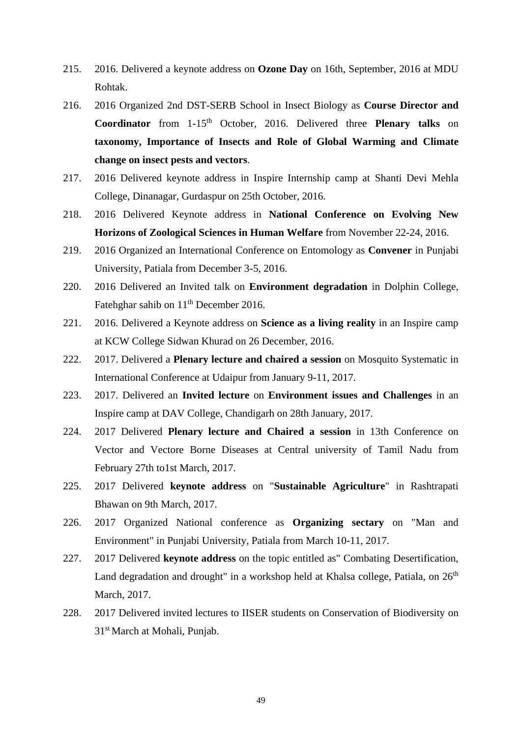- 215. 2016. Delivered a keynote address on **Ozone Day** on 16th, September, 2016 at MDU Rohtak.
- 216. 2016 Organized 2nd DST-SERB School in Insect Biology as **Course Director and Coordinator** from 1-15<sup>th</sup> October, 2016. Delivered three **Plenary talks** on **taxonomy, Importance of Insects and Role of Global Warming and Climate change on insect pests and vectors**.
- 217. 2016 Delivered keynote address in Inspire Internship camp at Shanti Devi Mehla College, Dinanagar, Gurdaspur on 25th October, 2016.
- 218. 2016 Delivered Keynote address in **National Conference on Evolving New Horizons of Zoological Sciences in Human Welfare** from November 22-24, 2016.
- 219. 2016 Organized an International Conference on Entomology as **Convener** in Punjabi University, Patiala from December 3-5, 2016.
- 220. 2016 Delivered an Invited talk on **Environment degradation** in Dolphin College, Fatehghar sahib on 11<sup>th</sup> December 2016.
- 221. 2016. Delivered a Keynote address on **Science as a living reality** in an Inspire camp at KCW College Sidwan Khurad on 26 December, 2016.
- 222. 2017. Delivered a **Plenary lecture and chaired a session** on Mosquito Systematic in International Conference at Udaipur from January 9-11, 2017.
- 223. 2017. Delivered an **Invited lecture** on **Environment issues and Challenges** in an Inspire camp at DAV College, Chandigarh on 28th January, 2017.
- 224. 2017 Delivered **Plenary lecture and Chaired a session** in 13th Conference on Vector and Vectore Borne Diseases at Central university of Tamil Nadu from February 27th to1st March, 2017.
- 225. 2017 Delivered **keynote address** on "**Sustainable Agriculture**" in Rashtrapati Bhawan on 9th March, 2017.
- 226. 2017 Organized National conference as **Organizing sectary** on "Man and Environment" in Punjabi University, Patiala from March 10-11, 2017.
- 227. 2017 Delivered **keynote address** on the topic entitled as" Combating Desertification, Land degradation and drought" in a workshop held at Khalsa college, Patiala, on  $26<sup>th</sup>$ March, 2017.
- 228. 2017 Delivered invited lectures to IISER students on Conservation of Biodiversity on 31st March at Mohali, Punjab.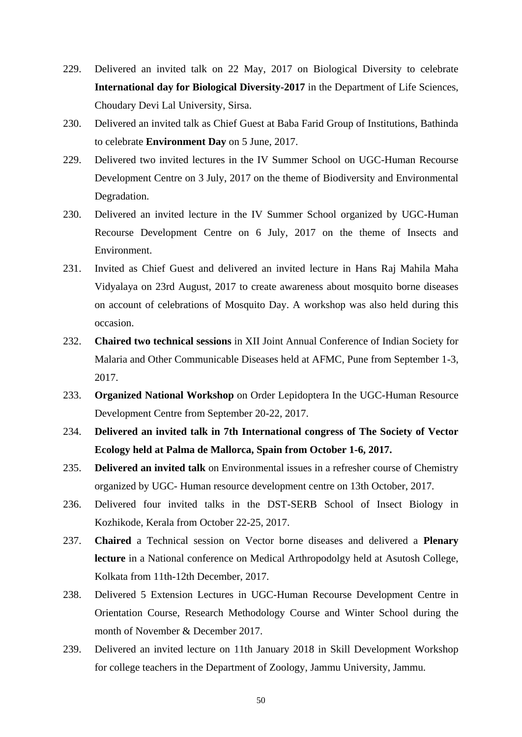- 229. Delivered an invited talk on 22 May, 2017 on Biological Diversity to celebrate **International day for Biological Diversity-2017** in the Department of Life Sciences, Choudary Devi Lal University, Sirsa.
- 230. Delivered an invited talk as Chief Guest at Baba Farid Group of Institutions, Bathinda to celebrate **Environment Day** on 5 June, 2017.
- 229. Delivered two invited lectures in the IV Summer School on UGC-Human Recourse Development Centre on 3 July, 2017 on the theme of Biodiversity and Environmental Degradation.
- 230. Delivered an invited lecture in the IV Summer School organized by UGC-Human Recourse Development Centre on 6 July, 2017 on the theme of Insects and Environment.
- 231. Invited as Chief Guest and delivered an invited lecture in Hans Raj Mahila Maha Vidyalaya on 23rd August, 2017 to create awareness about mosquito borne diseases on account of celebrations of Mosquito Day. A workshop was also held during this occasion.
- 232. **Chaired two technical sessions** in XII Joint Annual Conference of Indian Society for Malaria and Other Communicable Diseases held at AFMC, Pune from September 1-3, 2017.
- 233. **Organized National Workshop** on Order Lepidoptera In the UGC-Human Resource Development Centre from September 20-22, 2017.
- 234. **Delivered an invited talk in 7th International congress of The Society of Vector Ecology held at Palma de Mallorca, Spain from October 1-6, 2017.**
- 235. **Delivered an invited talk** on Environmental issues in a refresher course of Chemistry organized by UGC- Human resource development centre on 13th October, 2017.
- 236. Delivered four invited talks in the DST-SERB School of Insect Biology in Kozhikode, Kerala from October 22-25, 2017.
- 237. **Chaired** a Technical session on Vector borne diseases and delivered a **Plenary lecture** in a National conference on Medical Arthropodolgy held at Asutosh College, Kolkata from 11th-12th December, 2017.
- 238. Delivered 5 Extension Lectures in UGC-Human Recourse Development Centre in Orientation Course, Research Methodology Course and Winter School during the month of November & December 2017.
- 239. Delivered an invited lecture on 11th January 2018 in Skill Development Workshop for college teachers in the Department of Zoology, Jammu University, Jammu.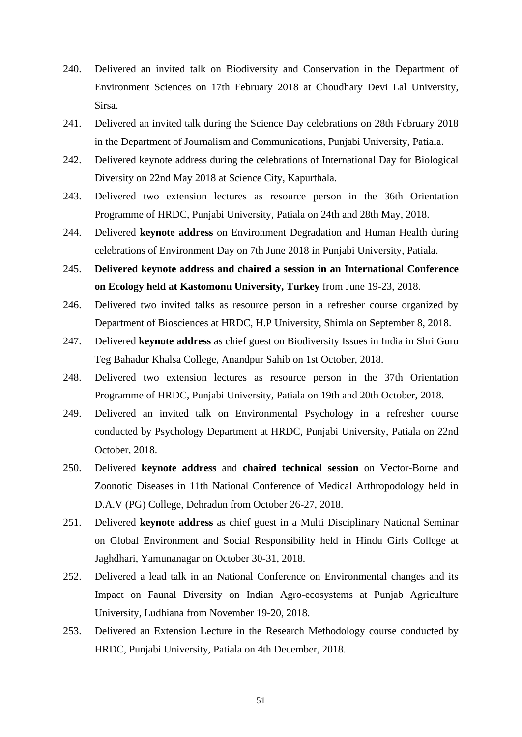- 240. Delivered an invited talk on Biodiversity and Conservation in the Department of Environment Sciences on 17th February 2018 at Choudhary Devi Lal University, Sirsa.
- 241. Delivered an invited talk during the Science Day celebrations on 28th February 2018 in the Department of Journalism and Communications, Punjabi University, Patiala.
- 242. Delivered keynote address during the celebrations of International Day for Biological Diversity on 22nd May 2018 at Science City, Kapurthala.
- 243. Delivered two extension lectures as resource person in the 36th Orientation Programme of HRDC, Punjabi University, Patiala on 24th and 28th May, 2018.
- 244. Delivered **keynote address** on Environment Degradation and Human Health during celebrations of Environment Day on 7th June 2018 in Punjabi University, Patiala.
- 245. **Delivered keynote address and chaired a session in an International Conference on Ecology held at Kastomonu University, Turkey** from June 19-23, 2018.
- 246. Delivered two invited talks as resource person in a refresher course organized by Department of Biosciences at HRDC, H.P University, Shimla on September 8, 2018.
- 247. Delivered **keynote address** as chief guest on Biodiversity Issues in India in Shri Guru Teg Bahadur Khalsa College, Anandpur Sahib on 1st October, 2018.
- 248. Delivered two extension lectures as resource person in the 37th Orientation Programme of HRDC, Punjabi University, Patiala on 19th and 20th October, 2018.
- 249. Delivered an invited talk on Environmental Psychology in a refresher course conducted by Psychology Department at HRDC, Punjabi University, Patiala on 22nd October, 2018.
- 250. Delivered **keynote address** and **chaired technical session** on Vector-Borne and Zoonotic Diseases in 11th National Conference of Medical Arthropodology held in D.A.V (PG) College, Dehradun from October 26-27, 2018.
- 251. Delivered **keynote address** as chief guest in a Multi Disciplinary National Seminar on Global Environment and Social Responsibility held in Hindu Girls College at Jaghdhari, Yamunanagar on October 30-31, 2018.
- 252. Delivered a lead talk in an National Conference on Environmental changes and its Impact on Faunal Diversity on Indian Agro-ecosystems at Punjab Agriculture University, Ludhiana from November 19-20, 2018.
- 253. Delivered an Extension Lecture in the Research Methodology course conducted by HRDC, Punjabi University, Patiala on 4th December, 2018.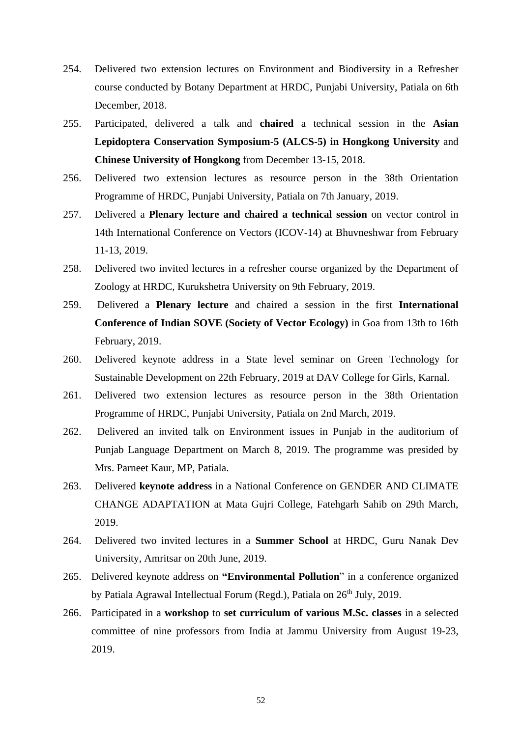- 254. Delivered two extension lectures on Environment and Biodiversity in a Refresher course conducted by Botany Department at HRDC, Punjabi University, Patiala on 6th December, 2018.
- 255. Participated, delivered a talk and **chaired** a technical session in the **Asian Lepidoptera Conservation Symposium-5 (ALCS-5) in Hongkong University** and **Chinese University of Hongkong** from December 13-15, 2018.
- 256. Delivered two extension lectures as resource person in the 38th Orientation Programme of HRDC, Punjabi University, Patiala on 7th January, 2019.
- 257. Delivered a **Plenary lecture and chaired a technical session** on vector control in 14th International Conference on Vectors (ICOV-14) at Bhuvneshwar from February 11-13, 2019.
- 258. Delivered two invited lectures in a refresher course organized by the Department of Zoology at HRDC, Kurukshetra University on 9th February, 2019.
- 259. Delivered a **Plenary lecture** and chaired a session in the first **International Conference of Indian SOVE (Society of Vector Ecology)** in Goa from 13th to 16th February, 2019.
- 260. Delivered keynote address in a State level seminar on Green Technology for Sustainable Development on 22th February, 2019 at DAV College for Girls, Karnal.
- 261. Delivered two extension lectures as resource person in the 38th Orientation Programme of HRDC, Punjabi University, Patiala on 2nd March, 2019.
- 262. Delivered an invited talk on Environment issues in Punjab in the auditorium of Punjab Language Department on March 8, 2019. The programme was presided by Mrs. Parneet Kaur, MP, Patiala.
- 263. Delivered **keynote address** in a National Conference on GENDER AND CLIMATE CHANGE ADAPTATION at Mata Gujri College, Fatehgarh Sahib on 29th March, 2019.
- 264. Delivered two invited lectures in a **Summer School** at HRDC, Guru Nanak Dev University, Amritsar on 20th June, 2019.
- 265. Delivered keynote address on **"Environmental Pollution**" in a conference organized by Patiala Agrawal Intellectual Forum (Regd.), Patiala on  $26<sup>th</sup>$  July, 2019.
- 266. Participated in a **workshop** to **set curriculum of various M.Sc. classes** in a selected committee of nine professors from India at Jammu University from August 19-23, 2019.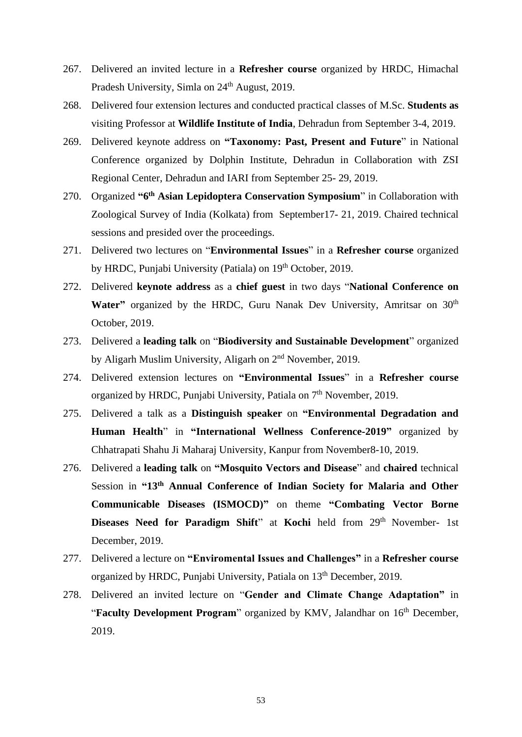- 267. Delivered an invited lecture in a **Refresher course** organized by HRDC, Himachal Pradesh University, Simla on 24<sup>th</sup> August, 2019.
- 268. Delivered four extension lectures and conducted practical classes of M.Sc. **Students as**  visiting Professor at **Wildlife Institute of India**, Dehradun from September 3-4, 2019.
- 269. Delivered keynote address on **"Taxonomy: Past, Present and Future**" in National Conference organized by Dolphin Institute, Dehradun in Collaboration with ZSI Regional Center, Dehradun and IARI from September 25- 29, 2019.
- 270. Organized **"6 th Asian Lepidoptera Conservation Symposium**" in Collaboration with Zoological Survey of India (Kolkata) from September17- 21, 2019. Chaired technical sessions and presided over the proceedings.
- 271. Delivered two lectures on "**Environmental Issues**" in a **Refresher course** organized by HRDC, Punjabi University (Patiala) on 19<sup>th</sup> October, 2019.
- 272. Delivered **keynote address** as a **chief guest** in two days "**National Conference on**  Water" organized by the HRDC, Guru Nanak Dev University, Amritsar on 30<sup>th</sup> October, 2019.
- 273. Delivered a **leading talk** on "**Biodiversity and Sustainable Development**" organized by Aligarh Muslim University, Aligarh on 2nd November, 2019.
- 274. Delivered extension lectures on **"Environmental Issues**" in a **Refresher course** organized by HRDC, Punjabi University, Patiala on  $7<sup>th</sup>$  November, 2019.
- 275. Delivered a talk as a **Distinguish speaker** on **"Environmental Degradation and Human Health**" in **"International Wellness Conference-2019"** organized by Chhatrapati Shahu Ji Maharaj University, Kanpur from November8-10, 2019.
- 276. Delivered a **leading talk** on **"Mosquito Vectors and Disease**" and **chaired** technical Session in **"13th Annual Conference of Indian Society for Malaria and Other Communicable Diseases (ISMOCD)"** on theme **"Combating Vector Borne Diseases Need for Paradigm Shift**" at Kochi held from 29<sup>th</sup> November- 1st December, 2019.
- 277. Delivered a lecture on **"Enviromental Issues and Challenges"** in a **Refresher course** organized by HRDC, Punjabi University, Patiala on 13<sup>th</sup> December, 2019.
- 278. Delivered an invited lecture on "**Gender and Climate Change Adaptation"** in "Faculty Development Program" organized by KMV, Jalandhar on 16<sup>th</sup> December, 2019.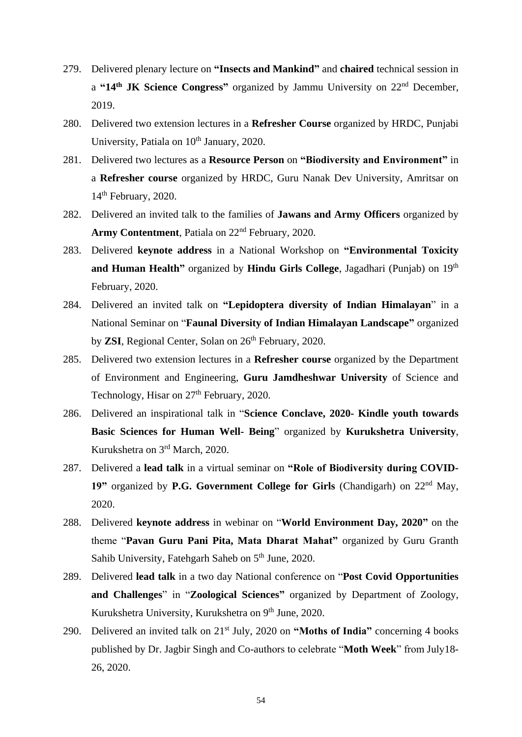- 279. Delivered plenary lecture on **"Insects and Mankind"** and **chaired** technical session in a **"14th JK Science Congress"** organized by Jammu University on 22nd December, 2019.
- 280. Delivered two extension lectures in a **Refresher Course** organized by HRDC, Punjabi University, Patiala on 10<sup>th</sup> January, 2020.
- 281. Delivered two lectures as a **Resource Person** on **"Biodiversity and Environment"** in a **Refresher course** organized by HRDC, Guru Nanak Dev University, Amritsar on 14<sup>th</sup> February, 2020.
- 282. Delivered an invited talk to the families of **Jawans and Army Officers** organized by Army Contentment, Patiala on 22<sup>nd</sup> February, 2020.
- 283. Delivered **keynote address** in a National Workshop on **"Environmental Toxicity**  and Human Health" organized by Hindu Girls College, Jagadhari (Punjab) on 19<sup>th</sup> February, 2020.
- 284. Delivered an invited talk on **"Lepidoptera diversity of Indian Himalayan**" in a National Seminar on "**Faunal Diversity of Indian Himalayan Landscape"** organized by **ZSI**, Regional Center, Solan on 26<sup>th</sup> February, 2020.
- 285. Delivered two extension lectures in a **Refresher course** organized by the Department of Environment and Engineering, **Guru Jamdheshwar University** of Science and Technology, Hisar on  $27<sup>th</sup>$  February, 2020.
- 286. Delivered an inspirational talk in "**Science Conclave, 2020- Kindle youth towards Basic Sciences for Human Well- Being**" organized by **Kurukshetra University**, Kurukshetra on 3rd March, 2020.
- 287. Delivered a **lead talk** in a virtual seminar on **"Role of Biodiversity during COVID-**19" organized by **P.G. Government College for Girls** (Chandigarh) on 22<sup>nd</sup> May, 2020.
- 288. Delivered **keynote address** in webinar on "**World Environment Day, 2020"** on the theme "**Pavan Guru Pani Pita, Mata Dharat Mahat"** organized by Guru Granth Sahib University, Fatehgarh Saheb on  $5<sup>th</sup>$  June, 2020.
- 289. Delivered **lead talk** in a two day National conference on "**Post Covid Opportunities and Challenges**" in "**Zoological Sciences"** organized by Department of Zoology, Kurukshetra University, Kurukshetra on 9<sup>th</sup> June, 2020.
- 290. Delivered an invited talk on 21st July, 2020 on **"Moths of India"** concerning 4 books published by Dr. Jagbir Singh and Co-authors to celebrate "**Moth Week**" from July18- 26, 2020.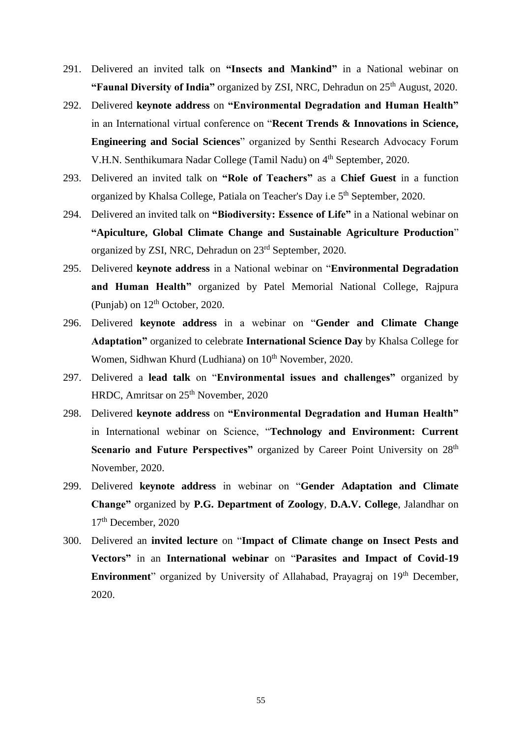- 291. Delivered an invited talk on **"Insects and Mankind"** in a National webinar on **"Faunal Diversity of India"** organized by ZSI, NRC, Dehradun on 25<sup>th</sup> August, 2020.
- 292. Delivered **keynote address** on **"Environmental Degradation and Human Health"**  in an International virtual conference on "**Recent Trends & Innovations in Science, Engineering and Social Sciences**" organized by Senthi Research Advocacy Forum V.H.N. Senthikumara Nadar College (Tamil Nadu) on 4<sup>th</sup> September, 2020.
- 293. Delivered an invited talk on **"Role of Teachers"** as a **Chief Guest** in a function organized by Khalsa College, Patiala on Teacher's Day i.e 5<sup>th</sup> September, 2020.
- 294. Delivered an invited talk on **"Biodiversity: Essence of Life"** in a National webinar on **"Apiculture, Global Climate Change and Sustainable Agriculture Production**" organized by ZSI, NRC, Dehradun on 23rd September, 2020.
- 295. Delivered **keynote address** in a National webinar on "**Environmental Degradation and Human Health"** organized by Patel Memorial National College, Rajpura (Punjab) on  $12<sup>th</sup>$  October, 2020.
- 296. Delivered **keynote address** in a webinar on "**Gender and Climate Change Adaptation"** organized to celebrate **International Science Day** by Khalsa College for Women, Sidhwan Khurd (Ludhiana) on 10<sup>th</sup> November, 2020.
- 297. Delivered a **lead talk** on "**Environmental issues and challenges"** organized by HRDC, Amritsar on 25<sup>th</sup> November, 2020
- 298. Delivered **keynote address** on **"Environmental Degradation and Human Health"** in International webinar on Science, "**Technology and Environment: Current Scenario and Future Perspectives"** organized by Career Point University on 28<sup>th</sup> November, 2020.
- 299. Delivered **keynote address** in webinar on "**Gender Adaptation and Climate Change"** organized by **P.G. Department of Zoology**, **D.A.V. College**, Jalandhar on 17<sup>th</sup> December, 2020
- 300. Delivered an **invited lecture** on "**Impact of Climate change on Insect Pests and Vectors"** in an **International webinar** on "**Parasites and Impact of Covid-19 Environment**" organized by University of Allahabad, Prayagraj on 19<sup>th</sup> December, 2020.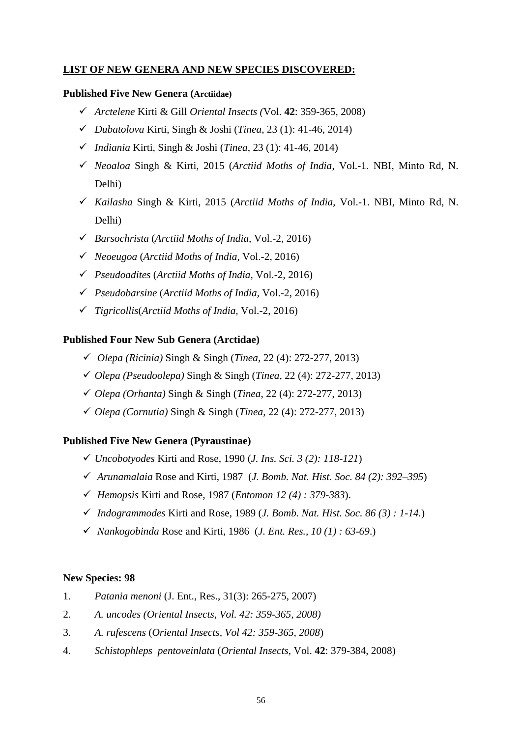# **LIST OF NEW GENERA AND NEW SPECIES DISCOVERED:**

### **Published Five New Genera (Arctiidae)**

- *Arctelene* Kirti & Gill *Oriental Insects (*Vol. **42**: 359-365, 2008)
- *Dubatolova* Kirti, Singh & Joshi (*Tinea*, 23 (1): 41-46, 2014)
- *Indiania* Kirti, Singh & Joshi (*Tinea*, 23 (1): 41-46, 2014)
- *Neoaloa* Singh & Kirti, 2015 (*Arctiid Moths of India*, Vol.-1. NBI, Minto Rd, N. Delhi)
- *Kailasha* Singh & Kirti, 2015 (*Arctiid Moths of India*, Vol.-1. NBI, Minto Rd, N. Delhi)
- *Barsochrista* (*Arctiid Moths of India,* Vol.-2, 2016)
- *Neoeugoa* (*Arctiid Moths of India,* Vol.-2, 2016)
- *Pseudoadites* (*Arctiid Moths of India,* Vol.-2, 2016)
- *Pseudobarsine* (*Arctiid Moths of India,* Vol.-2, 2016)
- *Tigricollis*(*Arctiid Moths of India,* Vol.-2, 2016)

# **Published Four New Sub Genera (Arctidae)**

- *Olepa (Ricinia)* Singh & Singh (*Tinea*, 22 (4): 272-277, 2013)
- *Olepa (Pseudoolepa)* Singh & Singh (*Tinea*, 22 (4): 272-277, 2013)
- *Olepa (Orhanta)* Singh & Singh (*Tinea*, 22 (4): 272-277, 2013)
- *Olepa (Cornutia)* Singh & Singh (*Tinea*, 22 (4): 272-277, 2013)

# **Published Five New Genera (Pyraustinae)**

- *Uncobotyodes* Kirti and Rose, 1990 (*J. Ins. Sci. 3 (2): 118-121*)
- *Arunamalaia* Rose and Kirti, 1987 (*J. Bomb. Nat. Hist. Soc. 84 (2): 392–395*)
- *Hemopsis* Kirti and Rose, 1987 (*Entomon 12 (4) : 379-383*).
- *Indogrammodes* Kirti and Rose, 1989 (*J. Bomb. Nat. Hist. Soc. 86 (3) : 1-14.*)
- *Nankogobinda* Rose and Kirti, 1986 (*J. Ent. Res., 10 (1) : 63-69*.)

# **New Species: 98**

- 1. *Patania menoni* (J. Ent., Res., 31(3): 265-275, 2007)
- 2. *A. uncodes (Oriental Insects, Vol. 42: 359-365, 2008)*
- 3. *A. rufescens* (*Oriental Insects, Vol 42: 359-365, 2008*)
- 4. *Schistophleps pentoveinlata* (*Oriental Insects,* Vol. **42**: 379-384, 2008)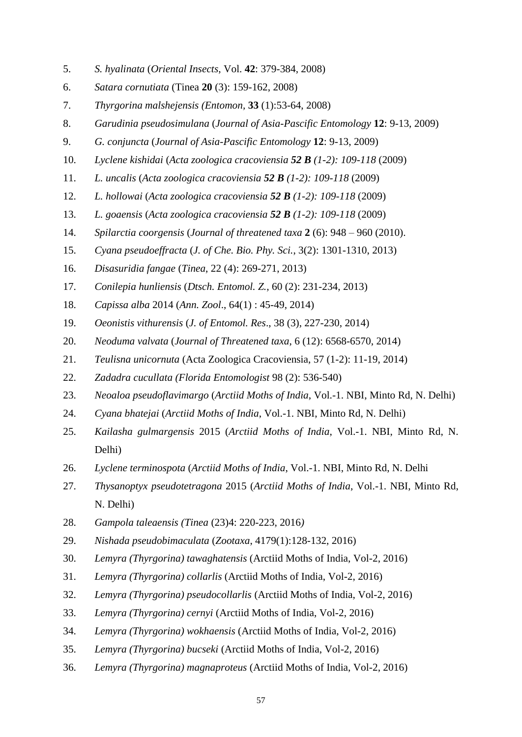- 5. *S. hyalinata* (*Oriental Insects*, Vol. **42**: 379-384, 2008)
- 6. *Satara cornutiata* (Tinea **20** (3): 159-162, 2008)
- 7. *Thyrgorina malshejensis (Entomon,* **33** (1):53-64, 2008)
- 8. *Garudinia pseudosimulana* (*Journal of Asia-Pascific Entomology* **12**: 9-13, 2009)
- 9. *G. conjuncta* (*Journal of Asia-Pascific Entomology* **12**: 9-13, 2009)
- 10. *Lyclene kishidai* (*Acta zoologica cracoviensia 52 B (1-2): 109-118* (2009)
- 11. *L. uncalis* (*Acta zoologica cracoviensia 52 B (1-2): 109-118* (2009)
- 12. *L. hollowai* (*Acta zoologica cracoviensia 52 B (1-2): 109-118* (2009)
- 13. *L. goaensis* (*Acta zoologica cracoviensia 52 B (1-2): 109-118* (2009)
- 14. *Spilarctia coorgensis* (*Journal of threatened taxa* **2** (6): 948 960 (2010).
- 15. *Cyana pseudoeffracta* (*J. of Che. Bio. Phy. Sci.*, 3(2): 1301-1310, 2013)
- 16. *Disasuridia fangae* (*Tinea*, 22 (4): 269-271, 2013)
- 17. *Conilepia hunliensis* (*Dtsch. Entomol. Z.,* 60 (2): 231-234, 2013)
- 18. *Capissa alba* 2014 (*Ann. Zool*., 64(1) : 45-49, 2014)
- 19. *Oeonistis vithurensis* (*J. of Entomol. Res*., 38 (3), 227-230, 2014)
- 20. *Neoduma valvata* (*Journal of Threatened taxa*, 6 (12): 6568-6570, 2014)
- 21. *Teulisna unicornuta* (Acta Zoologica Cracoviensia, 57 (1-2): 11-19, 2014)
- 22. *Zadadra cucullata (Florida Entomologist* 98 (2): 536-540)
- 23. *Neoaloa pseudoflavimargo* (*Arctiid Moths of India*, Vol.-1. NBI, Minto Rd, N. Delhi)
- 24. *Cyana bhatejai* (*Arctiid Moths of India*, Vol.-1. NBI, Minto Rd, N. Delhi)
- 25. *Kailasha gulmargensis* 2015 (*Arctiid Moths of India*, Vol.-1. NBI, Minto Rd, N. Delhi)
- 26. *Lyclene terminospota* (*Arctiid Moths of India*, Vol.-1. NBI, Minto Rd, N. Delhi
- 27. *Thysanoptyx pseudotetragona* 2015 (*Arctiid Moths of India*, Vol.-1. NBI, Minto Rd, N. Delhi)
- 28. *Gampola taleaensis (Tinea* (23)4: 220-223, 2016*)*
- 29. *Nishada pseudobimaculata* (*Zootaxa*, 4179(1):128-132, 2016)
- 30. *Lemyra (Thyrgorina) tawaghatensis* (Arctiid Moths of India, Vol-2, 2016)
- 31. *Lemyra (Thyrgorina) collarlis* (Arctiid Moths of India, Vol-2, 2016)
- 32. *Lemyra (Thyrgorina) pseudocollarlis* (Arctiid Moths of India, Vol-2, 2016)
- 33. *Lemyra (Thyrgorina) cernyi* (Arctiid Moths of India, Vol-2, 2016)
- 34. *Lemyra (Thyrgorina) wokhaensis* (Arctiid Moths of India, Vol-2, 2016)
- 35. *Lemyra (Thyrgorina) bucseki* (Arctiid Moths of India, Vol-2, 2016)
- 36. *Lemyra (Thyrgorina) magnaproteus* (Arctiid Moths of India, Vol-2, 2016)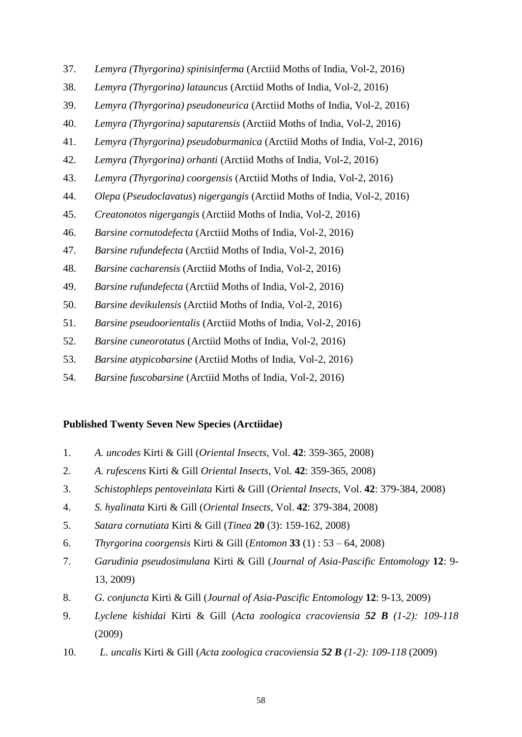- 37. *Lemyra (Thyrgorina) spinisinferma* (Arctiid Moths of India, Vol-2, 2016)
- 38. *Lemyra (Thyrgorina) latauncus* (Arctiid Moths of India, Vol-2, 2016)
- 39. *Lemyra (Thyrgorina) pseudoneurica* (Arctiid Moths of India, Vol-2, 2016)
- 40. *Lemyra (Thyrgorina) saputarensis* (Arctiid Moths of India, Vol-2, 2016)
- 41. *Lemyra (Thyrgorina) pseudoburmanica* (Arctiid Moths of India, Vol-2, 2016)
- 42. *Lemyra (Thyrgorina) orhanti* (Arctiid Moths of India, Vol-2, 2016)
- 43. *Lemyra (Thyrgorina) coorgensis* (Arctiid Moths of India, Vol-2, 2016)
- 44. *Olepa* (*Pseudoclavatus*) *nigergangis* (Arctiid Moths of India, Vol-2, 2016)
- 45. *Creatonotos nigergangis* (Arctiid Moths of India, Vol-2, 2016)
- 46. *Barsine cornutodefecta* (Arctiid Moths of India, Vol-2, 2016)
- 47. *Barsine rufundefecta* (Arctiid Moths of India, Vol-2, 2016)
- 48. *Barsine cacharensis* (Arctiid Moths of India, Vol-2, 2016)
- 49. *Barsine rufundefecta* (Arctiid Moths of India, Vol-2, 2016)
- 50. *Barsine devikulensis* (Arctiid Moths of India, Vol-2, 2016)
- 51. *Barsine pseudoorientalis* (Arctiid Moths of India, Vol-2, 2016)
- 52. *Barsine cuneorotatus* (Arctiid Moths of India, Vol-2, 2016)
- 53. *Barsine atypicobarsine* (Arctiid Moths of India, Vol-2, 2016)
- 54. *Barsine fuscobarsine* (Arctiid Moths of India, Vol-2, 2016)

#### **Published Twenty Seven New Species (Arctiidae)**

- 1. *A. uncodes* Kirti & Gill (*Oriental Insects,* Vol. **42**: 359-365, 2008)
- 2. *A. rufescens* Kirti & Gill *Oriental Insects,* Vol. **42**: 359-365, 2008)
- 3. *Schistophleps pentoveinlata* Kirti & Gill (*Oriental Insects,* Vol. **42**: 379-384, 2008)
- 4. *S. hyalinata* Kirti & Gill (*Oriental Insects,* Vol. **42**: 379-384, 2008)
- 5. *Satara cornutiata* Kirti & Gill (*Tinea* **20** (3): 159-162, 2008)
- 6. *Thyrgorina coorgensis* Kirti & Gill (*Entomon* **33** (1) : 53 64, 2008)
- 7. *Garudinia pseudosimulana* Kirti & Gill (*Journal of Asia-Pascific Entomology* **12**: 9- 13, 2009)
- 8. *G. conjuncta* Kirti & Gill (*Journal of Asia-Pascific Entomology* **12**: 9-13, 2009)
- 9. *Lyclene kishidai* Kirti & Gill (*Acta zoologica cracoviensia 52 B (1-2): 109-118*  (2009)
- 10. *L. uncalis* Kirti & Gill (*Acta zoologica cracoviensia 52 B (1-2): 109-118* (2009)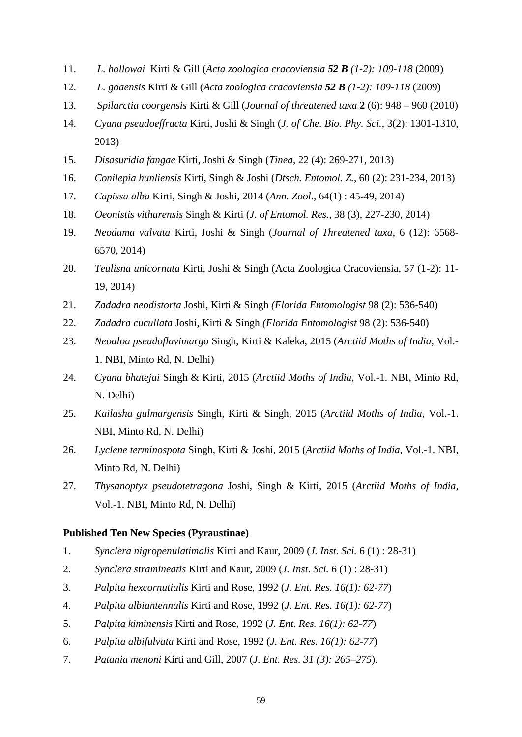- 11. *L. hollowai* Kirti & Gill (*Acta zoologica cracoviensia 52 B (1-2): 109-118* (2009)
- 12. *L. goaensis* Kirti & Gill (*Acta zoologica cracoviensia 52 B (1-2): 109-118* (2009)
- 13. *Spilarctia coorgensis* Kirti & Gill (*Journal of threatened taxa* **2** (6): 948 960 (2010)
- 14. *Cyana pseudoeffracta* Kirti, Joshi & Singh (*J. of Che. Bio. Phy. Sci.*, 3(2): 1301-1310, 2013)
- 15. *Disasuridia fangae* Kirti, Joshi & Singh (*Tinea*, 22 (4): 269-271, 2013)
- 16. *Conilepia hunliensis* Kirti, Singh & Joshi (*Dtsch. Entomol. Z.,* 60 (2): 231-234, 2013)
- 17. *Capissa alba* Kirti, Singh & Joshi, 2014 (*Ann. Zool*., 64(1) : 45-49, 2014)
- 18. *Oeonistis vithurensis* Singh & Kirti (*J. of Entomol. Res*., 38 (3), 227-230, 2014)
- 19. *Neoduma valvata* Kirti, Joshi & Singh (*Journal of Threatened taxa*, 6 (12): 6568- 6570, 2014)
- 20. *Teulisna unicornuta* Kirti, Joshi & Singh (Acta Zoologica Cracoviensia, 57 (1-2): 11- 19, 2014)
- 21. *Zadadra neodistorta* Joshi, Kirti & Singh *(Florida Entomologist* 98 (2): 536-540)
- 22. *Zadadra cucullata* Joshi, Kirti & Singh *(Florida Entomologist* 98 (2): 536-540)
- 23. *Neoaloa pseudoflavimargo* Singh, Kirti & Kaleka, 2015 (*Arctiid Moths of India*, Vol.- 1. NBI, Minto Rd, N. Delhi)
- 24. *Cyana bhatejai* Singh & Kirti, 2015 (*Arctiid Moths of India*, Vol.-1. NBI, Minto Rd, N. Delhi)
- 25. *Kailasha gulmargensis* Singh, Kirti & Singh, 2015 (*Arctiid Moths of India*, Vol.-1. NBI, Minto Rd, N. Delhi)
- 26. *Lyclene terminospota* Singh, Kirti & Joshi, 2015 (*Arctiid Moths of India*, Vol.-1. NBI, Minto Rd, N. Delhi)
- 27. *Thysanoptyx pseudotetragona* Joshi, Singh & Kirti, 2015 (*Arctiid Moths of India*, Vol.-1. NBI, Minto Rd, N. Delhi)

#### **Published Ten New Species (Pyraustinae)**

- 1. *Synclera nigropenulatimalis* Kirti and Kaur, 2009 (*J. Inst*. *Sci.* 6 (1) : 28-31)
- 2. *Synclera stramineatis* Kirti and Kaur, 2009 (*J. Inst*. *Sci.* 6 (1) : 28-31)
- 3. *Palpita hexcornutialis* Kirti and Rose, 1992 (*J. Ent. Res. 16(1): 62-77*)
- 4. *Palpita albiantennalis* Kirti and Rose, 1992 (*J. Ent. Res. 16(1): 62-77*)
- 5. *Palpita kiminensis* Kirti and Rose, 1992 (*J. Ent. Res. 16(1): 62-77*)
- 6. *Palpita albifulvata* Kirti and Rose, 1992 (*J. Ent. Res. 16(1): 62-77*)
- 7. *Patania menoni* Kirti and Gill, 2007 (*J. Ent. Res. 31 (3): 265–275*).